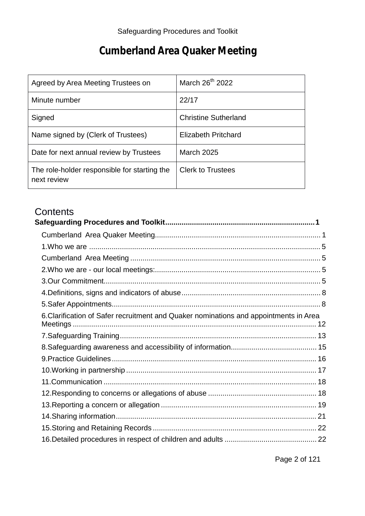# **Cumberland Area Quaker Meeting**

| Agreed by Area Meeting Trustees on                          | March 26 <sup>th</sup> 2022 |
|-------------------------------------------------------------|-----------------------------|
| Minute number                                               | 22/17                       |
| Signed                                                      | <b>Christine Sutherland</b> |
| Name signed by (Clerk of Trustees)                          | <b>Elizabeth Pritchard</b>  |
| Date for next annual review by Trustees                     | <b>March 2025</b>           |
| The role-holder responsible for starting the<br>next review | <b>Clerk to Trustees</b>    |

# Contents<br>Safeguardin

| 6. Clarification of Safer recruitment and Quaker nominations and appointments in Area |  |
|---------------------------------------------------------------------------------------|--|
|                                                                                       |  |
|                                                                                       |  |
|                                                                                       |  |
|                                                                                       |  |
|                                                                                       |  |
|                                                                                       |  |
|                                                                                       |  |
|                                                                                       |  |
|                                                                                       |  |
|                                                                                       |  |

Page 2 of 121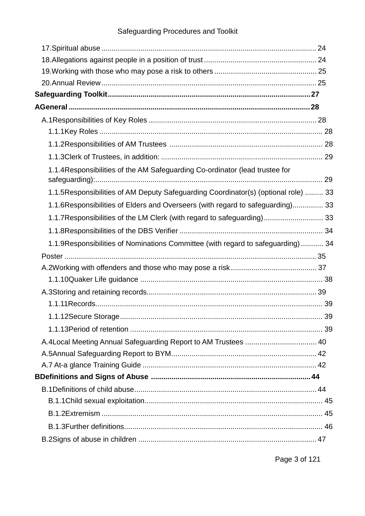| 1.1.4 Responsibilities of the AM Safeguarding Co-ordinator (lead trustee for       |    |
|------------------------------------------------------------------------------------|----|
| 1.1.5Responsibilities of AM Deputy Safeguarding Coordinator(s) (optional role)  33 |    |
| 1.1.6Responsibilities of Elders and Overseers (with regard to safeguarding) 33     |    |
| 1.1.7 Responsibilities of the LM Clerk (with regard to safeguarding) 33            |    |
|                                                                                    |    |
| 1.1.9Responsibilities of Nominations Committee (with regard to safeguarding) 34    |    |
|                                                                                    |    |
|                                                                                    |    |
|                                                                                    |    |
|                                                                                    |    |
|                                                                                    |    |
|                                                                                    | 39 |
|                                                                                    |    |
|                                                                                    |    |
|                                                                                    |    |
|                                                                                    |    |
|                                                                                    |    |
|                                                                                    |    |
|                                                                                    |    |
|                                                                                    |    |
|                                                                                    |    |
|                                                                                    |    |

Page 3 of 121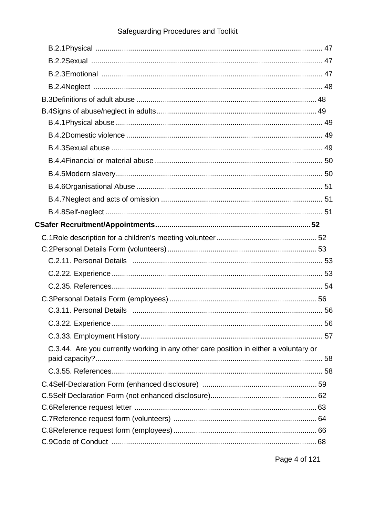| C.3.44. Are you currently working in any other care position in either a voluntary or |  |
|---------------------------------------------------------------------------------------|--|
|                                                                                       |  |
|                                                                                       |  |
|                                                                                       |  |
|                                                                                       |  |
|                                                                                       |  |
|                                                                                       |  |
|                                                                                       |  |
|                                                                                       |  |

Page 4 of 121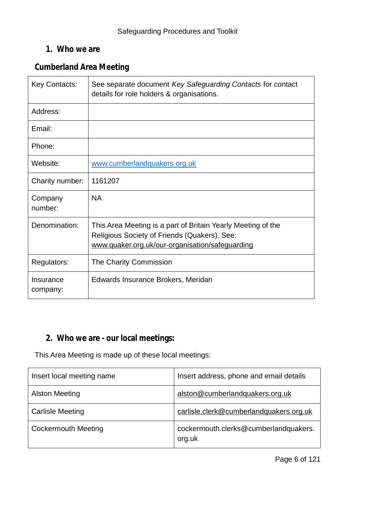## **1. Who we are**

## **Cumberland Area Meeting**

| <b>Key Contacts:</b>  | See separate document Key Safeguarding Contacts for contact<br>details for role holders & organisations.                                                        |
|-----------------------|-----------------------------------------------------------------------------------------------------------------------------------------------------------------|
| Address:              |                                                                                                                                                                 |
| Email:                |                                                                                                                                                                 |
| Phone:                |                                                                                                                                                                 |
| Website:              | www.cumberlandquakers.org.uk                                                                                                                                    |
| Charity number:       | 1161207                                                                                                                                                         |
| Company<br>number:    | <b>NA</b>                                                                                                                                                       |
| Denomination:         | This Area Meeting is a part of Britain Yearly Meeting of the<br>Religious Society of Friends (Quakers). See:<br>www.quaker.org.uk/our-organisation/safeguarding |
| Regulators:           | The Charity Commission                                                                                                                                          |
| Insurance<br>company: | Edwards Insurance Brokers, Meridan                                                                                                                              |

## **2. Who we are - our local meetings:**

This Area Meeting is made up of these local meetings:

| Insert local meeting name  | Insert address, phone and email details         |
|----------------------------|-------------------------------------------------|
| <b>Alston Meeting</b>      | alston@cumberlandquakers.org.uk                 |
| <b>Carlisle Meeting</b>    | carlisle.clerk@cumberlandquakers.org.uk         |
| <b>Cockermouth Meeting</b> | cockermouth.clerks@cumberlandquakers.<br>org.uk |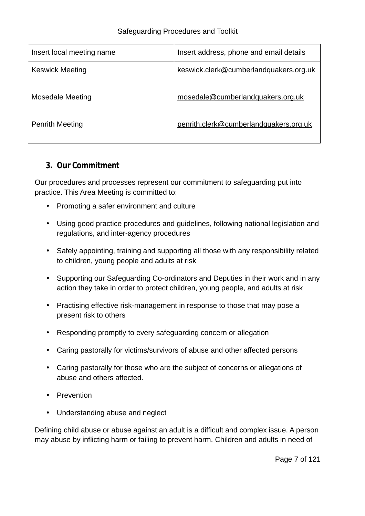| Insert local meeting name | Insert address, phone and email details |
|---------------------------|-----------------------------------------|
| <b>Keswick Meeting</b>    | keswick.clerk@cumberlandquakers.org.uk  |
| <b>Mosedale Meeting</b>   | mosedale@cumberlandquakers.org.uk       |
| <b>Penrith Meeting</b>    | penrith.clerk@cumberlandquakers.org.uk  |

## **3. Our Commitment**

Our procedures and processes represent our commitment to safeguarding put into practice. This Area Meeting is committed to:

- Promoting a safer environment and culture
- Using good practice procedures and guidelines, following national legislation and regulations, and inter-agency procedures
- Safely appointing, training and supporting all those with any responsibility related to children, young people and adults at risk
- Supporting our Safeguarding Co-ordinators and Deputies in their work and in any action they take in order to protect children, young people, and adults at risk
- Practising effective risk-management in response to those that may pose a present risk to others
- Responding promptly to every safeguarding concern or allegation
- Caring pastorally for victims/survivors of abuse and other affected persons
- Caring pastorally for those who are the subject of concerns or allegations of abuse and others affected.
- Prevention
- Understanding abuse and neglect

Defining child abuse or abuse against an adult is a difficult and complex issue. A person may abuse by inflicting harm or failing to prevent harm. Children and adults in need of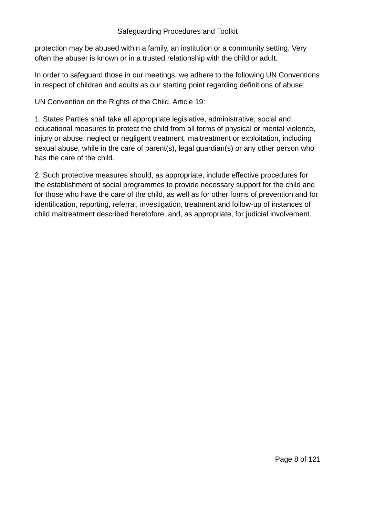protection may be abused within a family, an institution or a community setting. Very often the abuser is known or in a trusted relationship with the child or adult.

In order to safeguard those in our meetings, we adhere to the following UN Conventions in respect of children and adults as our starting point regarding definitions of abuse:

UN Convention on the Rights of the Child, Article 19:

1. States Parties shall take all appropriate legislative, administrative, social and educational measures to protect the child from all forms of physical or mental violence, injury or abuse, neglect or negligent treatment, maltreatment or exploitation, including sexual abuse, while in the care of parent(s), legal guardian(s) or any other person who has the care of the child.

2. Such protective measures should, as appropriate, include effective procedures for the establishment of social programmes to provide necessary support for the child and for those who have the care of the child, as well as for other forms of prevention and for identification, reporting, referral, investigation, treatment and follow-up of instances of child maltreatment described heretofore, and, as appropriate, for judicial involvement.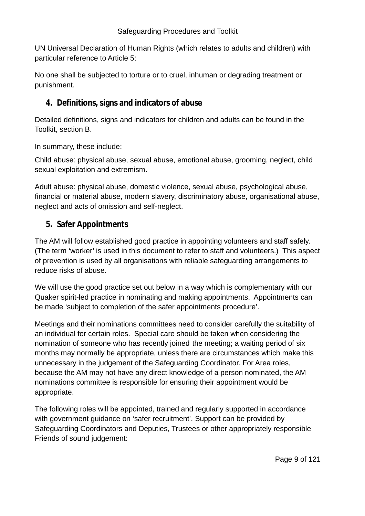UN Universal Declaration of Human Rights (which relates to adults and children) with particular reference to Article 5:

No one shall be subjected to torture or to cruel, inhuman or degrading treatment or punishment.

## **4. Definitions, signs and indicators of abuse**

Detailed definitions, signs and indicators for children and adults can be found in the Toolkit, section B.

In summary, these include:

Child abuse: physical abuse, sexual abuse, emotional abuse, grooming, neglect, child sexual exploitation and extremism.

Adult abuse: physical abuse, domestic violence, sexual abuse, psychological abuse, financial or material abuse, modern slavery, discriminatory abuse, organisational abuse, neglect and acts of omission and self-neglect.

## **5. Safer Appointments**

The AM will follow established good practice in appointing volunteers and staff safely. (The term 'worker' is used in this document to refer to staff and volunteers.) This aspect of prevention is used by all organisations with reliable safeguarding arrangements to reduce risks of abuse.

We will use the good practice set out below in a way which is complementary with our Quaker spirit-led practice in nominating and making appointments. Appointments can be made 'subject to completion of the safer appointments procedure'.

Meetings and their nominations committees need to consider carefully the suitability of an individual for certain roles. Special care should be taken when considering the nomination of someone who has recently joined the meeting; a waiting period of six months may normally be appropriate, unless there are circumstances which make this unnecessary in the judgement of the Safeguarding Coordinator. For Area roles, because the AM may not have any direct knowledge of a person nominated, the AM nominations committee is responsible for ensuring their appointment would be appropriate.

The following roles will be appointed, trained and regularly supported in accordance with government guidance on 'safer recruitment'. Support can be provided by Safeguarding Coordinators and Deputies, Trustees or other appropriately responsible Friends of sound judgement: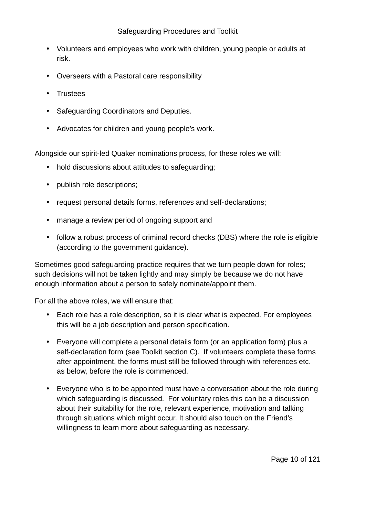- Volunteers and employees who work with children, young people or adults at risk.
- Overseers with a Pastoral care responsibility
- Trustees
- Safeguarding Coordinators and Deputies.
- Advocates for children and young people's work.

Alongside our spirit-led Quaker nominations process, for these roles we will:

- $\mathbf{r}$ hold discussions about attitudes to safeguarding;
- publish role descriptions;
- request personal details forms, references and self-declarations;
- manage a review period of ongoing support and
- follow a robust process of criminal record checks (DBS) where the role is eligible (according to the government guidance).

Sometimes good safeguarding practice requires that we turn people down for roles; such decisions will not be taken lightly and may simply be because we do not have enough information about a person to safely nominate/appoint them.

For all the above roles, we will ensure that:

- Each role has a role description, so it is clear what is expected. For employees this will be a job description and person specification.
- Everyone will complete a personal details form (or an application form) plus a self-declaration form (see Toolkit section C). If volunteers complete these forms after appointment, the forms must still be followed through with references etc. as below, before the role is commenced.
- Everyone who is to be appointed must have a conversation about the role during which safeguarding is discussed. For voluntary roles this can be a discussion about their suitability for the role, relevant experience, motivation and talking through situations which might occur. It should also touch on the Friend's willingness to learn more about safeguarding as necessary.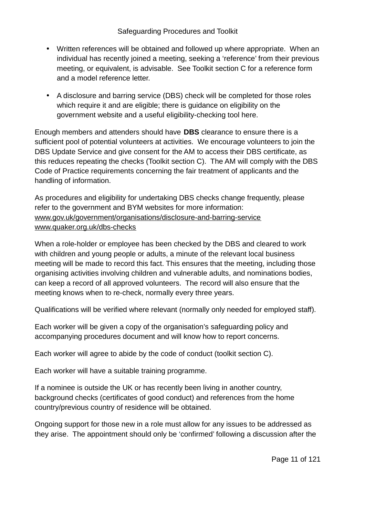- Written references will be obtained and followed up where appropriate. When an individual has recently joined a meeting, seeking a 'reference' from their previous meeting, or equivalent, is advisable. See Toolkit section C for a reference form and a model reference letter.
- A disclosure and barring service (DBS) check will be completed for those roles which require it and are eligible; there is guidance on eligibility on the government website and a useful eligibility-checking tool here.

Enough members and attenders should have **DBS** clearance to ensure there is a sufficient pool of potential volunteers at activities. We encourage volunteers to join the DBS Update Service and give consent for the AM to access their DBS certificate, as this reduces repeating the checks (Toolkit section C). The AM will comply with the DBS Code of Practice requirements concerning the fair treatment of applicants and the handling of information.

As procedures and eligibility for undertaking DBS checks change frequently, please refer to the government and BYM websites for more information: [www.gov.uk/government/organisations/disclosure-and-barring-service](http://www.gov.uk/government/organisations/disclosure-and-barring-service) [www.quaker.org.uk/dbs-checks](http://www.quaker.org.uk/dbs-checks)

When a role-holder or employee has been checked by the DBS and cleared to work with children and young people or adults, a minute of the relevant local business meeting will be made to record this fact. This ensures that the meeting, including those organising activities involving children and vulnerable adults, and nominations bodies, can keep a record of all approved volunteers. The record will also ensure that the meeting knows when to re-check, normally every three years.

Qualifications will be verified where relevant (normally only needed for employed staff).

Each worker will be given a copy of the organisation's safeguarding policy and accompanying procedures document and will know how to report concerns.

Each worker will agree to abide by the code of conduct (toolkit section C).

Each worker will have a suitable training programme.

If a nominee is outside the UK or has recently been living in another country, background checks (certificates of good conduct) and references from the home country/previous country of residence will be obtained.

Ongoing support for those new in a role must allow for any issues to be addressed as they arise. The appointment should only be 'confirmed' following a discussion after the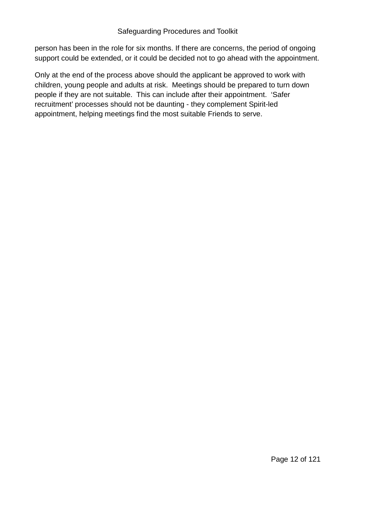person has been in the role for six months. If there are concerns, the period of ongoing support could be extended, or it could be decided not to go ahead with the appointment.

Only at the end of the process above should the applicant be approved to work with children, young people and adults at risk. Meetings should be prepared to turn down people if they are not suitable. This can include after their appointment. 'Safer recruitment' processes should not be daunting - they complement Spirit-led appointment, helping meetings find the most suitable Friends to serve.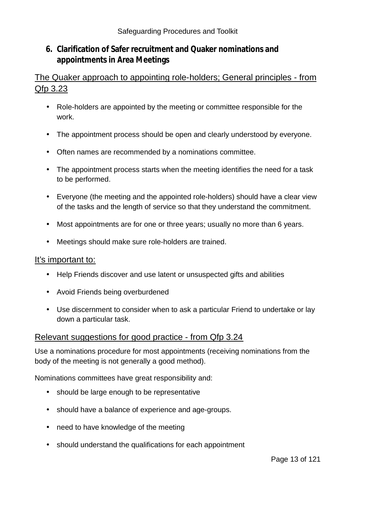## **6. Clarification of Safer recruitment and Quaker nominations and appointments in Area Meetings**

## The Quaker approach to appointing role-holders; General principles - from Qfp 3.23

- Role-holders are appointed by the meeting or committee responsible for the work.
- The appointment process should be open and clearly understood by everyone.
- Often names are recommended by a nominations committee.
- The appointment process starts when the meeting identifies the need for a task to be performed.
- Everyone (the meeting and the appointed role-holders) should have a clear view of the tasks and the length of service so that they understand the commitment.
- $\mathbf{r}$ Most appointments are for one or three years; usually no more than 6 years.
- Meetings should make sure role-holders are trained.

#### It's important to:

- Help Friends discover and use latent or unsuspected gifts and abilities
- Avoid Friends being overburdened
- Use discernment to consider when to ask a particular Friend to undertake or lay down a particular task.

## Relevant suggestions for good practice - from Qfp 3.24

Use a nominations procedure for most appointments (receiving nominations from the body of the meeting is not generally a good method).

Nominations committees have great responsibility and:

- should be large enough to be representative
- should have a balance of experience and age-groups.
- need to have knowledge of the meeting
- should understand the qualifications for each appointment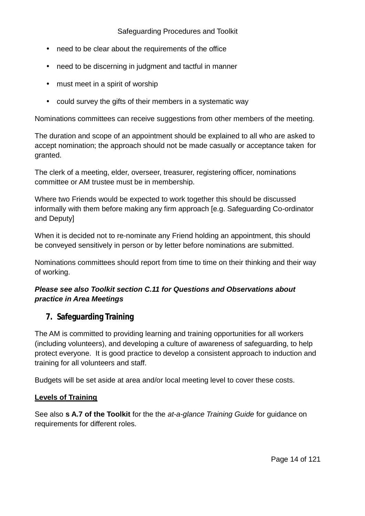- need to be clear about the requirements of the office
- need to be discerning in judgment and tactful in manner
- must meet in a spirit of worship
- could survey the gifts of their members in a systematic way

Nominations committees can receive suggestions from other members of the meeting.

The duration and scope of an appointment should be explained to all who are asked to accept nomination; the approach should not be made casually or acceptance taken for granted.

The clerk of a meeting, elder, overseer, treasurer, registering officer, nominations committee or AM trustee must be in membership.

Where two Friends would be expected to work together this should be discussed informally with them before making any firm approach [e.g. Safeguarding Co-ordinator and Deputy]

When it is decided not to re-nominate any Friend holding an appointment, this should be conveyed sensitively in person or by letter before nominations are submitted.

Nominations committees should report from time to time on their thinking and their way of working.

#### *Please see also Toolkit section C.11 for Questions and Observations about practice in Area Meetings*

## **7. Safeguarding Training**

The AM is committed to providing learning and training opportunities for all workers (including volunteers), and developing a culture of awareness of safeguarding, to help protect everyone. It is good practice to develop a consistent approach to induction and training for all volunteers and staff.

Budgets will be set aside at area and/or local meeting level to cover these costs.

#### **Levels of Training**

See also **s A.7 of the Toolkit** for the the *at-a-glance Training Guide* for guidance on requirements for different roles.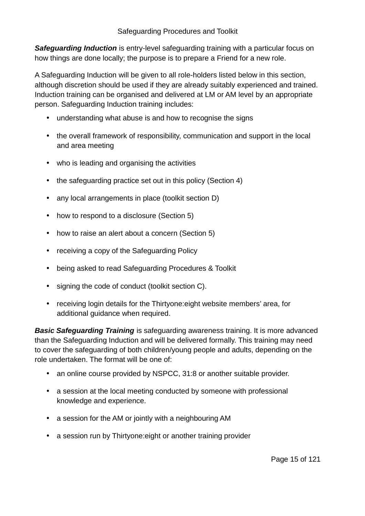*Safeguarding Induction* is entry-level safeguarding training with a particular focus on how things are done locally; the purpose is to prepare a Friend for a new role.

A Safeguarding Induction will be given to all role-holders listed below in this section, although discretion should be used if they are already suitably experienced and trained. Induction training can be organised and delivered at LM or AM level by an appropriate person. Safeguarding Induction training includes:

- understanding what abuse is and how to recognise the signs
- the overall framework of responsibility, communication and support in the local and area meeting
- who is leading and organising the activities
- the safeguarding practice set out in this policy (Section 4)
- any local arrangements in place (toolkit section D)
- $\cdot$  how to respond to a disclosure (Section 5)
- how to raise an alert about a concern (Section 5)
- receiving a copy of the Safeguarding Policy
- being asked to read Safeguarding Procedures & Toolkit
- signing the code of conduct (toolkit section C).
- receiving login details for the Thirtyone:eight website members' area, for additional guidance when required.

*Basic Safeguarding Training* is safeguarding awareness training. It is more advanced than the Safeguarding Induction and will be delivered formally. This training may need to cover the safeguarding of both children/young people and adults, depending on the role undertaken. The format will be one of:

- an online course provided by NSPCC, 31:8 or another suitable provider.
- a session at the local meeting conducted by someone with professional knowledge and experience.
- a session for the AM or jointly with a neighbouring AM
- a session run by Thirtyone:eight or another training provider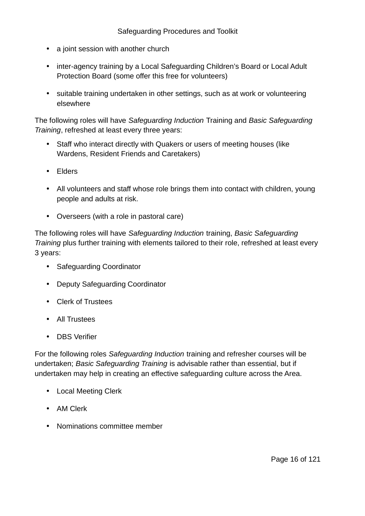- a joint session with another church
- inter-agency training by a Local Safeguarding Children's Board or Local Adult Protection Board (some offer this free for volunteers)
- suitable training undertaken in other settings, such as at work or volunteering elsewhere

The following roles will have *Safeguarding Induction* Training and *Basic Safeguarding Training*, refreshed at least every three years:

- Staff who interact directly with Quakers or users of meeting houses (like Wardens, Resident Friends and Caretakers)
- Elders
- All volunteers and staff whose role brings them into contact with children, young people and adults at risk.
- Overseers (with a role in pastoral care)

The following roles will have *Safeguarding Induction* training, *Basic Safeguarding Training* plus further training with elements tailored to their role, refreshed at least every 3 years:

- Safeguarding Coordinator
- Deputy Safeguarding Coordinator
- Clerk of Trustees
- All Trustees
- DBS Verifier

For the following roles *Safeguarding Induction* training and refresher courses will be undertaken; *Basic Safeguarding Training* is advisable rather than essential, but if undertaken may help in creating an effective safeguarding culture across the Area.

- Local Meeting Clerk
- AM Clerk
- Nominations committee member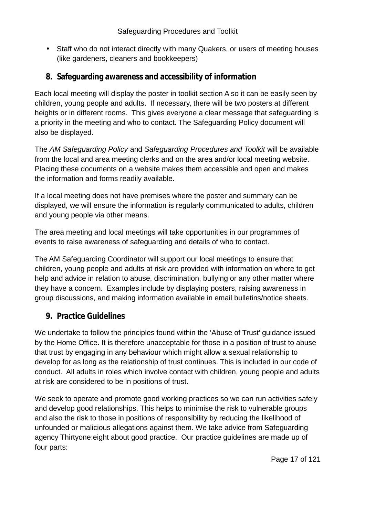- Staff who do not interact directly with many Quakers, or users of meeting houses (like gardeners, cleaners and bookkeepers)
- **8. Safeguarding awareness and accessibility of information**

Each local meeting will display the poster in toolkit section A so it can be easily seen by children, young people and adults. If necessary, there will be two posters at different heights or in different rooms. This gives everyone a clear message that safeguarding is a priority in the meeting and who to contact. The Safeguarding Policy document will also be displayed.

The *AM Safeguarding Policy* and *Safeguarding Procedures and Toolkit* will be available from the local and area meeting clerks and on the area and/or local meeting website. Placing these documents on a website makes them accessible and open and makes the information and forms readily available.

If a local meeting does not have premises where the poster and summary can be displayed, we will ensure the information is regularly communicated to adults, children and young people via other means.

The area meeting and local meetings will take opportunities in our programmes of events to raise awareness of safeguarding and details of who to contact.

The AM Safeguarding Coordinator will support our local meetings to ensure that children, young people and adults at risk are provided with information on where to get help and advice in relation to abuse, discrimination, bullying or any other matter where they have a concern. Examples include by displaying posters, raising awareness in group discussions, and making information available in email bulletins/notice sheets.

## **9. Practice Guidelines**

We undertake to follow the principles found within the 'Abuse of Trust' guidance issued by the Home Office. It is therefore unacceptable for those in a position of trust to abuse that trust by engaging in any behaviour which might allow a sexual relationship to develop for as long as the relationship of trust continues. This is included in our code of conduct. All adults in roles which involve contact with children, young people and adults at risk are considered to be in positions of trust.

We seek to operate and promote good working practices so we can run activities safely and develop good relationships. This helps to minimise the risk to vulnerable groups and also the risk to those in positions of responsibility by reducing the likelihood of unfounded or malicious allegations against them. We take advice from Safeguarding agency Thirtyone:eight about good practice. Our practice guidelines are made up of four parts: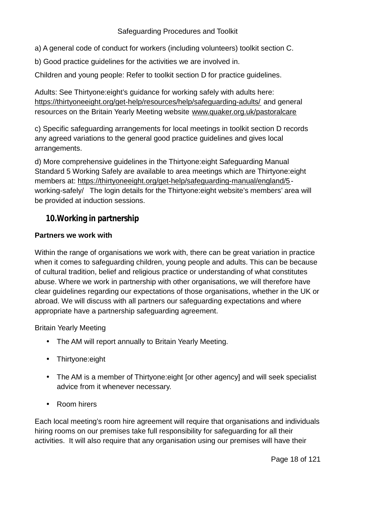- a) A general code of conduct for workers (including volunteers) toolkit section C.
- b) Good practice guidelines for the activities we are involved in.

Children and young people: Refer to toolkit section D for practice guidelines.

Adults: See Thirtyone:eight's guidance for working safely with adults here: <https://thirtyoneeight.org/get-help/resources/help/safeguarding-adults/> and general resources on the Britain Yearly Meeting website [www.quaker.org.uk/pastoralcare](http://www.quaker.org.uk/pastoralcare)

c) Specific safeguarding arrangements for local meetings in toolkit section D records any agreed variations to the general good practice guidelines and gives local arrangements.

d) More comprehensive guidelines in the Thirtyone:eight Safeguarding Manual Standard 5 Working Safely are available to area meetings which are Thirtyone:eight members at: <https://thirtyoneeight.org/get-help/safeguarding-manual/england/5> working-safely/ The login details for the Thirtyone:eight website's members' area will be provided at induction sessions.

## **10.Working in partnership**

#### **Partners we work with**

Within the range of organisations we work with, there can be great variation in practice when it comes to safeguarding children, young people and adults. This can be because of cultural tradition, belief and religious practice or understanding of what constitutes abuse. Where we work in partnership with other organisations, we will therefore have clear guidelines regarding our expectations of those organisations, whether in the UK or abroad. We will discuss with all partners our safeguarding expectations and where appropriate have a partnership safeguarding agreement.

Britain Yearly Meeting

- The AM will report annually to Britain Yearly Meeting.
- Thirtyone:eight
- The AM is a member of Thirtyone:eight [or other agency] and will seek specialist advice from it whenever necessary.
- Room hirers

Each local meeting's room hire agreement will require that organisations and individuals hiring rooms on our premises take full responsibility for safeguarding for all their activities. It will also require that any organisation using our premises will have their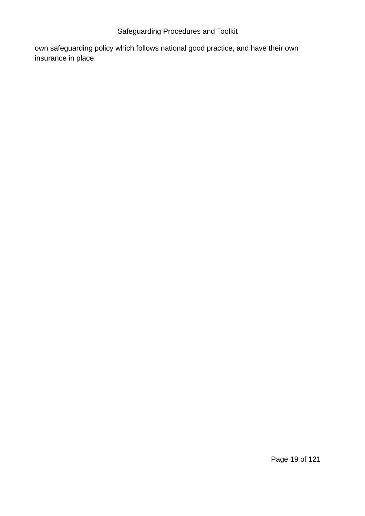own safeguarding policy which follows national good practice, and have their own insurance in place.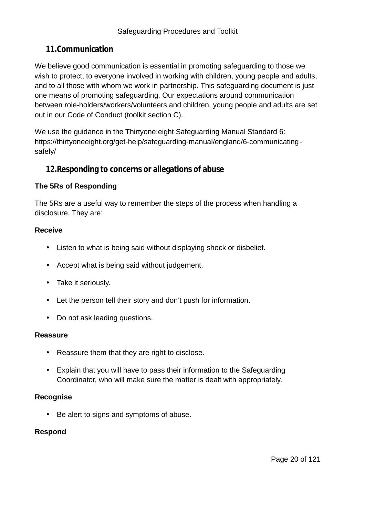## **11.Communication**

We believe good communication is essential in promoting safeguarding to those we wish to protect, to everyone involved in working with children, young people and adults, and to all those with whom we work in partnership. This safeguarding document is just one means of promoting safeguarding. Our expectations around communication between role-holders/workers/volunteers and children, young people and adults are set out in our Code of Conduct (toolkit section C).

We use the guidance in the Thirtyone:eight Safeguarding Manual Standard 6: <https://thirtyoneeight.org/get-help/safeguarding-manual/england/6-communicating> safely/

## **12.Responding to concerns or allegations of abuse**

#### **The 5Rs of Responding**

The 5Rs are a useful way to remember the steps of the process when handling a disclosure. They are:

#### **Receive**

- Listen to what is being said without displaying shock or disbelief.
- Accept what is being said without judgement.
- Take it seriously.
- Let the person tell their story and don't push for information.
- Do not ask leading questions.

#### **Reassure**

- Reassure them that they are right to disclose.
- Explain that you will have to pass their information to the Safeguarding Coordinator, who will make sure the matter is dealt with appropriately.

#### **Recognise**

Be alert to signs and symptoms of abuse.

#### **Respond**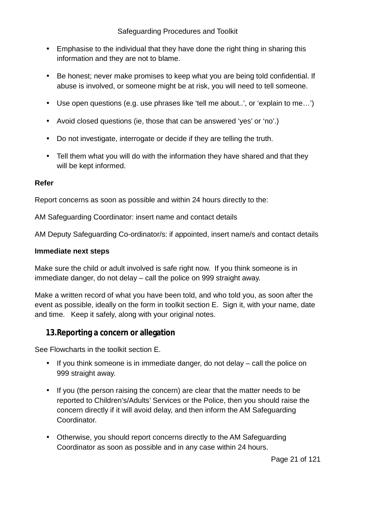- Emphasise to the individual that they have done the right thing in sharing this information and they are not to blame.
- Be honest; never make promises to keep what you are being told confidential. If abuse is involved, or someone might be at risk, you will need to tell someone.
- Use open questions (e.g. use phrases like 'tell me about..', or 'explain to me…')
- Avoid closed questions (ie, those that can be answered 'yes' or 'no'.)
- Do not investigate, interrogate or decide if they are telling the truth.
- Tell them what you will do with the information they have shared and that they will be kept informed.

#### **Refer**

Report concerns as soon as possible and within 24 hours directly to the:

AM Safeguarding Coordinator: insert name and contact details

AM Deputy Safeguarding Co-ordinator/s: if appointed, insert name/s and contact details

#### **Immediate next steps**

Make sure the child or adult involved is safe right now. If you think someone is in immediate danger, do not delay – call the police on 999 straight away.

Make a written record of what you have been told, and who told you, as soon after the event as possible, ideally on the form in toolkit section E. Sign it, with your name, date and time. Keep it safely, along with your original notes.

## **13.Reporting a concern or allegation**

See Flowcharts in the toolkit section E.

- If you think someone is in immediate danger, do not delay call the police on 999 straight away.
- $\cdot$  If you (the person raising the concern) are clear that the matter needs to be reported to Children's/Adults' Services or the Police, then you should raise the concern directly if it will avoid delay, and then inform the AM Safeguarding **Coordinator**
- Otherwise, you should report concerns directly to the AM Safeguarding Coordinator as soon as possible and in any case within 24 hours.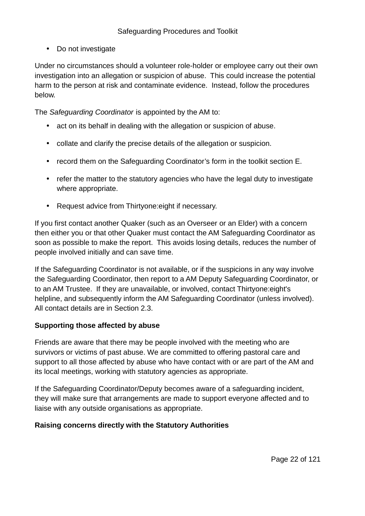#### . Do not investigate

Under no circumstances should a volunteer role-holder or employee carry out their own investigation into an allegation or suspicion of abuse. This could increase the potential harm to the person at risk and contaminate evidence. Instead, follow the procedures below.

The *Safeguarding Coordinator* is appointed by the AM to:

- act on its behalf in dealing with the allegation or suspicion of abuse.
- collate and clarify the precise details of the allegation or suspicion.
- record them on the Safeguarding Coordinator's form in the toolkit section E.
- refer the matter to the statutory agencies who have the legal duty to investigate where appropriate.
- Request advice from Thirtyone:eight if necessary.

If you first contact another Quaker (such as an Overseer or an Elder) with a concern then either you or that other Quaker must contact the AM Safeguarding Coordinator as soon as possible to make the report. This avoids losing details, reduces the number of people involved initially and can save time.

If the Safeguarding Coordinator is not available, or if the suspicions in any way involve the Safeguarding Coordinator, then report to a AM Deputy Safeguarding Coordinator, or to an AM Trustee. If they are unavailable, or involved, contact Thirtyone:eight's helpline, and subsequently inform the AM Safeguarding Coordinator (unless involved). All contact details are in Section 2.3.

#### **Supporting those affected by abuse**

Friends are aware that there may be people involved with the meeting who are survivors or victims of past abuse. We are committed to offering pastoral care and support to all those affected by abuse who have contact with or are part of the AM and its local meetings, working with statutory agencies as appropriate.

If the Safeguarding Coordinator/Deputy becomes aware of a safeguarding incident, they will make sure that arrangements are made to support everyone affected and to liaise with any outside organisations as appropriate.

#### **Raising concerns directly with the Statutory Authorities**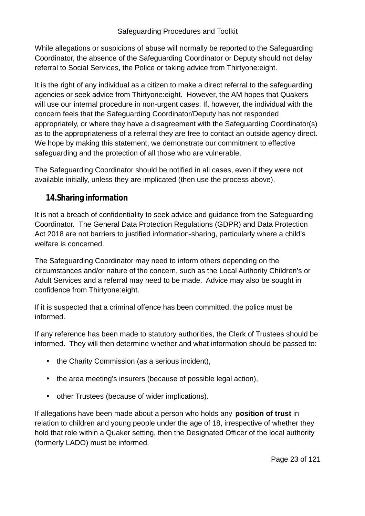While allegations or suspicions of abuse will normally be reported to the Safeguarding Coordinator, the absence of the Safeguarding Coordinator or Deputy should not delay referral to Social Services, the Police or taking advice from Thirtyone:eight.

It is the right of any individual as a citizen to make a direct referral to the safeguarding agencies or seek advice from Thirtyone:eight. However, the AM hopes that Quakers will use our internal procedure in non-urgent cases. If, however, the individual with the concern feels that the Safeguarding Coordinator/Deputy has not responded appropriately, or where they have a disagreement with the Safeguarding Coordinator(s) as to the appropriateness of a referral they are free to contact an outside agency direct. We hope by making this statement, we demonstrate our commitment to effective safeguarding and the protection of all those who are vulnerable.

The Safeguarding Coordinator should be notified in all cases, even if they were not available initially, unless they are implicated (then use the process above).

## **14.Sharing information**

It is not a breach of confidentiality to seek advice and guidance from the Safeguarding Coordinator. The General Data Protection Regulations (GDPR) and Data Protection Act 2018 are not barriers to justified information-sharing, particularly where a child's welfare is concerned.

The Safeguarding Coordinator may need to inform others depending on the circumstances and/or nature of the concern, such as the Local Authority Children's or Adult Services and a referral may need to be made. Advice may also be sought in confidence from Thirtyone:eight.

If it is suspected that a criminal offence has been committed, the police must be informed.

If any reference has been made to statutory authorities, the Clerk of Trustees should be informed. They will then determine whether and what information should be passed to:

- the Charity Commission (as a serious incident),
- the area meeting's insurers (because of possible legal action),
- other Trustees (because of wider implications).

If allegations have been made about a person who holds any **position of trust** in relation to children and young people under the age of 18, irrespective of whether they hold that role within a Quaker setting, then the Designated Officer of the local authority (formerly LADO) must be informed.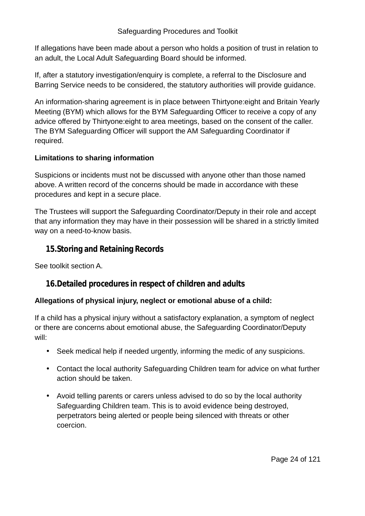If allegations have been made about a person who holds a position of trust in relation to an adult, the Local Adult Safeguarding Board should be informed.

If, after a statutory investigation/enquiry is complete, a referral to the Disclosure and Barring Service needs to be considered, the statutory authorities will provide guidance.

An information-sharing agreement is in place between Thirtyone:eight and Britain Yearly Meeting (BYM) which allows for the BYM Safeguarding Officer to receive a copy of any advice offered by Thirtyone:eight to area meetings, based on the consent of the caller. The BYM Safeguarding Officer will support the AM Safeguarding Coordinator if required.

#### **Limitations to sharing information**

Suspicions or incidents must not be discussed with anyone other than those named above. A written record of the concerns should be made in accordance with these procedures and kept in a secure place.

The Trustees will support the Safeguarding Coordinator/Deputy in their role and accept that any information they may have in their possession will be shared in a strictly limited way on a need-to-know basis.

## **15.Storing and Retaining Records**

See toolkit section A.

## **16.Detailed procedures in respect of children and adults**

#### **Allegations of physical injury, neglect or emotional abuse of a child:**

If a child has a physical injury without a satisfactory explanation, a symptom of neglect or there are concerns about emotional abuse, the Safeguarding Coordinator/Deputy will:

- Seek medical help if needed urgently, informing the medic of any suspicions.
- Contact the local authority Safeguarding Children team for advice on what further action should be taken.
- Avoid telling parents or carers unless advised to do so by the local authority Safeguarding Children team. This is to avoid evidence being destroyed, perpetrators being alerted or people being silenced with threats or other coercion.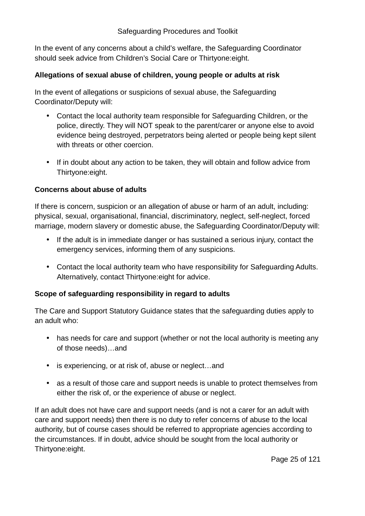In the event of any concerns about a child's welfare, the Safeguarding Coordinator should seek advice from Children's Social Care or Thirtyone:eight.

#### **Allegations of sexual abuse of children, young people or adults at risk**

In the event of allegations or suspicions of sexual abuse, the Safeguarding Coordinator/Deputy will:

- Contact the local authority team responsible for Safeguarding Children, or the police, directly. They will NOT speak to the parent/carer or anyone else to avoid evidence being destroyed, perpetrators being alerted or people being kept silent with threats or other coercion.
- If in doubt about any action to be taken, they will obtain and follow advice from Thirtyone:eight.

#### **Concerns about abuse of adults**

If there is concern, suspicion or an allegation of abuse or harm of an adult, including: physical, sexual, organisational, financial, discriminatory, neglect, self-neglect, forced marriage, modern slavery or domestic abuse, the Safeguarding Coordinator/Deputy will:

- If the adult is in immediate danger or has sustained a serious injury, contact the emergency services, informing them of any suspicions.
- Contact the local authority team who have responsibility for Safeguarding Adults. Alternatively, contact Thirtyone:eight for advice.

#### **Scope of safeguarding responsibility in regard to adults**

The Care and Support Statutory Guidance states that the safeguarding duties apply to an adult who:

- has needs for care and support (whether or not the local authority is meeting any of those needs)…and
- is experiencing, or at risk of, abuse or neglect…and
- as a result of those care and support needs is unable to protect themselves from either the risk of, or the experience of abuse or neglect.

If an adult does not have care and support needs (and is not a carer for an adult with care and support needs) then there is no duty to refer concerns of abuse to the local authority, but of course cases should be referred to appropriate agencies according to the circumstances. If in doubt, advice should be sought from the local authority or Thirtyone:eight.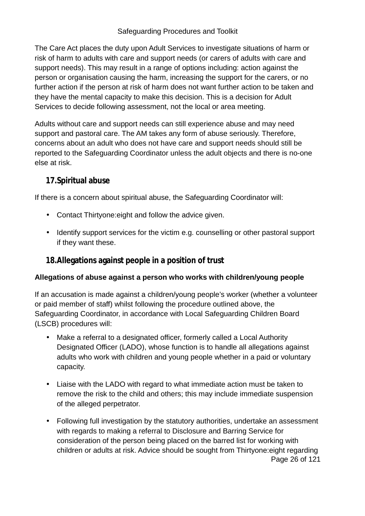The Care Act places the duty upon Adult Services to investigate situations of harm or risk of harm to adults with care and support needs (or carers of adults with care and support needs). This may result in a range of options including: action against the person or organisation causing the harm, increasing the support for the carers, or no further action if the person at risk of harm does not want further action to be taken and they have the mental capacity to make this decision. This is a decision for Adult Services to decide following assessment, not the local or area meeting.

Adults without care and support needs can still experience abuse and may need support and pastoral care. The AM takes any form of abuse seriously. Therefore, concerns about an adult who does not have care and support needs should still be reported to the Safeguarding Coordinator unless the adult objects and there is no-one else at risk.

## **17.Spiritual abuse**

If there is a concern about spiritual abuse, the Safeguarding Coordinator will:

- Contact Thirtyone:eight and follow the advice given.
- Identify support services for the victim e.g. counselling or other pastoral support if they want these.

## **18.Allegations against people in a position of trust**

## **Allegations of abuse against a person who works with children/young people**

If an accusation is made against a children/young people's worker (whether a volunteer or paid member of staff) whilst following the procedure outlined above, the Safeguarding Coordinator, in accordance with Local Safeguarding Children Board (LSCB) procedures will:

- Make a referral to a designated officer, formerly called a Local Authority Designated Officer (LADO), whose function is to handle all allegations against adults who work with children and young people whether in a paid or voluntary capacity.
- Liaise with the LADO with regard to what immediate action must be taken to remove the risk to the child and others; this may include immediate suspension of the alleged perpetrator.
- Page 26 of 121 Following full investigation by the statutory authorities, undertake an assessment with regards to making a referral to Disclosure and Barring Service for consideration of the person being placed on the barred list for working with children or adults at risk. Advice should be sought from Thirtyone:eight regarding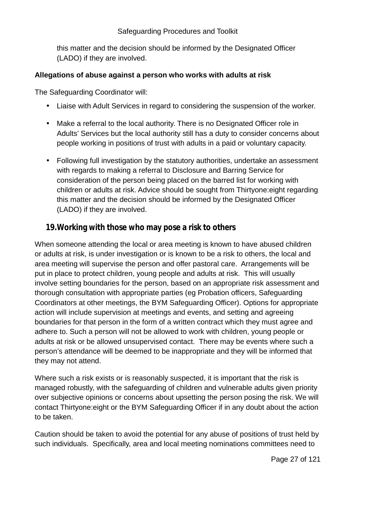this matter and the decision should be informed by the Designated Officer (LADO) if they are involved.

#### **Allegations of abuse against a person who works with adults at risk**

The Safeguarding Coordinator will:

- Liaise with Adult Services in regard to considering the suspension of the worker.
- Make a referral to the local authority. There is no Designated Officer role in Adults' Services but the local authority still has a duty to consider concerns about people working in positions of trust with adults in a paid or voluntary capacity.
- Following full investigation by the statutory authorities, undertake an assessment with regards to making a referral to Disclosure and Barring Service for consideration of the person being placed on the barred list for working with children or adults at risk. Advice should be sought from Thirtyone:eight regarding this matter and the decision should be informed by the Designated Officer (LADO) if they are involved.

## **19.Working with those who may pose a risk to others**

When someone attending the local or area meeting is known to have abused children or adults at risk, is under investigation or is known to be a risk to others, the local and area meeting will supervise the person and offer pastoral care. Arrangements will be put in place to protect children, young people and adults at risk. This will usually involve setting boundaries for the person, based on an appropriate risk assessment and thorough consultation with appropriate parties (eg Probation officers, Safeguarding Coordinators at other meetings, the BYM Safeguarding Officer). Options for appropriate action will include supervision at meetings and events, and setting and agreeing boundaries for that person in the form of a written contract which they must agree and adhere to. Such a person will not be allowed to work with children, young people or adults at risk or be allowed unsupervised contact. There may be events where such a person's attendance will be deemed to be inappropriate and they will be informed that they may not attend.

Where such a risk exists or is reasonably suspected, it is important that the risk is managed robustly, with the safeguarding of children and vulnerable adults given priority over subjective opinions or concerns about upsetting the person posing the risk. We will contact Thirtyone:eight or the BYM Safeguarding Officer if in any doubt about the action to be taken.

Caution should be taken to avoid the potential for any abuse of positions of trust held by such individuals. Specifically, area and local meeting nominations committees need to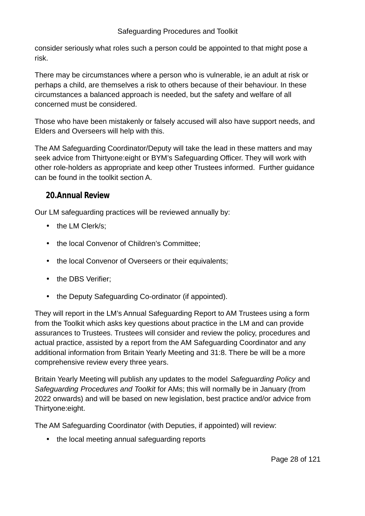consider seriously what roles such a person could be appointed to that might pose a risk.

There may be circumstances where a person who is vulnerable, ie an adult at risk or perhaps a child, are themselves a risk to others because of their behaviour. In these circumstances a balanced approach is needed, but the safety and welfare of all concerned must be considered.

Those who have been mistakenly or falsely accused will also have support needs, and Elders and Overseers will help with this.

The AM Safeguarding Coordinator/Deputy will take the lead in these matters and may seek advice from Thirtyone:eight or BYM's Safeguarding Officer. They will work with other role-holders as appropriate and keep other Trustees informed. Further guidance can be found in the toolkit section A.

#### **20.Annual Review**

Our LM safeguarding practices will be reviewed annually by:

- $\cdot$  the LM Clerk/s;
- the local Convenor of Children's Committee;
- the local Convenor of Overseers or their equivalents;
- . the DBS Verifier:
- the Deputy Safeguarding Co-ordinator (if appointed).

They will report in the LM's Annual Safeguarding Report to AM Trustees using a form from the Toolkit which asks key questions about practice in the LM and can provide assurances to Trustees. Trustees will consider and review the policy, procedures and actual practice, assisted by a report from the AM Safeguarding Coordinator and any additional information from Britain Yearly Meeting and 31:8. There be will be a more comprehensive review every three years.

Britain Yearly Meeting will publish any updates to the model *Safeguarding Policy* and *Safeguarding Procedures and Toolkit* for AMs; this will normally be in January (from 2022 onwards) and will be based on new legislation, best practice and/or advice from Thirtyone:eight.

The AM Safeguarding Coordinator (with Deputies, if appointed) will review:

the local meeting annual safeguarding reports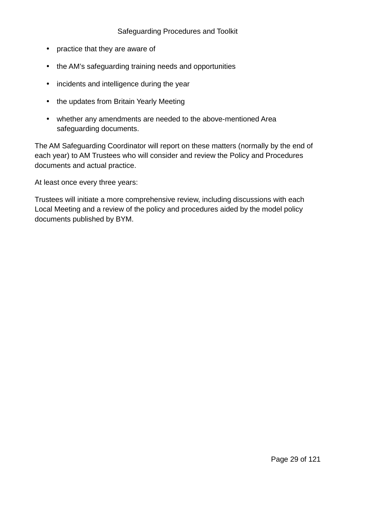- practice that they are aware of
- the AM's safeguarding training needs and opportunities
- incidents and intelligence during the year
- the updates from Britain Yearly Meeting
- whether any amendments are needed to the above-mentioned Area safeguarding documents.

The AM Safeguarding Coordinator will report on these matters (normally by the end of each year) to AM Trustees who will consider and review the Policy and Procedures documents and actual practice.

At least once every three years:

Trustees will initiate a more comprehensive review, including discussions with each Local Meeting and a review of the policy and procedures aided by the model policy documents published by BYM.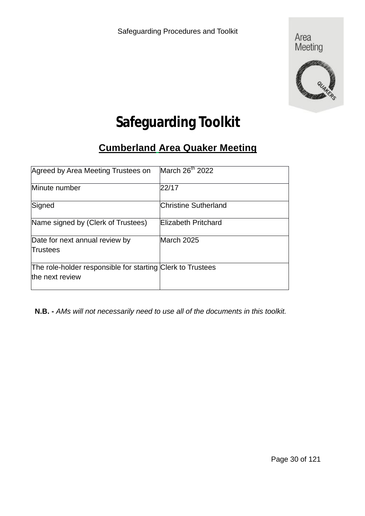Area Meeting



# **Safeguarding Toolkit**

# **Cumberland Area Quaker Meeting**

| Agreed by Area Meeting Trustees on                                            | March 26 <sup>th</sup> 2022 |
|-------------------------------------------------------------------------------|-----------------------------|
| Minute number                                                                 | 22/17                       |
| Signed                                                                        | <b>Christine Sutherland</b> |
| Name signed by (Clerk of Trustees)                                            | Elizabeth Pritchard         |
| Date for next annual review by<br><b>Trustees</b>                             | March 2025                  |
| The role-holder responsible for starting Clerk to Trustees<br>the next review |                             |

**N.B. -** *AMs will not necessarily need to use all of the documents in this toolkit.*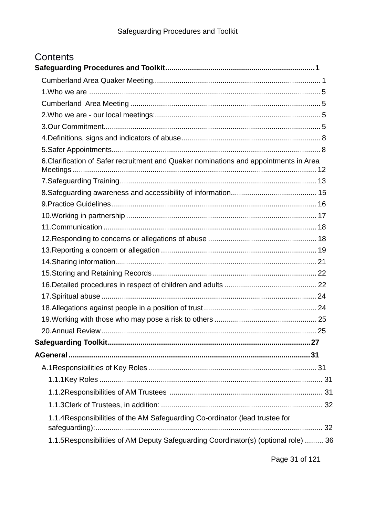# Contents

| 6. Clarification of Safer recruitment and Quaker nominations and appointments in Area |
|---------------------------------------------------------------------------------------|
|                                                                                       |
|                                                                                       |
|                                                                                       |
|                                                                                       |
|                                                                                       |
|                                                                                       |
|                                                                                       |
|                                                                                       |
|                                                                                       |
|                                                                                       |
|                                                                                       |
|                                                                                       |
|                                                                                       |
|                                                                                       |
|                                                                                       |
|                                                                                       |
|                                                                                       |
|                                                                                       |
|                                                                                       |
|                                                                                       |
| 1.1.4 Responsibilities of the AM Safeguarding Co-ordinator (lead trustee for<br>32    |
| 1.1.5 Responsibilities of AM Deputy Safeguarding Coordinator(s) (optional role)  36   |

Page 31 of 121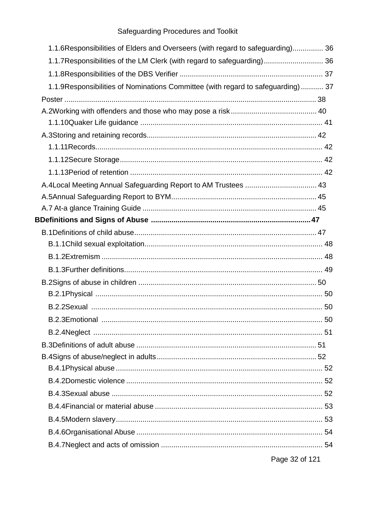| 1.1.6Responsibilities of Elders and Overseers (with regard to safeguarding) 36  |  |
|---------------------------------------------------------------------------------|--|
| 1.1.7Responsibilities of the LM Clerk (with regard to safeguarding) 36          |  |
|                                                                                 |  |
| 1.1.9Responsibilities of Nominations Committee (with regard to safeguarding) 37 |  |
|                                                                                 |  |
|                                                                                 |  |
|                                                                                 |  |
|                                                                                 |  |
|                                                                                 |  |
|                                                                                 |  |
|                                                                                 |  |
|                                                                                 |  |
|                                                                                 |  |
|                                                                                 |  |
|                                                                                 |  |
|                                                                                 |  |
|                                                                                 |  |
|                                                                                 |  |
|                                                                                 |  |
|                                                                                 |  |
|                                                                                 |  |
|                                                                                 |  |
|                                                                                 |  |
|                                                                                 |  |
|                                                                                 |  |
|                                                                                 |  |
|                                                                                 |  |
|                                                                                 |  |
|                                                                                 |  |
|                                                                                 |  |
|                                                                                 |  |
|                                                                                 |  |
|                                                                                 |  |
|                                                                                 |  |

Page 32 of 121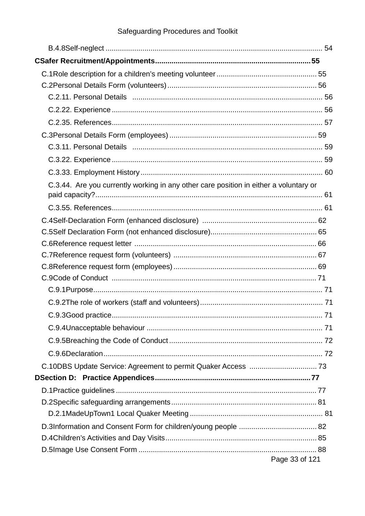| C.3.44. Are you currently working in any other care position in either a voluntary or |                |
|---------------------------------------------------------------------------------------|----------------|
|                                                                                       |                |
|                                                                                       |                |
|                                                                                       |                |
|                                                                                       |                |
|                                                                                       |                |
|                                                                                       |                |
|                                                                                       |                |
|                                                                                       |                |
|                                                                                       |                |
|                                                                                       |                |
|                                                                                       |                |
|                                                                                       |                |
|                                                                                       |                |
|                                                                                       |                |
|                                                                                       |                |
|                                                                                       |                |
|                                                                                       |                |
|                                                                                       |                |
|                                                                                       |                |
|                                                                                       |                |
|                                                                                       |                |
|                                                                                       |                |
|                                                                                       | Page 33 of 121 |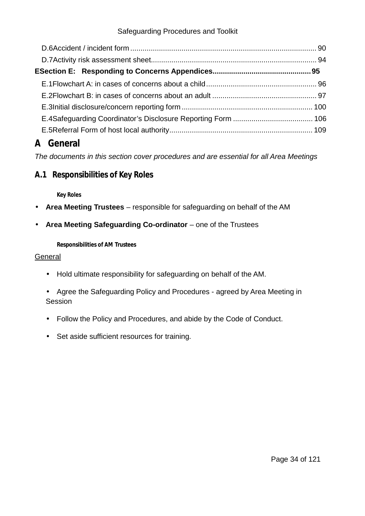## **A General**

*The documents in this section cover procedures and are essential for all Area Meetings*

## **A.1 Responsibilities of Key Roles**

**Key Roles** 

- **Area Meeting Trustees** responsible for safeguarding on behalf of the AM
- **Area Meeting Safeguarding Co-ordinator** one of the Trustees

**Responsibilities of AM Trustees** 

### **General**

- Hold ultimate responsibility for safeguarding on behalf of the AM.
- $\ddot{\phantom{a}}$  Agree the Safeguarding Policy and Procedures - agreed by Area Meeting in Session
- Follow the Policy and Procedures, and abide by the Code of Conduct.
- Set aside sufficient resources for training.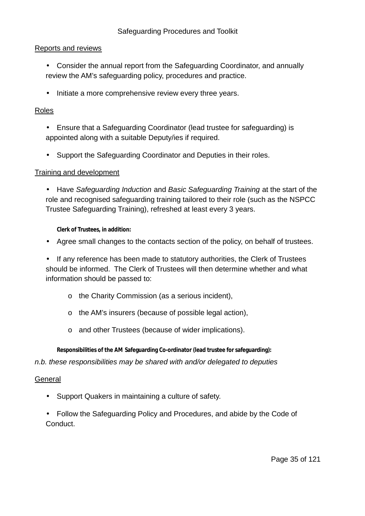#### Reports and reviews

 Consider the annual report from the Safeguarding Coordinator, and annually review the AM's safeguarding policy, procedures and practice.

Initiate a more comprehensive review every three years.

#### Roles

 Ensure that a Safeguarding Coordinator (lead trustee for safeguarding) is appointed along with a suitable Deputy/ies if required.

 Support the Safeguarding Coordinator and Deputies in their roles.  $\blacksquare$ 

#### Training and development

 Have *Safeguarding Induction* and *Basic Safeguarding Training* at the start of the role and recognised safeguarding training tailored to their role (such as the NSPCC Trustee Safeguarding Training), refreshed at least every 3 years.

**Clerk of Trustees, in addition:** 

Agree small changes to the contacts section of the policy, on behalf of trustees.

 If any reference has been made to statutory authorities, the Clerk of Trustees should be informed. The Clerk of Trustees will then determine whether and what information should be passed to:

- o the Charity Commission (as a serious incident),
- o the AM's insurers (because of possible legal action),
- o and other Trustees (because of wider implications).

**Responsibilities of the AM Safeguarding Co-ordinator (lead trustee for safeguarding):** 

*n.b. these responsibilities may be shared with and/or delegated to deputies*

#### **General**

Support Quakers in maintaining a culture of safety.

 Follow the Safeguarding Policy and Procedures, and abide by the Code of Conduct.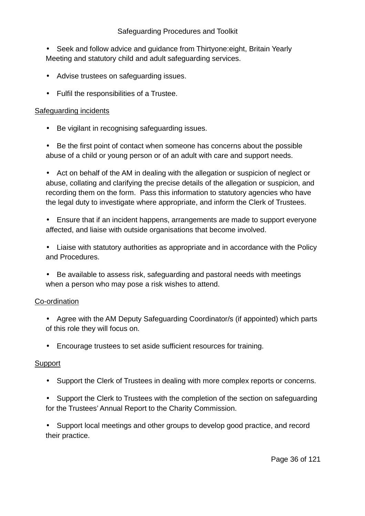Seek and follow advice and guidance from Thirtyone:eight, Britain Yearly Meeting and statutory child and adult safeguarding services.

- Advise trustees on safeguarding issues.
- Fulfil the responsibilities of a Trustee.

#### Safeguarding incidents

Be vigilant in recognising safeguarding issues.

 Be the first point of contact when someone has concerns about the possible abuse of a child or young person or of an adult with care and support needs.

 Act on behalf of the AM in dealing with the allegation or suspicion of neglect or abuse, collating and clarifying the precise details of the allegation or suspicion, and recording them on the form. Pass this information to statutory agencies who have the legal duty to investigate where appropriate, and inform the Clerk of Trustees.

 Ensure that if an incident happens, arrangements are made to support everyone affected, and liaise with outside organisations that become involved.

 Liaise with statutory authorities as appropriate and in accordance with the Policy and Procedures.

 Be available to assess risk, safeguarding and pastoral needs with meetings when a person who may pose a risk wishes to attend.

#### Co-ordination

 Agree with the AM Deputy Safeguarding Coordinator/s (if appointed) which parts of this role they will focus on.

Encourage trustees to set aside sufficient resources for training.

#### Support

Support the Clerk of Trustees in dealing with more complex reports or concerns.

 Support the Clerk to Trustees with the completion of the section on safeguarding for the Trustees' Annual Report to the Charity Commission.

 Support local meetings and other groups to develop good practice, and record their practice.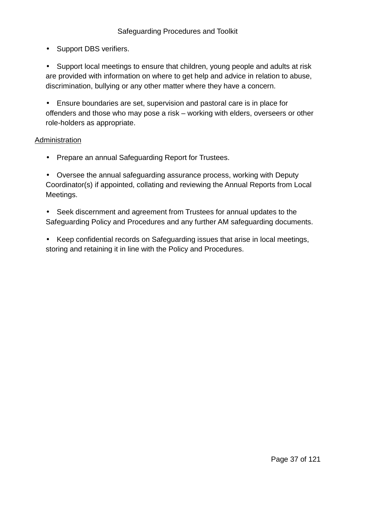Support DBS verifiers.

 Support local meetings to ensure that children, young people and adults at risk are provided with information on where to get help and advice in relation to abuse, discrimination, bullying or any other matter where they have a concern.

 Ensure boundaries are set, supervision and pastoral care is in place for offenders and those who may pose a risk – working with elders, overseers or other role-holders as appropriate.

#### **Administration**

Prepare an annual Safeguarding Report for Trustees.

 Oversee the annual safeguarding assurance process, working with Deputy Coordinator(s) if appointed, collating and reviewing the Annual Reports from Local Meetings.

 Seek discernment and agreement from Trustees for annual updates to the Safeguarding Policy and Procedures and any further AM safeguarding documents.

 Keep confidential records on Safeguarding issues that arise in local meetings, storing and retaining it in line with the Policy and Procedures.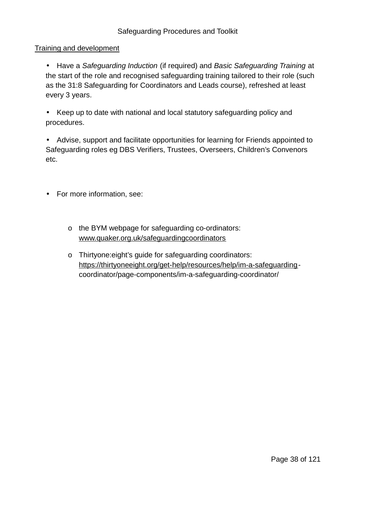## Training and development

 Have a *Safeguarding Induction* (if required) and *Basic Safeguarding Training* at the start of the role and recognised safeguarding training tailored to their role (such as the 31:8 Safeguarding for Coordinators and Leads course), refreshed at least every 3 years.

 Keep up to date with national and local statutory safeguarding policy and procedures.

 Advise, support and facilitate opportunities for learning for Friends appointed to Safeguarding roles eg DBS Verifiers, Trustees, Overseers, Children's Convenors etc.

For more information, see:

- o the BYM webpage for safeguarding co-ordinators: [www.quaker.org.uk/safeguardingcoordinators](http://www.quaker.org.uk/safeguardingcoordinators)
- o Thirtyone:eight's guide for safeguarding coordinators: <https://thirtyoneeight.org/get-help/resources/help/im-a-safeguarding>coordinator/page-components/im-a-safeguarding-coordinator/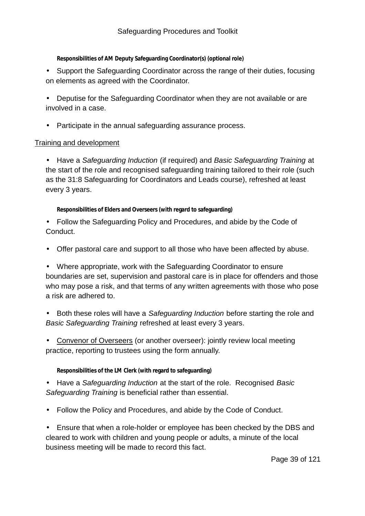**Responsibilities of AM Deputy Safeguarding Coordinator(s) (optional role)** 

 Support the Safeguarding Coordinator across the range of their duties, focusing on elements as agreed with the Coordinator.

 Deputise for the Safeguarding Coordinator when they are not available or are involved in a case.

Participate in the annual safeguarding assurance process.

## Training and development

 Have a *Safeguarding Induction* (if required) and *Basic Safeguarding Training* at the start of the role and recognised safeguarding training tailored to their role (such as the 31:8 Safeguarding for Coordinators and Leads course), refreshed at least every 3 years.

**Responsibilities of Elders and Overseers (with regard to safeguarding)** 

 Follow the Safeguarding Policy and Procedures, and abide by the Code of Conduct.

Offer pastoral care and support to all those who have been affected by abuse.

 Where appropriate, work with the Safeguarding Coordinator to ensure boundaries are set, supervision and pastoral care is in place for offenders and those who may pose a risk, and that terms of any written agreements with those who pose a risk are adhered to.

 Both these roles will have a *Safeguarding Induction* before starting the role and *Basic Safeguarding Training* refreshed at least every 3 years.

 Convenor of Overseers (or another overseer): jointly review local meeting practice, reporting to trustees using the form annually.

**Responsibilities of the LM Clerk (with regard to safeguarding)** 

 Have a *Safeguarding Induction* at the start of the role. Recognised *Basic Safeguarding Training* is beneficial rather than essential.

Follow the Policy and Procedures, and abide by the Code of Conduct.

 Ensure that when a role-holder or employee has been checked by the DBS and cleared to work with children and young people or adults, a minute of the local business meeting will be made to record this fact.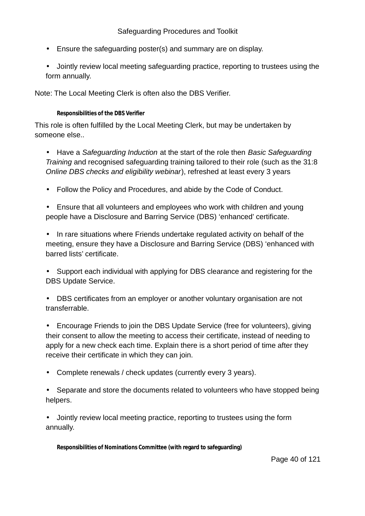- Ensure the safeguarding poster(s) and summary are on display.
- Jointly review local meeting safeguarding practice, reporting to trustees using the form annually.

Note: The Local Meeting Clerk is often also the DBS Verifier.

**Responsibilities of the DBS Verifier** 

This role is often fulfilled by the Local Meeting Clerk, but may be undertaken by someone else..

 Have a *Safeguarding Induction* at the start of the role then *Basic Safeguarding Training* and recognised safeguarding training tailored to their role (such as the 31:8 *Online DBS checks and eligibility webinar*), refreshed at least every 3 years

Follow the Policy and Procedures, and abide by the Code of Conduct.

 Ensure that all volunteers and employees who work with children and young people have a Disclosure and Barring Service (DBS) 'enhanced' certificate.

 In rare situations where Friends undertake regulated activity on behalf of the meeting, ensure they have a Disclosure and Barring Service (DBS) 'enhanced with barred lists' certificate.

 Support each individual with applying for DBS clearance and registering for the DBS Update Service.

 DBS certificates from an employer or another voluntary organisation are not transferrable.

 Encourage Friends to join the DBS Update Service (free for volunteers), giving their consent to allow the meeting to access their certificate, instead of needing to apply for a new check each time. Explain there is a short period of time after they receive their certificate in which they can join.

Complete renewals / check updates (currently every 3 years).

 Separate and store the documents related to volunteers who have stopped being helpers.

 Jointly review local meeting practice, reporting to trustees using the form annually.

**Responsibilities of Nominations Committee (with regard to safeguarding)**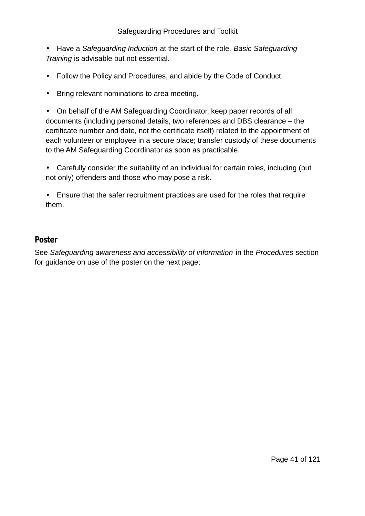Have a *Safeguarding Induction* at the start of the role. *Basic Safeguarding Training* is advisable but not essential.

- Follow the Policy and Procedures, and abide by the Code of Conduct.
- Bring relevant nominations to area meeting.

 On behalf of the AM Safeguarding Coordinator, keep paper records of all documents (including personal details, two references and DBS clearance – the certificate number and date, not the certificate itself) related to the appointment of each volunteer or employee in a secure place; transfer custody of these documents to the AM Safeguarding Coordinator as soon as practicable.

 Carefully consider the suitability of an individual for certain roles, including (but not only) offenders and those who may pose a risk.

 Ensure that the safer recruitment practices are used for the roles that require them.

# **Poster**

See *Safeguarding awareness and accessibility of information* in the *Procedures* section for guidance on use of the poster on the next page;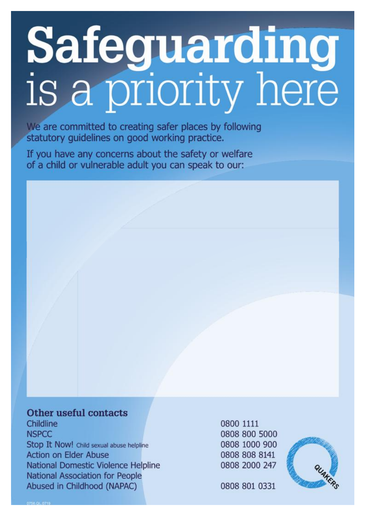# Safeguarding<br>is a priority here

We are committed to creating safer places by following statutory guidelines on good working practice.

If you have any concerns about the safety or welfare of a child or vulnerable adult you can speak to our:

# Other useful contacts

Childline **NSPCC** Stop It Now! Child sexual abuse helpline **Action on Elder Abuse** National Domestic Violence Helpline **National Association for People** Abused in Childhood (NAPAC)

0800 1111 0808 800 5000 0808 1000 900



0808 801 0331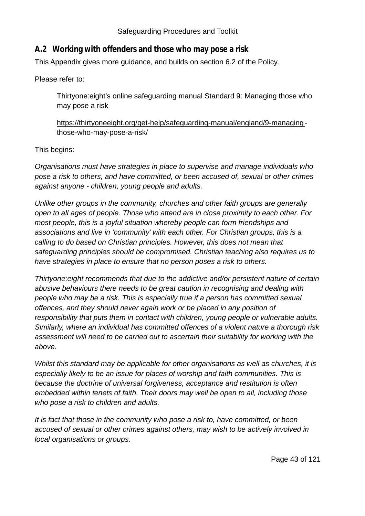# **A.2 Working with offenders and those who may pose a risk**

This Appendix gives more guidance, and builds on section 6.2 of the Policy.

Please refer to:

Thirtyone:eight's online safeguarding manual Standard 9: Managing those who may pose a risk

<https://thirtyoneeight.org/get-help/safeguarding-manual/england/9-managing> those-who-may-pose-a-risk/

This begins:

*Organisations must have strategies in place to supervise and manage individuals who pose a risk to others, and have committed, or been accused of, sexual or other crimes against anyone - children, young people and adults.*

*Unlike other groups in the community, churches and other faith groups are generally open to all ages of people. Those who attend are in close proximity to each other. For most people, this is a joyful situation whereby people can form friendships and associations and live in 'community' with each other. For Christian groups, this is a calling to do based on Christian principles. However, this does not mean that safeguarding principles should be compromised. Christian teaching also requires us to have strategies in place to ensure that no person poses a risk to others.*

*Thirtyone:eight recommends that due to the addictive and/or persistent nature of certain abusive behaviours there needs to be great caution in recognising and dealing with people who may be a risk. This is especially true if a person has committed sexual offences, and they should never again work or be placed in any position of responsibility that puts them in contact with children, young people or vulnerable adults. Similarly, where an individual has committed offences of a violent nature a thorough risk assessment will need to be carried out to ascertain their suitability for working with the above.*

*Whilst this standard may be applicable for other organisations as well as churches, it is especially likely to be an issue for places of worship and faith communities. This is because the doctrine of universal forgiveness, acceptance and restitution is often embedded within tenets of faith. Their doors may well be open to all, including those who pose a risk to children and adults.* 

*It is fact that those in the community who pose a risk to, have committed, or been accused of sexual or other crimes against others, may wish to be actively involved in local organisations or groups.*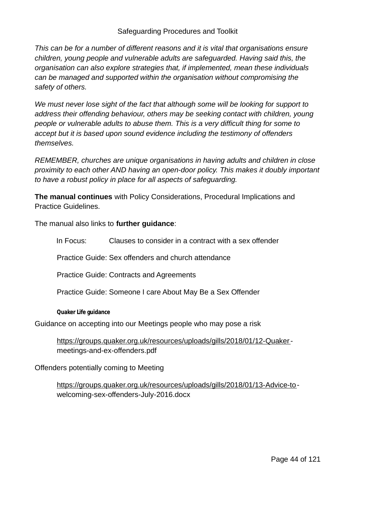*This can be for a number of different reasons and it is vital that organisations ensure children, young people and vulnerable adults are safeguarded. Having said this, the organisation can also explore strategies that, if implemented, mean these individuals can be managed and supported within the organisation without compromising the safety of others.*

*We must never lose sight of the fact that although some will be looking for support to address their offending behaviour, others may be seeking contact with children, young people or vulnerable adults to abuse them. This is a very difficult thing for some to accept but it is based upon sound evidence including the testimony of offenders themselves.*

*REMEMBER, churches are unique organisations in having adults and children in close proximity to each other AND having an open-door policy. This makes it doubly important to have a robust policy in place for all aspects of safeguarding.*

**The manual continues** with Policy Considerations, Procedural Implications and Practice Guidelines.

The manual also links to **further guidance**:

In Focus: Clauses to consider in a contract with a sex offender

Practice Guide: Sex offenders and church attendance

Practice Guide: Contracts and Agreements

Practice Guide: Someone I care About May Be a Sex Offender

**Quaker Life guidance** 

Guidance on accepting into our Meetings people who may pose a risk

<https://groups.quaker.org.uk/resources/uploads/gills/2018/01/12-Quaker>meetings-and-ex-offenders.pdf

Offenders potentially coming to Meeting

<https://groups.quaker.org.uk/resources/uploads/gills/2018/01/13-Advice-to>welcoming-sex-offenders-July-2016.docx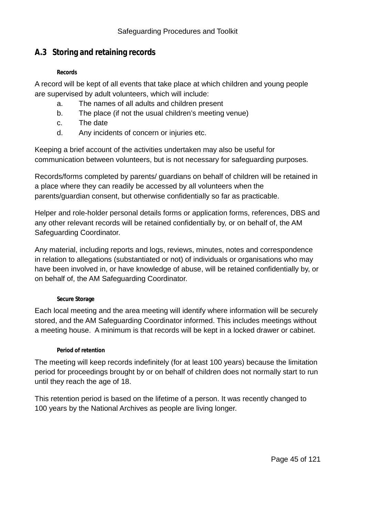# **A.3 Storing and retaining records**

#### **Records**

A record will be kept of all events that take place at which children and young people are supervised by adult volunteers, which will include:

- a. The names of all adults and children present
- b. The place (if not the usual children's meeting venue)
- c. The date
- d. Any incidents of concern or injuries etc.

Keeping a brief account of the activities undertaken may also be useful for communication between volunteers, but is not necessary for safeguarding purposes.

Records/forms completed by parents/ guardians on behalf of children will be retained in a place where they can readily be accessed by all volunteers when the parents/guardian consent, but otherwise confidentially so far as practicable.

Helper and role-holder personal details forms or application forms, references, DBS and any other relevant records will be retained confidentially by, or on behalf of, the AM Safeguarding Coordinator.

Any material, including reports and logs, reviews, minutes, notes and correspondence in relation to allegations (substantiated or not) of individuals or organisations who may have been involved in, or have knowledge of abuse, will be retained confidentially by, or on behalf of, the AM Safeguarding Coordinator.

## **Secure Storage**

Each local meeting and the area meeting will identify where information will be securely stored, and the AM Safeguarding Coordinator informed. This includes meetings without a meeting house. A minimum is that records will be kept in a locked drawer or cabinet.

## **Period of retention**

The meeting will keep records indefinitely (for at least 100 years) because the limitation period for proceedings brought by or on behalf of children does not normally start to run until they reach the age of 18.

This retention period is based on the lifetime of a person. It was recently changed to 100 years by the National Archives as people are living longer.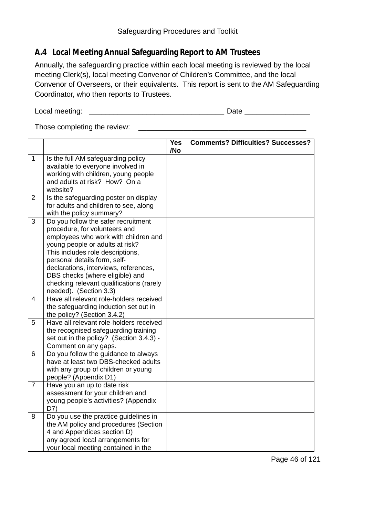# **A.4 Local Meeting Annual Safeguarding Report to AM Trustees**

Annually, the safeguarding practice within each local meeting is reviewed by the local meeting Clerk(s), local meeting Convenor of Children's Committee, and the local Convenor of Overseers, or their equivalents. This report is sent to the AM Safeguarding Coordinator, who then reports to Trustees.

Local meeting: \_\_\_\_\_\_\_\_\_\_\_\_\_\_\_\_\_\_\_\_\_\_\_\_\_\_\_\_\_\_\_\_\_ Date \_\_\_\_\_\_\_\_\_\_\_\_\_\_\_\_

Those completing the review: \_\_\_\_\_\_\_\_\_\_\_\_\_\_\_\_\_\_\_\_\_\_\_\_\_\_\_\_\_\_\_\_\_\_\_\_\_\_\_\_\_

|                |                                                              | <b>Yes</b><br>/No | <b>Comments? Difficulties? Successes?</b> |
|----------------|--------------------------------------------------------------|-------------------|-------------------------------------------|
| $\mathbf{1}$   | Is the full AM safeguarding policy                           |                   |                                           |
|                | available to everyone involved in                            |                   |                                           |
|                | working with children, young people                          |                   |                                           |
|                | and adults at risk? How? On a                                |                   |                                           |
|                | website?                                                     |                   |                                           |
| $\overline{2}$ | Is the safeguarding poster on display                        |                   |                                           |
|                | for adults and children to see, along                        |                   |                                           |
|                | with the policy summary?                                     |                   |                                           |
| 3              | Do you follow the safer recruitment                          |                   |                                           |
|                | procedure, for volunteers and                                |                   |                                           |
|                | employees who work with children and                         |                   |                                           |
|                | young people or adults at risk?                              |                   |                                           |
|                | This includes role descriptions,                             |                   |                                           |
|                | personal details form, self-                                 |                   |                                           |
|                | declarations, interviews, references,                        |                   |                                           |
|                | DBS checks (where eligible) and                              |                   |                                           |
|                | checking relevant qualifications (rarely                     |                   |                                           |
|                | needed). (Section 3.3)                                       |                   |                                           |
| $\overline{4}$ | Have all relevant role-holders received                      |                   |                                           |
|                | the safeguarding induction set out in                        |                   |                                           |
|                | the policy? (Section 3.4.2)                                  |                   |                                           |
| 5              | Have all relevant role-holders received                      |                   |                                           |
|                | the recognised safeguarding training                         |                   |                                           |
|                | set out in the policy? (Section 3.4.3) -                     |                   |                                           |
| 6              | Comment on any gaps.<br>Do you follow the guidance to always |                   |                                           |
|                | have at least two DBS-checked adults                         |                   |                                           |
|                | with any group of children or young                          |                   |                                           |
|                | people? (Appendix D1)                                        |                   |                                           |
| $\overline{7}$ | Have you an up to date risk                                  |                   |                                           |
|                | assessment for your children and                             |                   |                                           |
|                | young people's activities? (Appendix                         |                   |                                           |
|                | D7)                                                          |                   |                                           |
| 8              | Do you use the practice guidelines in                        |                   |                                           |
|                | the AM policy and procedures (Section                        |                   |                                           |
|                | 4 and Appendices section D)                                  |                   |                                           |
|                | any agreed local arrangements for                            |                   |                                           |
|                | your local meeting contained in the                          |                   |                                           |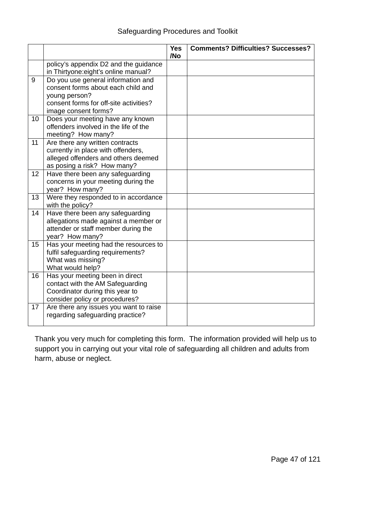|    |                                                                                                                                                             | <b>Yes</b><br>/No | <b>Comments? Difficulties? Successes?</b> |
|----|-------------------------------------------------------------------------------------------------------------------------------------------------------------|-------------------|-------------------------------------------|
|    | policy's appendix D2 and the guidance<br>in Thirtyone: eight's online manual?                                                                               |                   |                                           |
| 9  | Do you use general information and<br>consent forms about each child and<br>young person?<br>consent forms for off-site activities?<br>image consent forms? |                   |                                           |
| 10 | Does your meeting have any known<br>offenders involved in the life of the<br>meeting? How many?                                                             |                   |                                           |
| 11 | Are there any written contracts<br>currently in place with offenders,<br>alleged offenders and others deemed<br>as posing a risk? How many?                 |                   |                                           |
| 12 | Have there been any safeguarding<br>concerns in your meeting during the<br>year? How many?                                                                  |                   |                                           |
| 13 | Were they responded to in accordance<br>with the policy?                                                                                                    |                   |                                           |
| 14 | Have there been any safeguarding<br>allegations made against a member or<br>attender or staff member during the<br>year? How many?                          |                   |                                           |
| 15 | Has your meeting had the resources to<br>fulfil safeguarding requirements?<br>What was missing?<br>What would help?                                         |                   |                                           |
| 16 | Has your meeting been in direct<br>contact with the AM Safeguarding<br>Coordinator during this year to<br>consider policy or procedures?                    |                   |                                           |
| 17 | Are there any issues you want to raise<br>regarding safeguarding practice?                                                                                  |                   |                                           |

Thank you very much for completing this form. The information provided will help us to support you in carrying out your vital role of safeguarding all children and adults from harm, abuse or neglect.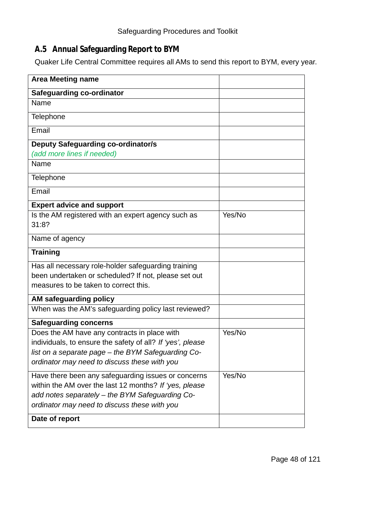# **A.5 Annual Safeguarding Report to BYM**

Quaker Life Central Committee requires all AMs to send this report to BYM, every year.

| <b>Area Meeting name</b>                                                                                    |        |
|-------------------------------------------------------------------------------------------------------------|--------|
| <b>Safeguarding co-ordinator</b>                                                                            |        |
| Name                                                                                                        |        |
| Telephone                                                                                                   |        |
| Email                                                                                                       |        |
| <b>Deputy Safeguarding co-ordinator/s</b>                                                                   |        |
| (add more lines if needed)                                                                                  |        |
| Name                                                                                                        |        |
| Telephone                                                                                                   |        |
| Email                                                                                                       |        |
| <b>Expert advice and support</b>                                                                            |        |
| Is the AM registered with an expert agency such as<br>31:8?                                                 | Yes/No |
| Name of agency                                                                                              |        |
| <b>Training</b>                                                                                             |        |
| Has all necessary role-holder safeguarding training<br>been undertaken or scheduled? If not, please set out |        |
| measures to be taken to correct this.                                                                       |        |
| <b>AM safeguarding policy</b>                                                                               |        |
| When was the AM's safeguarding policy last reviewed?                                                        |        |
| <b>Safeguarding concerns</b>                                                                                |        |
| Does the AM have any contracts in place with                                                                | Yes/No |
| individuals, to ensure the safety of all? If 'yes', please                                                  |        |
| list on a separate page – the BYM Safeguarding Co-                                                          |        |
| ordinator may need to discuss these with you                                                                |        |
| Have there been any safeguarding issues or concerns                                                         | Yes/No |
| within the AM over the last 12 months? If 'yes, please                                                      |        |
| add notes separately - the BYM Safeguarding Co-                                                             |        |
| ordinator may need to discuss these with you                                                                |        |
| Date of report                                                                                              |        |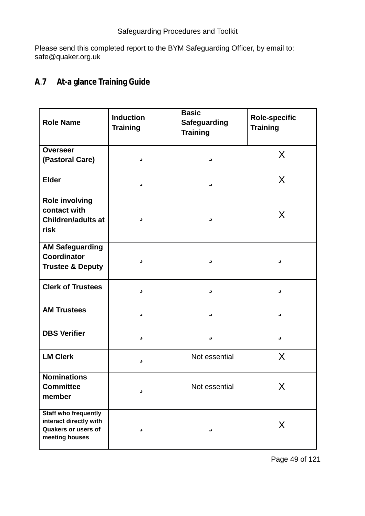Please send this completed report to the BYM Safeguarding Officer, by email to: [safe@quaker.org.uk](mailto:safe@quaker.org.uk)

# **A**.**7 At-a glance Training Guide**

| <b>Role Name</b>                                                                                      | <b>Induction</b><br><b>Training</b> | <b>Basic</b><br><b>Safeguarding</b><br><b>Training</b> | <b>Role-specific</b><br><b>Training</b> |
|-------------------------------------------------------------------------------------------------------|-------------------------------------|--------------------------------------------------------|-----------------------------------------|
| <b>Overseer</b><br>(Pastoral Care)                                                                    | ü                                   | ü                                                      | X                                       |
| <b>Elder</b>                                                                                          | ü                                   | ü                                                      | X                                       |
| <b>Role involving</b><br>contact with<br><b>Children/adults at</b><br>risk                            | ü                                   | ü                                                      | X                                       |
| <b>AM Safeguarding</b><br><b>Coordinator</b><br><b>Trustee &amp; Deputy</b>                           | ü                                   | ü                                                      | ü                                       |
| <b>Clerk of Trustees</b>                                                                              | ü                                   | ü                                                      | ü                                       |
| <b>AM Trustees</b>                                                                                    | ü                                   | ü                                                      | ü                                       |
| <b>DBS Verifier</b>                                                                                   | ü                                   | ü                                                      | ü                                       |
| <b>LM Clerk</b>                                                                                       | ü                                   | Not essential                                          | X                                       |
| <b>Nominations</b><br><b>Committee</b><br>member                                                      | ü                                   | Not essential                                          | X                                       |
| <b>Staff who frequently</b><br>interact directly with<br><b>Quakers or users of</b><br>meeting houses | ü                                   | ü                                                      | X                                       |

Page 49 of 121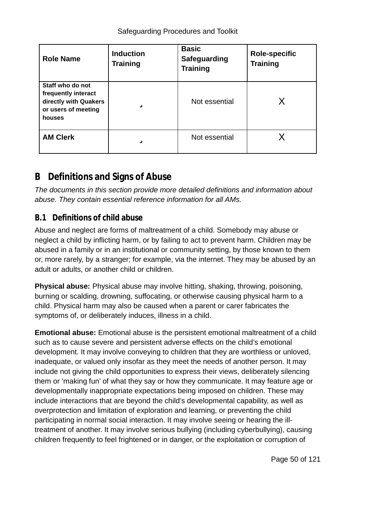| <b>Role Name</b>                                                                                  | <b>Induction</b><br><b>Training</b> | <b>Basic</b><br>Safeguarding<br><b>Training</b> | <b>Role-specific</b><br><b>Training</b> |
|---------------------------------------------------------------------------------------------------|-------------------------------------|-------------------------------------------------|-----------------------------------------|
| Staff who do not<br>frequently interact<br>directly with Quakers<br>or users of meeting<br>houses | Ũ                                   | Not essential                                   | X                                       |
| <b>AM Clerk</b>                                                                                   | $\bullet\bullet$<br>l I             | Not essential                                   |                                         |

# **B Definitions and Signs of Abuse**

*The documents in this section provide more detailed definitions and information about abuse. They contain essential reference information for all AMs.*

# **B.1 Definitions of child abuse**

Abuse and neglect are forms of maltreatment of a child. Somebody may abuse or neglect a child by inflicting harm, or by failing to act to prevent harm. Children may be abused in a family or in an institutional or community setting, by those known to them or, more rarely, by a stranger; for example, via the internet. They may be abused by an adult or adults, or another child or children.

**Physical abuse:** Physical abuse may involve hitting, shaking, throwing, poisoning, burning or scalding, drowning, suffocating, or otherwise causing physical harm to a child. Physical harm may also be caused when a parent or carer fabricates the symptoms of, or deliberately induces, illness in a child.

**Emotional abuse:** Emotional abuse is the persistent emotional maltreatment of a child such as to cause severe and persistent adverse effects on the child's emotional development. It may involve conveying to children that they are worthless or unloved, inadequate, or valued only insofar as they meet the needs of another person. It may include not giving the child opportunities to express their views, deliberately silencing them or 'making fun' of what they say or how they communicate. It may feature age or developmentally inappropriate expectations being imposed on children. These may include interactions that are beyond the child's developmental capability, as well as overprotection and limitation of exploration and learning, or preventing the child participating in normal social interaction. It may involve seeing or hearing the illtreatment of another. It may involve serious bullying (including cyberbullying), causing children frequently to feel frightened or in danger, or the exploitation or corruption of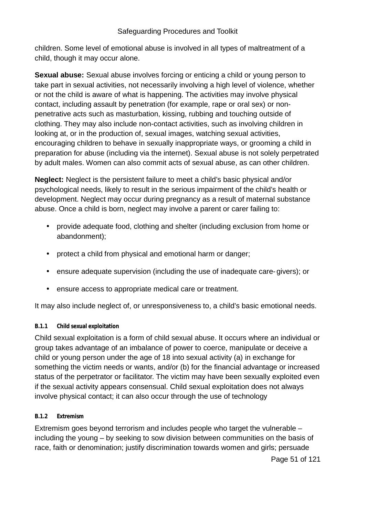children. Some level of emotional abuse is involved in all types of maltreatment of a child, though it may occur alone.

**Sexual abuse:** Sexual abuse involves forcing or enticing a child or young person to take part in sexual activities, not necessarily involving a high level of violence, whether or not the child is aware of what is happening. The activities may involve physical contact, including assault by penetration (for example, rape or oral sex) or nonpenetrative acts such as masturbation, kissing, rubbing and touching outside of clothing. They may also include non-contact activities, such as involving children in looking at, or in the production of, sexual images, watching sexual activities, encouraging children to behave in sexually inappropriate ways, or grooming a child in preparation for abuse (including via the internet). Sexual abuse is not solely perpetrated by adult males. Women can also commit acts of sexual abuse, as can other children.

**Neglect:** Neglect is the persistent failure to meet a child's basic physical and/or psychological needs, likely to result in the serious impairment of the child's health or development. Neglect may occur during pregnancy as a result of maternal substance abuse. Once a child is born, neglect may involve a parent or carer failing to:

- provide adequate food, clothing and shelter (including exclusion from home or abandonment);
- protect a child from physical and emotional harm or danger;
- ensure adequate supervision (including the use of inadequate care- givers); or
- ensure access to appropriate medical care or treatment.

It may also include neglect of, or unresponsiveness to, a child's basic emotional needs.

## **B.1.1 Child sexual exploitation**

Child sexual exploitation is a form of child sexual abuse. It occurs where an individual or group takes advantage of an imbalance of power to coerce, manipulate or deceive a child or young person under the age of 18 into sexual activity (a) in exchange for something the victim needs or wants, and/or (b) for the financial advantage or increased status of the perpetrator or facilitator. The victim may have been sexually exploited even if the sexual activity appears consensual. Child sexual exploitation does not always involve physical contact; it can also occur through the use of technology

## **B.1.2 Extremism**

Extremism goes beyond terrorism and includes people who target the vulnerable – including the young – by seeking to sow division between communities on the basis of race, faith or denomination; justify discrimination towards women and girls; persuade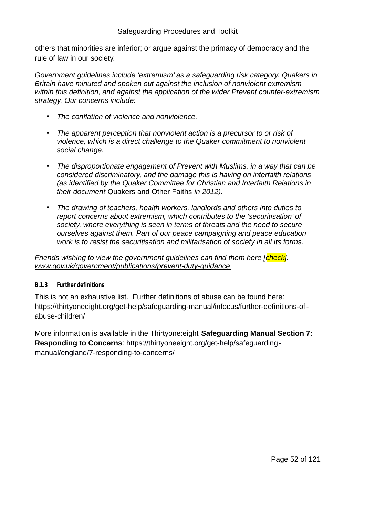others that minorities are inferior; or argue against the primacy of democracy and the rule of law in our society.

*Government guidelines include 'extremism' as a safeguarding risk category. Quakers in Britain have minuted and spoken out against the inclusion of nonviolent extremism within this definition, and against the application of the wider Prevent counter-extremism strategy. Our concerns include:*

- *The conflation of violence and nonviolence.*
- *The apparent perception that nonviolent action is a precursor to or risk of violence, which is a direct challenge to the Quaker commitment to nonviolent social change.*
- *The disproportionate engagement of Prevent with Muslims, in a way that can be*   $\mathbf{r}$ *considered discriminatory, and the damage this is having on interfaith relations (as identified by the Quaker Committee for Christian and Interfaith Relations in their document* Quakers and Other Faiths *in 2012).*
- *The drawing of teachers, health workers, landlords and others into duties to*  L. *report concerns about extremism, which contributes to the 'securitisation' of society, where everything is seen in terms of threats and the need to secure ourselves against them. Part of our peace campaigning and peace education work is to resist the securitisation and militarisation of society in all its forms.*

*Friends wishing to view the government guidelines can find them here [check]. [www.gov.uk/government/publications/prevent-duty-guidance](http://www.gov.uk/government/publications/prevent-duty-guidance)*

## **B.1.3 Further definitions**

This is not an exhaustive list. Further definitions of abuse can be found here: <https://thirtyoneeight.org/get-help/safeguarding-manual/infocus/further-definitions-of>abuse-children/

More information is available in the Thirtyone:eight **Safeguarding Manual Section 7: Responding to Concerns**:<https://thirtyoneeight.org/get-help/safeguarding>manual/england/7-responding-to-concerns/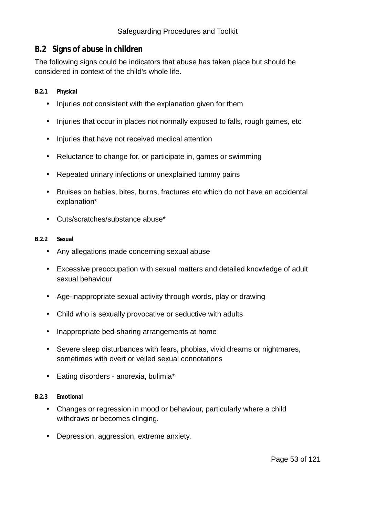# **B.2 Signs of abuse in children**

The following signs could be indicators that abuse has taken place but should be considered in context of the child's whole life.

- **B.2.1 Physical** 
	- Injuries not consistent with the explanation given for them
	- Injuries that occur in places not normally exposed to falls, rough games, etc
	- Injuries that have not received medical attention
	- Reluctance to change for, or participate in, games or swimming
	- Repeated urinary infections or unexplained tummy pains
	- Bruises on babies, bites, burns, fractures etc which do not have an accidental explanation\*
	- Cuts/scratches/substance abuse\*
- **B.2.2 Sexual** 
	- Any allegations made concerning sexual abuse
	- Excessive preoccupation with sexual matters and detailed knowledge of adult sexual behaviour
	- Age-inappropriate sexual activity through words, play or drawing
	- Child who is sexually provocative or seductive with adults
	- Inappropriate bed-sharing arrangements at home
	- Severe sleep disturbances with fears, phobias, vivid dreams or nightmares, sometimes with overt or veiled sexual connotations
	- Eating disorders anorexia, bulimia\*
- **B.2.3 Emotional** 
	- Changes or regression in mood or behaviour, particularly where a child withdraws or becomes clinging.
	- Depression, aggression, extreme anxiety.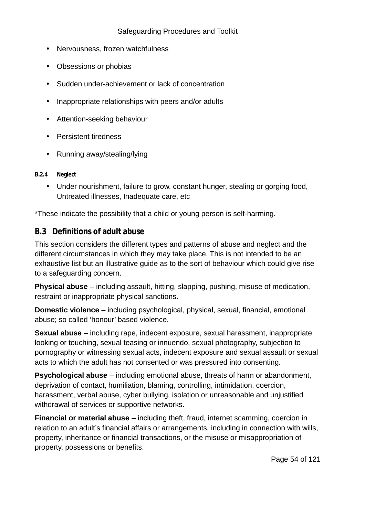- Nervousness, frozen watchfulness
- Obsessions or phobias
- Sudden under-achievement or lack of concentration
- Inappropriate relationships with peers and/or adults
- Attention-seeking behaviour
- Persistent tiredness
- Running away/stealing/lying  $\mathbf{r}$
- **B.2.4 Neglect** 
	- Under nourishment, failure to grow, constant hunger, stealing or gorging food, Untreated illnesses, Inadequate care, etc

\*These indicate the possibility that a child or young person is self-harming.

# **B.3 Definitions of adult abuse**

This section considers the different types and patterns of abuse and neglect and the different circumstances in which they may take place. This is not intended to be an exhaustive list but an illustrative guide as to the sort of behaviour which could give rise to a safeguarding concern.

**Physical abuse** – including assault, hitting, slapping, pushing, misuse of medication, restraint or inappropriate physical sanctions.

**Domestic violence** – including psychological, physical, sexual, financial, emotional abuse; so called 'honour' based violence.

**Sexual abuse** – including rape, indecent exposure, sexual harassment, inappropriate looking or touching, sexual teasing or innuendo, sexual photography, subjection to pornography or witnessing sexual acts, indecent exposure and sexual assault or sexual acts to which the adult has not consented or was pressured into consenting.

**Psychological abuse** – including emotional abuse, threats of harm or abandonment, deprivation of contact, humiliation, blaming, controlling, intimidation, coercion, harassment, verbal abuse, cyber bullying, isolation or unreasonable and unjustified withdrawal of services or supportive networks.

**Financial or material abuse** – including theft, fraud, internet scamming, coercion in relation to an adult's financial affairs or arrangements, including in connection with wills, property, inheritance or financial transactions, or the misuse or misappropriation of property, possessions or benefits.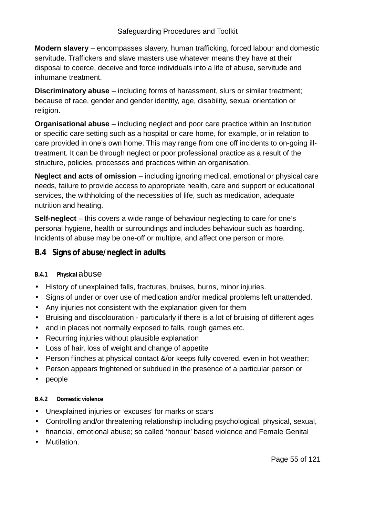**Modern slavery** – encompasses slavery, human trafficking, forced labour and domestic servitude. Traffickers and slave masters use whatever means they have at their disposal to coerce, deceive and force individuals into a life of abuse, servitude and inhumane treatment.

**Discriminatory abuse** – including forms of harassment, slurs or similar treatment; because of race, gender and gender identity, age, disability, sexual orientation or religion.

**Organisational abuse** – including neglect and poor care practice within an Institution or specific care setting such as a hospital or care home, for example, or in relation to care provided in one's own home. This may range from one off incidents to on-going illtreatment. It can be through neglect or poor professional practice as a result of the structure, policies, processes and practices within an organisation.

**Neglect and acts of omission** – including ignoring medical, emotional or physical care needs, failure to provide access to appropriate health, care and support or educational services, the withholding of the necessities of life, such as medication, adequate nutrition and heating.

**Self-neglect** – this covers a wide range of behaviour neglecting to care for one's personal hygiene, health or surroundings and includes behaviour such as hoarding. Incidents of abuse may be one-off or multiple, and affect one person or more.

# **B.4 Signs of abuse/neglect in adults**

## **B.4.1 Physical** abuse

- History of unexplained falls, fractures, bruises, burns, minor injuries.  $\ddot{\phantom{a}}$
- Signs of under or over use of medication and/or medical problems left unattended.
- Any injuries not consistent with the explanation given for them
- Bruising and discolouration particularly if there is a lot of bruising of different ages
- and in places not normally exposed to falls, rough games etc.
- Recurring injuries without plausible explanation
- Loss of hair, loss of weight and change of appetite
- Person flinches at physical contact &/or keeps fully covered, even in hot weather;
- Person appears frightened or subdued in the presence of a particular person or
- · people

## **B.4.2 Domestic violence**

- Unexplained injuries or 'excuses' for marks or scars
- Controlling and/or threatening relationship including psychological, physical, sexual,
- financial, emotional abuse; so called 'honour' based violence and Female Genital  $\mathbf{r}$
- Mutilation.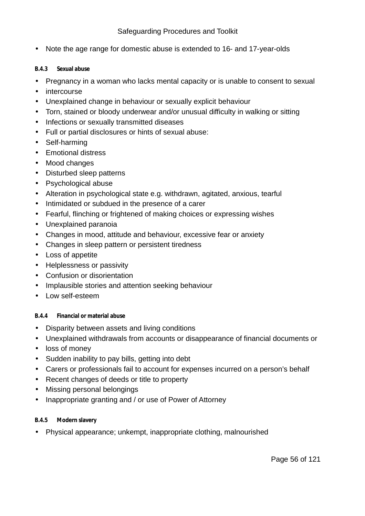Note the age range for domestic abuse is extended to 16- and 17-year-olds

#### **B.4.3 Sexual abuse**

- Pregnancy in a woman who lacks mental capacity or is unable to consent to sexual
- intercourse
- Unexplained change in behaviour or sexually explicit behaviour
- Torn, stained or bloody underwear and/or unusual difficulty in walking or sitting
- . Infections or sexually transmitted diseases
- Full or partial disclosures or hints of sexual abuse:
- Self-harming
- Emotional distress
- . Mood changes
- Disturbed sleep patterns
- Psychological abuse
- Alteration in psychological state e.g. withdrawn, agitated, anxious, tearful
- Intimidated or subdued in the presence of a carer
- Fearful, flinching or frightened of making choices or expressing wishes
- Unexplained paranoia
- Changes in mood, attitude and behaviour, excessive fear or anxiety
- Changes in sleep pattern or persistent tiredness
- Loss of appetite
- Helplessness or passivity
- Confusion or disorientation
- Implausible stories and attention seeking behaviour
- Low self-esteem

#### **B.4.4 Financial or material abuse**

- Disparity between assets and living conditions
- Unexplained withdrawals from accounts or disappearance of financial documents or
- loss of money
- Sudden inability to pay bills, getting into debt
- Carers or professionals fail to account for expenses incurred on a person's behalf
- Recent changes of deeds or title to property
- Missing personal belongings
- Inappropriate granting and / or use of Power of Attorney

#### **B.4.5 Modern slavery**

Physical appearance; unkempt, inappropriate clothing, malnourished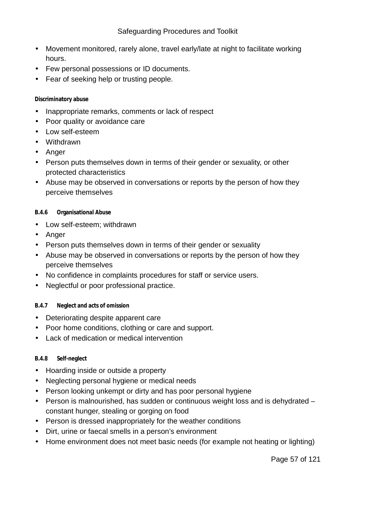- Movement monitored, rarely alone, travel early/late at night to facilitate working hours.
- Few personal possessions or ID documents.
- Fear of seeking help or trusting people.

#### **Discriminatory abuse**

- . Inappropriate remarks, comments or lack of respect
- Poor quality or avoidance care
- Low self-esteem
- Withdrawn
- Anger
- Person puts themselves down in terms of their gender or sexuality, or other protected characteristics
- Abuse may be observed in conversations or reports by the person of how they perceive themselves

#### **B.4.6 Organisational Abuse**

- Low self-esteem; withdrawn
- Anger
- Person puts themselves down in terms of their gender or sexuality
- Abuse may be observed in conversations or reports by the person of how they perceive themselves
- No confidence in complaints procedures for staff or service users.
- Neglectful or poor professional practice.

#### **B.4.7 Neglect and acts of omission**

- Deteriorating despite apparent care
- Poor home conditions, clothing or care and support.
- Lack of medication or medical intervention

#### **B.4.8 Self-neglect**

- Hoarding inside or outside a property
- Neglecting personal hygiene or medical needs
- Person looking unkempt or dirty and has poor personal hygiene
- Person is malnourished, has sudden or continuous weight loss and is dehydrated constant hunger, stealing or gorging on food
- Person is dressed inappropriately for the weather conditions
- Dirt, urine or faecal smells in a person's environment
- Home environment does not meet basic needs (for example not heating or lighting)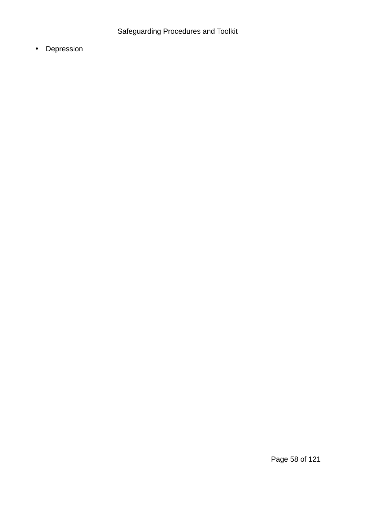Depression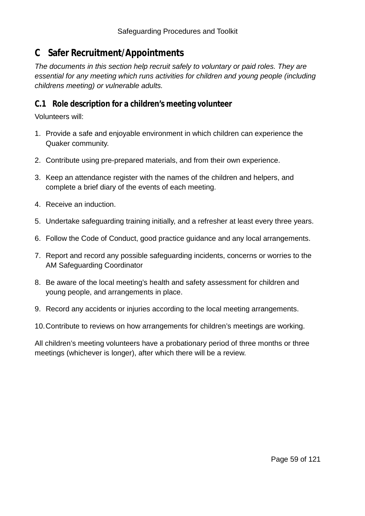# **C Safer Recruitment/Appointments**

*The documents in this section help recruit safely to voluntary or paid roles. They are essential for any meeting which runs activities for children and young people (including childrens meeting) or vulnerable adults.*

# **C.1 Role description for a children's meeting volunteer**

Volunteers will:

- 1. Provide a safe and enjoyable environment in which children can experience the Quaker community.
- 2. Contribute using pre-prepared materials, and from their own experience.
- 3. Keep an attendance register with the names of the children and helpers, and complete a brief diary of the events of each meeting.
- 4. Receive an induction.
- 5. Undertake safeguarding training initially, and a refresher at least every three years.
- 6. Follow the Code of Conduct, good practice guidance and any local arrangements.
- 7. Report and record any possible safeguarding incidents, concerns or worries to the AM Safeguarding Coordinator
- 8. Be aware of the local meeting's health and safety assessment for children and young people, and arrangements in place.
- 9. Record any accidents or injuries according to the local meeting arrangements.
- 10. Contribute to reviews on how arrangements for children's meetings are working.

All children's meeting volunteers have a probationary period of three months or three meetings (whichever is longer), after which there will be a review.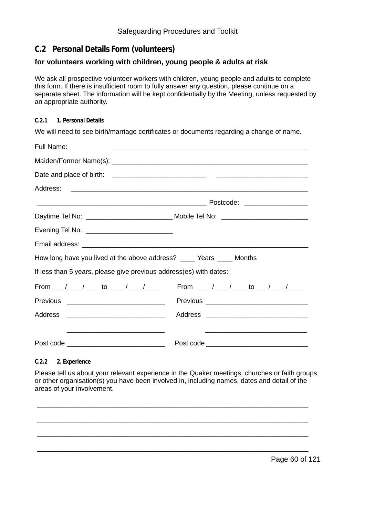# **C.2 Personal Details Form (volunteers)**

## **for volunteers working with children, young people & adults at risk**

We ask all prospective volunteer workers with children, young people and adults to complete this form. If there is insufficient room to fully answer any question, please continue on a separate sheet. The information will be kept confidentially by the Meeting, unless requested by an appropriate authority.

#### **C.2.1 1. Personal Details**

We will need to see birth/marriage certificates or documents regarding a change of name.

| Full Name:                                                           | <u> 1989 - Johann Barn, amerikan bernama di sebagai bernama di sebagai bernama di sebagai bernama di sebagai bern</u> |
|----------------------------------------------------------------------|-----------------------------------------------------------------------------------------------------------------------|
|                                                                      |                                                                                                                       |
|                                                                      |                                                                                                                       |
| Address:                                                             |                                                                                                                       |
|                                                                      |                                                                                                                       |
|                                                                      |                                                                                                                       |
| Evening Tel No: ___________________________                          |                                                                                                                       |
|                                                                      |                                                                                                                       |
| How long have you lived at the above address? ____ Years ____ Months |                                                                                                                       |
| If less than 5 years, please give previous address(es) with dates:   |                                                                                                                       |
| From __ /___ / ___ to __ / __ /___ From __ / __ /___ to __ / __ /___ |                                                                                                                       |
| Previous ________________________________                            |                                                                                                                       |
| Address _________________________________                            |                                                                                                                       |
|                                                                      |                                                                                                                       |
|                                                                      |                                                                                                                       |

#### **C.2.2 2. Experience**

Please tell us about your relevant experience in the Quaker meetings, churches or faith groups, or other organisation(s) you have been involved in, including names, dates and detail of the areas of your involvement.

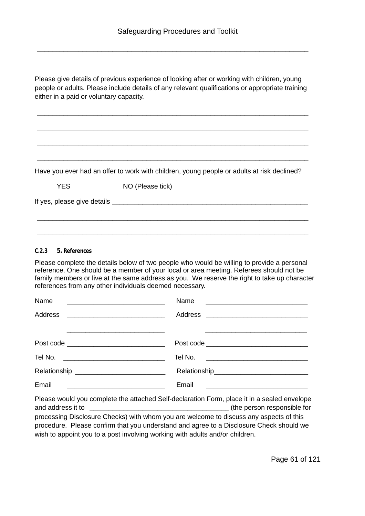Please give details of previous experience of looking after or working with children, young people or adults. Please include details of any relevant qualifications or appropriate training either in a paid or voluntary capacity.

\_\_\_\_\_\_\_\_\_\_\_\_\_\_\_\_\_\_\_\_\_\_\_\_\_\_\_\_\_\_\_\_\_\_\_\_\_\_\_\_\_\_\_\_\_\_\_\_\_\_\_\_\_\_\_\_\_\_\_\_\_\_\_\_\_\_\_\_\_\_\_\_

\_\_\_\_\_\_\_\_\_\_\_\_\_\_\_\_\_\_\_\_\_\_\_\_\_\_\_\_\_\_\_\_\_\_\_\_\_\_\_\_\_\_\_\_\_\_\_\_\_\_\_\_\_\_\_\_\_\_\_\_\_\_\_\_\_\_\_\_\_\_\_\_

\_\_\_\_\_\_\_\_\_\_\_\_\_\_\_\_\_\_\_\_\_\_\_\_\_\_\_\_\_\_\_\_\_\_\_\_\_\_\_\_\_\_\_\_\_\_\_\_\_\_\_\_\_\_\_\_\_\_\_\_\_\_\_\_\_\_\_\_\_\_\_\_

\_\_\_\_\_\_\_\_\_\_\_\_\_\_\_\_\_\_\_\_\_\_\_\_\_\_\_\_\_\_\_\_\_\_\_\_\_\_\_\_\_\_\_\_\_\_\_\_\_\_\_\_\_\_\_\_\_\_\_\_\_\_\_\_\_\_\_\_\_\_\_\_

\_\_\_\_\_\_\_\_\_\_\_\_\_\_\_\_\_\_\_\_\_\_\_\_\_\_\_\_\_\_\_\_\_\_\_\_\_\_\_\_\_\_\_\_\_\_\_\_\_\_\_\_\_\_\_\_\_\_\_\_\_\_\_\_\_\_\_\_\_\_\_\_

\_\_\_\_\_\_\_\_\_\_\_\_\_\_\_\_\_\_\_\_\_\_\_\_\_\_\_\_\_\_\_\_\_\_\_\_\_\_\_\_\_\_\_\_\_\_\_\_\_\_\_\_\_\_\_\_\_\_\_\_\_\_\_\_\_\_\_\_\_\_\_\_

\_\_\_\_\_\_\_\_\_\_\_\_\_\_\_\_\_\_\_\_\_\_\_\_\_\_\_\_\_\_\_\_\_\_\_\_\_\_\_\_\_\_\_\_\_\_\_\_\_\_\_\_\_\_\_\_\_\_\_\_\_\_\_\_\_\_\_\_\_\_\_\_

Have you ever had an offer to work with children, young people or adults at risk declined?

YES NO (Please tick)

If yes, please give details \_\_\_\_\_\_\_\_\_\_\_\_\_\_\_\_\_\_\_\_\_\_\_\_\_\_\_\_\_\_\_\_\_\_\_\_\_\_\_\_\_\_\_\_\_\_\_\_\_\_\_\_

**C.2.3 5. References** 

Please complete the details below of two people who would be willing to provide a personal reference. One should be a member of your local or area meeting. Referees should not be family members or live at the same address as you. We reserve the right to take up character references from any other individuals deemed necessary.

| Name<br><u> 1980 - Johann Barn, mars eta bainar eta bainar eta baina eta baina eta baina eta baina eta baina eta baina e</u>     | Name                                       |
|----------------------------------------------------------------------------------------------------------------------------------|--------------------------------------------|
| Address<br><u> 2000 - Jan James James James James James James James James James James James James James James James James Ja</u> |                                            |
|                                                                                                                                  |                                            |
|                                                                                                                                  |                                            |
| Tel No. <u>_____________________________</u>                                                                                     | Tel No. <u>___________________________</u> |
|                                                                                                                                  |                                            |
| Email<br><u> 2000 - Jan James James Barnett, fransk politik (d. 18</u>                                                           | Email                                      |

Please would you complete the attached Self-declaration Form, place it in a sealed envelope and address it to \_\_\_\_\_\_\_\_\_\_\_\_\_\_\_\_\_\_\_\_\_\_\_\_\_\_\_\_\_\_\_\_\_\_\_\_\_ (the person responsible for processing Disclosure Checks) with whom you are welcome to discuss any aspects of this procedure. Please confirm that you understand and agree to a Disclosure Check should we wish to appoint you to a post involving working with adults and/or children.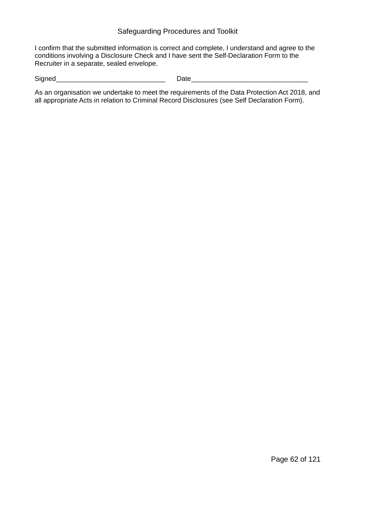I confirm that the submitted information is correct and complete, I understand and agree to the conditions involving a Disclosure Check and I have sent the Self-Declaration Form to the Recruiter in a separate, sealed envelope.

Signed **Example 2** Date  $\Box$ 

As an organisation we undertake to meet the requirements of the Data Protection Act 2018, and all appropriate Acts in relation to Criminal Record Disclosures (see Self Declaration Form).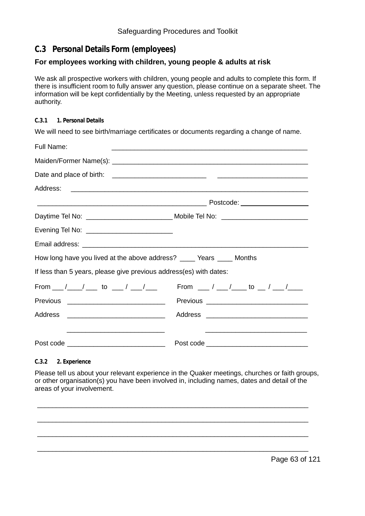# **C.3 Personal Details Form (employees)**

## **For employees working with children, young people & adults at risk**

We ask all prospective workers with children, young people and adults to complete this form. If there is insufficient room to fully answer any question, please continue on a separate sheet. The information will be kept confidentially by the Meeting, unless requested by an appropriate authority.

#### **C.3.1 1. Personal Details**

We will need to see birth/marriage certificates or documents regarding a change of name.

| Full Name:                                                           | <u> 1989 - Johann Barn, amerikan bernama di sebagai bernama di sebagai bernama di sebagai bernama di sebagai bern</u> |
|----------------------------------------------------------------------|-----------------------------------------------------------------------------------------------------------------------|
|                                                                      |                                                                                                                       |
|                                                                      |                                                                                                                       |
| Address:                                                             |                                                                                                                       |
|                                                                      |                                                                                                                       |
|                                                                      |                                                                                                                       |
| Evening Tel No: ___________________________                          |                                                                                                                       |
|                                                                      |                                                                                                                       |
| How long have you lived at the above address? ____ Years ____ Months |                                                                                                                       |
| If less than 5 years, please give previous address(es) with dates:   |                                                                                                                       |
| From __ /___ / ___ to __ / __ /___ From __ / __ /___ to __ / __ /___ |                                                                                                                       |
| Previous ________________________________                            |                                                                                                                       |
|                                                                      |                                                                                                                       |
|                                                                      |                                                                                                                       |
|                                                                      |                                                                                                                       |

#### **C.3.2 2. Experience**

Please tell us about your relevant experience in the Quaker meetings, churches or faith groups, or other organisation(s) you have been involved in, including names, dates and detail of the areas of your involvement.

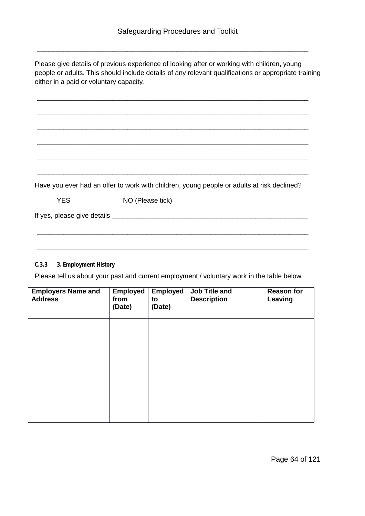\_\_\_\_\_\_\_\_\_\_\_\_\_\_\_\_\_\_\_\_\_\_\_\_\_\_\_\_\_\_\_\_\_\_\_\_\_\_\_\_\_\_\_\_\_\_\_\_\_\_\_\_\_\_\_\_\_\_\_\_\_\_\_\_\_\_\_\_\_\_\_\_

\_\_\_\_\_\_\_\_\_\_\_\_\_\_\_\_\_\_\_\_\_\_\_\_\_\_\_\_\_\_\_\_\_\_\_\_\_\_\_\_\_\_\_\_\_\_\_\_\_\_\_\_\_\_\_\_\_\_\_\_\_\_\_\_\_\_\_\_\_\_\_\_

\_\_\_\_\_\_\_\_\_\_\_\_\_\_\_\_\_\_\_\_\_\_\_\_\_\_\_\_\_\_\_\_\_\_\_\_\_\_\_\_\_\_\_\_\_\_\_\_\_\_\_\_\_\_\_\_\_\_\_\_\_\_\_\_\_\_\_\_\_\_\_\_

\_\_\_\_\_\_\_\_\_\_\_\_\_\_\_\_\_\_\_\_\_\_\_\_\_\_\_\_\_\_\_\_\_\_\_\_\_\_\_\_\_\_\_\_\_\_\_\_\_\_\_\_\_\_\_\_\_\_\_\_\_\_\_\_\_\_\_\_\_\_\_\_

\_\_\_\_\_\_\_\_\_\_\_\_\_\_\_\_\_\_\_\_\_\_\_\_\_\_\_\_\_\_\_\_\_\_\_\_\_\_\_\_\_\_\_\_\_\_\_\_\_\_\_\_\_\_\_\_\_\_\_\_\_\_\_\_\_\_\_\_\_\_\_\_

\_\_\_\_\_\_\_\_\_\_\_\_\_\_\_\_\_\_\_\_\_\_\_\_\_\_\_\_\_\_\_\_\_\_\_\_\_\_\_\_\_\_\_\_\_\_\_\_\_\_\_\_\_\_\_\_\_\_\_\_\_\_\_\_\_\_\_\_\_\_\_\_

\_\_\_\_\_\_\_\_\_\_\_\_\_\_\_\_\_\_\_\_\_\_\_\_\_\_\_\_\_\_\_\_\_\_\_\_\_\_\_\_\_\_\_\_\_\_\_\_\_\_\_\_\_\_\_\_\_\_\_\_\_\_\_\_\_\_\_\_\_\_\_\_

\_\_\_\_\_\_\_\_\_\_\_\_\_\_\_\_\_\_\_\_\_\_\_\_\_\_\_\_\_\_\_\_\_\_\_\_\_\_\_\_\_\_\_\_\_\_\_\_\_\_\_\_\_\_\_\_\_\_\_\_\_\_\_\_\_\_\_\_\_\_\_\_

\_\_\_\_\_\_\_\_\_\_\_\_\_\_\_\_\_\_\_\_\_\_\_\_\_\_\_\_\_\_\_\_\_\_\_\_\_\_\_\_\_\_\_\_\_\_\_\_\_\_\_\_\_\_\_\_\_\_\_\_\_\_\_\_\_\_\_\_\_\_\_\_

Please give details of previous experience of looking after or working with children, young people or adults. This should include details of any relevant qualifications or appropriate training either in a paid or voluntary capacity.

Have you ever had an offer to work with children, young people or adults at risk declined?

If yes, please give details **Example 20** and  $\overline{a}$  is the set of  $\overline{b}$  and  $\overline{c}$  is the set of  $\overline{a}$  is the set of  $\overline{a}$  is the set of  $\overline{a}$  is the set of  $\overline{a}$  is the set of  $\overline{a}$  is the set of  $\over$ 

#### **C.3.3 3. Employment History**

Please tell us about your past and current employment / voluntary work in the table below.

| <b>Employers Name and</b><br><b>Address</b> | <b>Employed</b><br>from<br>(Date) | <b>Employed</b><br>to<br>(Date) | <b>Job Title and</b><br><b>Description</b> | <b>Reason for</b><br>Leaving |
|---------------------------------------------|-----------------------------------|---------------------------------|--------------------------------------------|------------------------------|
|                                             |                                   |                                 |                                            |                              |
|                                             |                                   |                                 |                                            |                              |
|                                             |                                   |                                 |                                            |                              |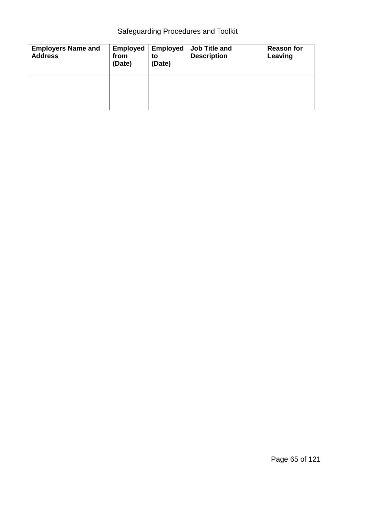| <b>Employers Name and</b><br><b>Address</b> | <b>Employed</b><br>from<br>(Date) | <b>Employed</b><br>to<br>(Date) | Job Title and<br><b>Description</b> | <b>Reason for</b><br>Leaving |
|---------------------------------------------|-----------------------------------|---------------------------------|-------------------------------------|------------------------------|
|                                             |                                   |                                 |                                     |                              |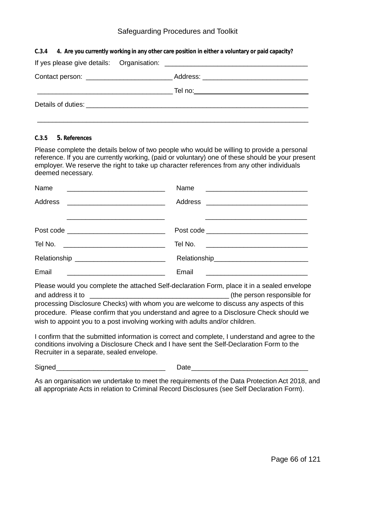| Details of duties: <b>Example 2018</b> |  |  |  |  |
|----------------------------------------|--|--|--|--|
|                                        |  |  |  |  |

#### **C.3.5 5. References**

Please complete the details below of two people who would be willing to provide a personal reference. If you are currently working, (paid or voluntary) one of these should be your present employer. We reserve the right to take up character references from any other individuals deemed necessary.

| Name                                                   |
|--------------------------------------------------------|
|                                                        |
|                                                        |
|                                                        |
|                                                        |
|                                                        |
| Email<br><u> 1980 - Andrea Andrew Maria (h. 1980).</u> |
|                                                        |

Please would you complete the attached Self-declaration Form, place it in a sealed envelope and address it to **and address** it to **and address it to**  $\qquad \qquad$  (the person responsible for processing Disclosure Checks) with whom you are welcome to discuss any aspects of this procedure. Please confirm that you understand and agree to a Disclosure Check should we wish to appoint you to a post involving working with adults and/or children.

I confirm that the submitted information is correct and complete, I understand and agree to the conditions involving a Disclosure Check and I have sent the Self-Declaration Form to the Recruiter in a separate, sealed envelope.

Signed \_\_\_\_\_\_\_\_\_\_\_\_\_\_\_\_\_\_\_\_\_\_\_\_\_\_\_\_\_ Date \_\_\_\_\_\_\_\_\_\_\_\_\_\_\_\_\_\_\_\_\_\_\_\_\_\_\_\_\_\_\_

| )ate |  |  |
|------|--|--|
|      |  |  |

As an organisation we undertake to meet the requirements of the Data Protection Act 2018, and all appropriate Acts in relation to Criminal Record Disclosures (see Self Declaration Form).

Page 66 of 121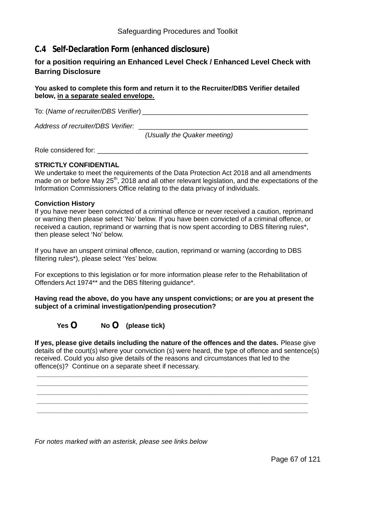# **C.4 Self-Declaration Form (enhanced disclosure)**

# **for a position requiring an Enhanced Level Check / Enhanced Level Check with Barring Disclosure**

#### **You asked to complete this form and return it to the Recruiter/DBS Verifier detailed below, in a separate sealed envelope.**

To: (Name of recruiter/DBS Verifier)

*Address of recruiter/DBS Verifier:* \_\_\_\_\_\_\_\_\_\_\_\_\_\_\_\_\_\_\_\_\_\_\_\_\_\_\_\_\_\_\_\_\_\_\_\_\_\_\_\_\_\_\_\_\_

*(Usually the Quaker meeting)*

Role considered for:

#### **STRICTLY CONFIDENTIAL**

We undertake to meet the requirements of the Data Protection Act 2018 and all amendments made on or before May  $25<sup>th</sup>$ , 2018 and all other relevant legislation, and the expectations of the Information Commissioners Office relating to the data privacy of individuals.

#### **Conviction History**

If you have never been convicted of a criminal offence or never received a caution, reprimand or warning then please select 'No' below. If you have been convicted of a criminal offence, or received a caution, reprimand or warning that is now spent according to DBS filtering rules\*, then please select 'No' below.

If you have an unspent criminal offence, caution, reprimand or warning (according to DBS filtering rules\*), please select 'Yes' below.

For exceptions to this legislation or for more information please refer to the Rehabilitation of Offenders Act 1974\*\* and the DBS filtering guidance\*.

**Having read the above, do you have any unspent convictions; or are you at present the subject of a criminal investigation/pending prosecution?**



**If yes, please give details including the nature of the offences and the dates.** Please give details of the court(s) where your conviction (s) were heard, the type of offence and sentence(s) received. Could you also give details of the reasons and circumstances that led to the offence(s)? Continue on a separate sheet if necessary.

 *\_\_\_\_\_\_\_\_\_\_\_\_\_\_\_\_\_\_\_\_\_\_\_\_\_\_\_\_\_\_\_\_\_\_\_\_\_\_\_\_\_\_\_\_\_\_\_\_\_\_\_\_\_\_\_\_\_\_\_\_\_\_\_\_\_\_\_\_\_\_\_\_ \_\_\_\_\_\_\_\_\_\_\_\_\_\_\_\_\_\_\_\_\_\_\_\_\_\_\_\_\_\_\_\_\_\_\_\_\_\_\_\_\_\_\_\_\_\_\_\_\_\_\_\_\_\_\_\_\_\_\_\_\_\_\_\_\_\_\_\_\_\_\_\_ \_\_\_\_\_\_\_\_\_\_\_\_\_\_\_\_\_\_\_\_\_\_\_\_\_\_\_\_\_\_\_\_\_\_\_\_\_\_\_\_\_\_\_\_\_\_\_\_\_\_\_\_\_\_\_\_\_\_\_\_\_\_\_\_\_\_\_\_\_\_\_\_ \_\_\_\_\_\_\_\_\_\_\_\_\_\_\_\_\_\_\_\_\_\_\_\_\_\_\_\_\_\_\_\_\_\_\_\_\_\_\_\_\_\_\_\_\_\_\_\_\_\_\_\_\_\_\_\_\_\_\_\_\_\_\_\_\_\_\_\_\_\_\_\_ \_\_\_\_\_\_\_\_\_\_\_\_\_\_\_\_\_\_\_\_\_\_\_\_\_\_\_\_\_\_\_\_\_\_\_\_\_\_\_\_\_\_\_\_\_\_\_\_\_\_\_\_\_\_\_\_\_\_\_\_\_\_\_\_\_\_\_\_\_\_\_\_* 

*For notes marked with an asterisk, please see links below*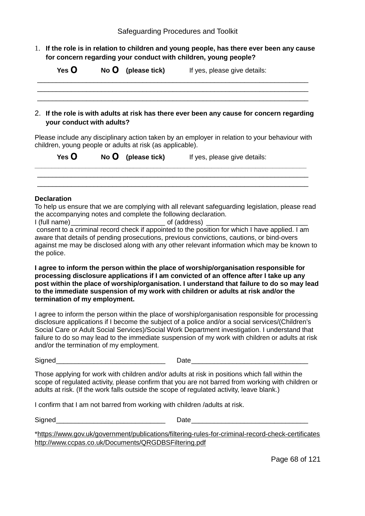1. **If the role is in relation to children and young people, has there ever been any cause for concern regarding your conduct with children, young people?**

| Yes $\mathbf{\Omega}$ | No $\bullet$ (please tick) | If yes, please give details:                                                           |  |
|-----------------------|----------------------------|----------------------------------------------------------------------------------------|--|
|                       |                            |                                                                                        |  |
|                       |                            | If the role is with adults at risk has there ever hean any cause for concern regarding |  |

2. **If the role is with adults at risk has there ever been any cause for concern regarding your conduct with adults?**

Please include any disciplinary action taken by an employer in relation to your behaviour with children, young people or adults at risk (as applicable).

| Yes $\mathbf{\Omega}$ | No $\bullet$ (please tick) | If yes, please give details: |
|-----------------------|----------------------------|------------------------------|
|                       |                            |                              |

#### **Declaration**

To help us ensure that we are complying with all relevant safeguarding legislation, please read the accompanying notes and complete the following declaration.

I (full name) and the state of (address)  $\sigma$ 

 consent to a criminal record check if appointed to the position for which I have applied. I am aware that details of pending prosecutions, previous convictions, cautions, or bind-overs against me may be disclosed along with any other relevant information which may be known to the police.

**I agree to inform the person within the place of worship/organisation responsible for processing disclosure applications if I am convicted of an offence after I take up any post within the place of worship/organisation. I understand that failure to do so may lead to the immediate suspension of my work with children or adults at risk and/or the termination of my employment.**

I agree to inform the person within the place of worship/organisation responsible for processing disclosure applications if I become the subject of a police and/or a social services/(Children's Social Care or Adult Social Services)/Social Work Department investigation. I understand that failure to do so may lead to the immediate suspension of my work with children or adults at risk and/or the termination of my employment.

| $\sim$<br>Signed | .<br>≖<br>. .<br>$\overline{\phantom{0}}$<br>-- |
|------------------|-------------------------------------------------|
|                  | ______                                          |

Those applying for work with children and/or adults at risk in positions which fall within the scope of regulated activity, please confirm that you are not barred from working with children or adults at risk. (If the work falls outside the scope of regulated activity, leave blank.)

I confirm that I am not barred from working with children /adults at risk.

| ∽ |  |
|---|--|
|---|--|

\*<https://www.gov.uk/government/publications/filtering-rules-for-criminal-record-check-certificates> <http://www.ccpas.co.uk/Documents/QRGDBSFiltering.pdf>

Page 68 of 121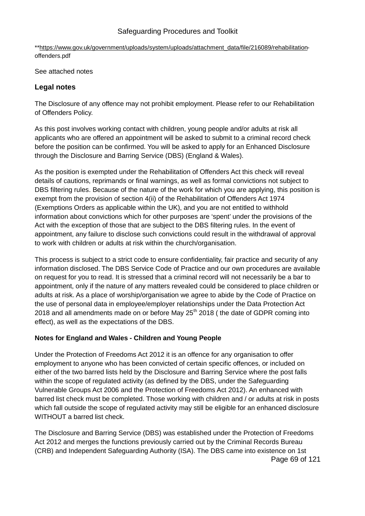\*[\\*https://www.gov.uk/government/uploads/system/uploads/attachment\\_data/file/216089/rehabilitation](https://www.gov.uk/government/uploads/system/uploads/attachment_data/file/216089/rehabilitation)offenders.pdf

See attached notes

## **Legal notes**

The Disclosure of any offence may not prohibit employment. Please refer to our Rehabilitation of Offenders Policy.

As this post involves working contact with children, young people and/or adults at risk all applicants who are offered an appointment will be asked to submit to a criminal record check before the position can be confirmed. You will be asked to apply for an Enhanced Disclosure through the Disclosure and Barring Service (DBS) (England & Wales).

As the position is exempted under the Rehabilitation of Offenders Act this check will reveal details of cautions, reprimands or final warnings, as well as formal convictions not subject to DBS filtering rules. Because of the nature of the work for which you are applying, this position is exempt from the provision of section 4(ii) of the Rehabilitation of Offenders Act 1974 (Exemptions Orders as applicable within the UK), and you are not entitled to withhold information about convictions which for other purposes are 'spent' under the provisions of the Act with the exception of those that are subject to the DBS filtering rules. In the event of appointment, any failure to disclose such convictions could result in the withdrawal of approval to work with children or adults at risk within the church/organisation.

This process is subject to a strict code to ensure confidentiality, fair practice and security of any information disclosed. The DBS Service Code of Practice and our own procedures are available on request for you to read. It is stressed that a criminal record will not necessarily be a bar to appointment, only if the nature of any matters revealed could be considered to place children or adults at risk. As a place of worship/organisation we agree to abide by the Code of Practice on the use of personal data in employee/employer relationships under the Data Protection Act 2018 and all amendments made on or before May  $25<sup>th</sup>$  2018 (the date of GDPR coming into effect), as well as the expectations of the DBS.

## **Notes for England and Wales - Children and Young People**

Under the Protection of Freedoms Act 2012 it is an offence for any organisation to offer employment to anyone who has been convicted of certain specific offences, or included on either of the two barred lists held by the Disclosure and Barring Service where the post falls within the scope of regulated activity (as defined by the DBS, under the Safeguarding Vulnerable Groups Act 2006 and the Protection of Freedoms Act 2012). An enhanced with barred list check must be completed. Those working with children and / or adults at risk in posts which fall outside the scope of regulated activity may still be eligible for an enhanced disclosure WITHOUT a barred list check.

Page 69 of 121 The Disclosure and Barring Service (DBS) was established under the Protection of Freedoms Act 2012 and merges the functions previously carried out by the Criminal Records Bureau (CRB) and Independent Safeguarding Authority (ISA). The DBS came into existence on 1st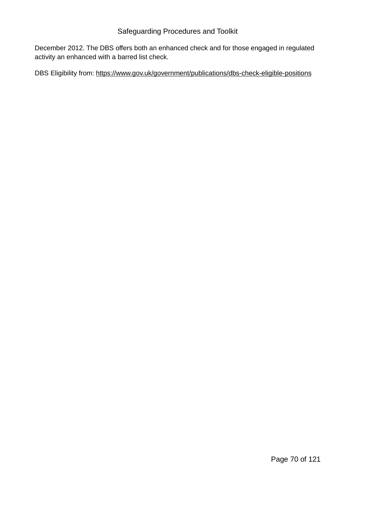December 2012. The DBS offers both an enhanced check and for those engaged in regulated activity an enhanced with a barred list check.

DBS Eligibility from:<https://www.gov.uk/government/publications/dbs-check-eligible-positions>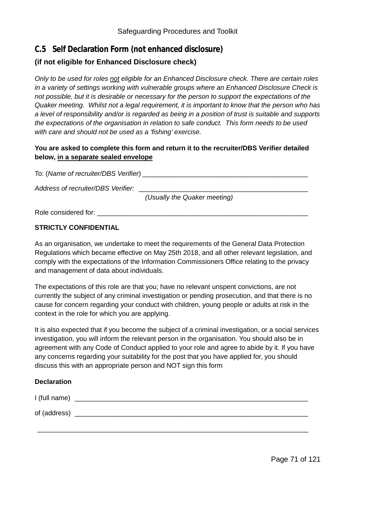# **C.5 Self Declaration Form (not enhanced disclosure) (if not eligible for Enhanced Disclosure check)**

*Only to be used for roles not eligible for an Enhanced Disclosure check. There are certain roles in a variety of settings working with vulnerable groups where an Enhanced Disclosure Check is not possible, but it is desirable or necessary for the person to support the expectations of the Quaker meeting. Whilst not a legal requirement, it is important to know that the person who has a level of responsibility and/or is regarded as being in a position of trust is suitable and supports the expectations of the organisation in relation to safe conduct. This form needs to be used with care and should not be used as a 'fishing' exercise.*

## **You are asked to complete this form and return it to the recruiter/DBS Verifier detailed below, in a separate sealed envelope**

To: (*Name of recruiter/DBS Verifier*) \_\_\_\_\_\_\_\_\_\_\_\_\_\_\_\_\_\_\_\_\_\_\_\_\_\_\_\_\_\_\_\_\_\_\_\_\_\_\_\_\_\_\_\_

*Address of recruiter/DBS Verifier:* \_\_\_\_\_\_\_\_\_\_\_\_\_\_\_\_\_\_\_\_\_\_\_\_\_\_\_\_\_\_\_\_\_\_\_\_\_\_\_\_\_\_\_\_\_

*(Usually the Quaker meeting)*

Role considered for:

## **STRICTLY CONFIDENTIAL**

As an organisation, we undertake to meet the requirements of the General Data Protection Regulations which became effective on May 25th 2018, and all other relevant legislation, and comply with the expectations of the Information Commissioners Office relating to the privacy and management of data about individuals.

The expectations of this role are that you; have no relevant unspent convictions, are not currently the subject of any criminal investigation or pending prosecution, and that there is no cause for concern regarding your conduct with children, young people or adults at risk in the context in the role for which you are applying.

It is also expected that if you become the subject of a criminal investigation, or a social services investigation, you will inform the relevant person in the organisation. You should also be in agreement with any Code of Conduct applied to your role and agree to abide by it. If you have any concerns regarding your suitability for the post that you have applied for, you should discuss this with an appropriate person and NOT sign this form

## **Declaration**

| I (full name) |  |
|---------------|--|
| of (address)  |  |
|               |  |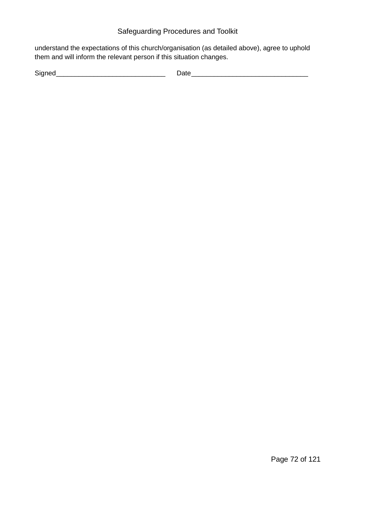understand the expectations of this church/organisation (as detailed above), agree to uphold them and will inform the relevant person if this situation changes.

| $\sim$<br>יור<br>. | . . |
|--------------------|-----|
|                    |     |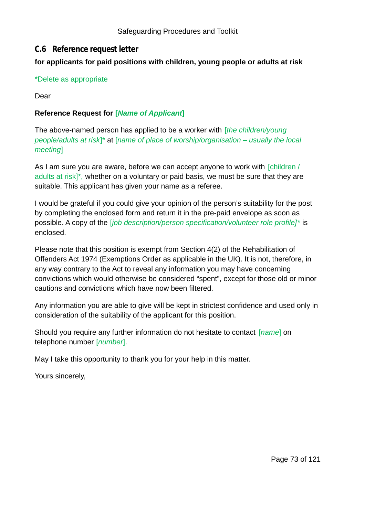# **C.6 Reference request letter**

# **for applicants for paid positions with children, young people or adults at risk**

## \*Delete as appropriate

Dear

# **Reference Request for [***Name of Applicant***]**

The above-named person has applied to be a worker with [*the children/young people/adults at risk*]\* at [*name of place of worship/organisation – usually the local meeting*]

As I am sure you are aware, before we can accept anyone to work with [children / adults at risk]\*, whether on a voluntary or paid basis, we must be sure that they are suitable. This applicant has given your name as a referee.

I would be grateful if you could give your opinion of the person's suitability for the post by completing the enclosed form and return it in the pre-paid envelope as soon as possible. A copy of the [*job description/person specification/volunteer role profile]*\* is enclosed.

Please note that this position is exempt from Section 4(2) of the Rehabilitation of Offenders Act 1974 (Exemptions Order as applicable in the UK). It is not, therefore, in any way contrary to the Act to reveal any information you may have concerning convictions which would otherwise be considered "spent", except for those old or minor cautions and convictions which have now been filtered.

Any information you are able to give will be kept in strictest confidence and used only in consideration of the suitability of the applicant for this position.

Should you require any further information do not hesitate to contact [*name*] on telephone number [*number*].

May I take this opportunity to thank you for your help in this matter.

Yours sincerely,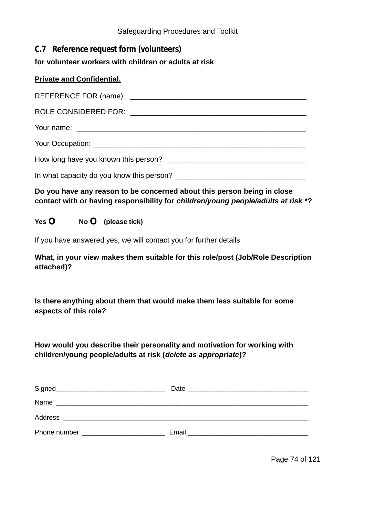# **C.7 Reference request form (volunteers)**

### **for volunteer workers with children or adults at risk**

### **Private and Confidential.**

| How long have you known this person? |  |
|--------------------------------------|--|
|                                      |  |

### **Do you have any reason to be concerned about this person being in close contact with or having responsibility for** *children/young people/adults at risk* **\*?**

### **Yes O** No **O** (please tick)

If you have answered yes, we will contact you for further details

### **What, in your view makes them suitable for this role/post (Job/Role Description attached)?**

**Is there anything about them that would make them less suitable for some aspects of this role?**

## **How would you describe their personality and motivation for working with children/young people/adults at risk (***delete as appropriate***)?**

| Signed________________________________                                                                                        |       |
|-------------------------------------------------------------------------------------------------------------------------------|-------|
| Name<br><u> 1989 - Johann Stoff, deutscher Stoff, der Stoff, der Stoff, der Stoff, der Stoff, der Stoff, der Stoff, der S</u> |       |
| Address<br><u> 1980 - John Stone, Amerikaansk politiker (</u> † 1920)                                                         |       |
| Phone number                                                                                                                  | Email |

Page 74 of 121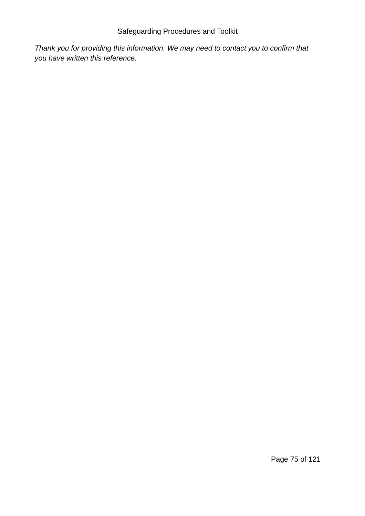*Thank you for providing this information. We may need to contact you to confirm that you have written this reference.*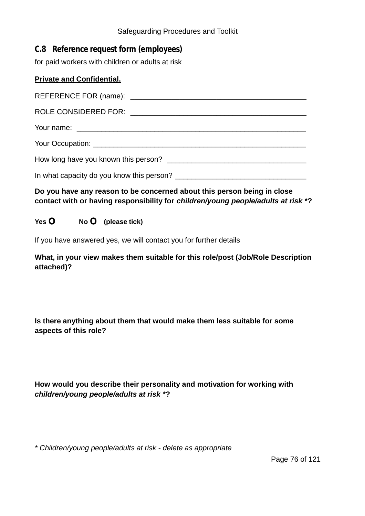## **C.8 Reference request form (employees)**

for paid workers with children or adults at risk

### **Private and Confidential.**

| How long have you known this person?      |
|-------------------------------------------|
| In what capacity do you know this person? |

**Do you have any reason to be concerned about this person being in close contact with or having responsibility for** *children/young people/adults at risk* **\*?**

### **Yes O** No **O** (please tick)

If you have answered yes, we will contact you for further details

### **What, in your view makes them suitable for this role/post (Job/Role Description attached)?**

**Is there anything about them that would make them less suitable for some aspects of this role?**

**How would you describe their personality and motivation for working with**  *children/young people/adults at risk* **\*?**

*\* Children/young people/adults at risk - delete as appropriate*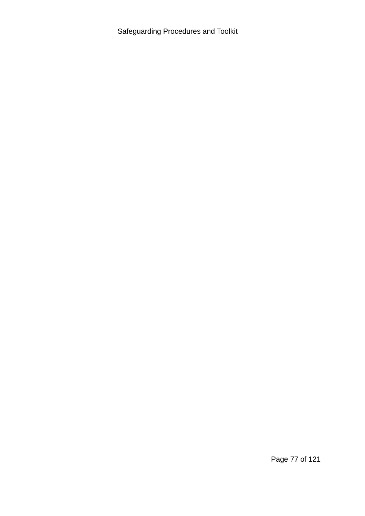Page 77 of 121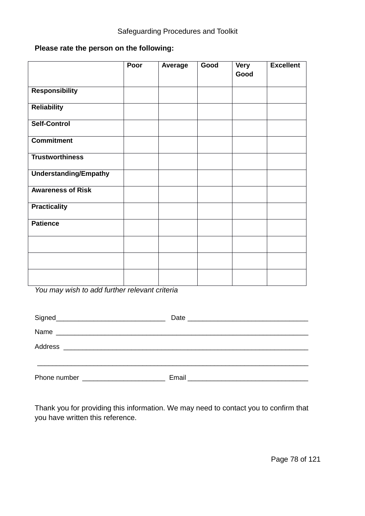### **Please rate the person on the following:**

|                              | Poor | <b>Average</b> | Good | Very<br>Good | <b>Excellent</b> |
|------------------------------|------|----------------|------|--------------|------------------|
|                              |      |                |      |              |                  |
| <b>Responsibility</b>        |      |                |      |              |                  |
| <b>Reliability</b>           |      |                |      |              |                  |
| Self-Control                 |      |                |      |              |                  |
| <b>Commitment</b>            |      |                |      |              |                  |
| <b>Trustworthiness</b>       |      |                |      |              |                  |
| <b>Understanding/Empathy</b> |      |                |      |              |                  |
| <b>Awareness of Risk</b>     |      |                |      |              |                  |
| <b>Practicality</b>          |      |                |      |              |                  |
| <b>Patience</b>              |      |                |      |              |                  |
|                              |      |                |      |              |                  |
|                              |      |                |      |              |                  |
|                              |      |                |      |              |                  |

*You may wish to add further relevant criteria*

| Phone number<br><u> 1980 - Jan Stein Stein Stein Stein Stein Stein Stein Stein Stein Stein Stein Stein Stein Stein Stein Stein S</u> | Email <u>__________________________</u> |
|--------------------------------------------------------------------------------------------------------------------------------------|-----------------------------------------|

Thank you for providing this information. We may need to contact you to confirm that you have written this reference.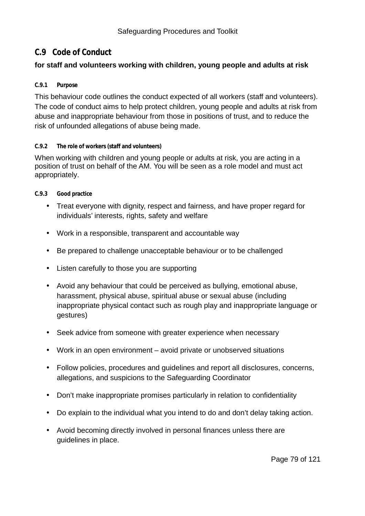# **C.9 Code of Conduct**

### **for staff and volunteers working with children, young people and adults at risk**

#### **C.9.1 Purpose**

This behaviour code outlines the conduct expected of all workers (staff and volunteers). The code of conduct aims to help protect children, young people and adults at risk from abuse and inappropriate behaviour from those in positions of trust, and to reduce the risk of unfounded allegations of abuse being made.

#### **C.9.2 The role of workers (staff and volunteers)**

When working with children and young people or adults at risk, you are acting in a position of trust on behalf of the AM. You will be seen as a role model and must act appropriately.

- **C.9.3 Good practice** 
	- Treat everyone with dignity, respect and fairness, and have proper regard for individuals' interests, rights, safety and welfare
	- Work in a responsible, transparent and accountable way
	- Be prepared to challenge unacceptable behaviour or to be challenged
	- Listen carefully to those you are supporting
	- Avoid any behaviour that could be perceived as bullying, emotional abuse, harassment, physical abuse, spiritual abuse or sexual abuse (including inappropriate physical contact such as rough play and inappropriate language or gestures)
	- Seek advice from someone with greater experience when necessary
	- Work in an open environment avoid private or unobserved situations
	- Follow policies, procedures and guidelines and report all disclosures, concerns, allegations, and suspicions to the Safeguarding Coordinator
	- Don't make inappropriate promises particularly in relation to confidentiality
	- Do explain to the individual what you intend to do and don't delay taking action.
	- Avoid becoming directly involved in personal finances unless there are guidelines in place.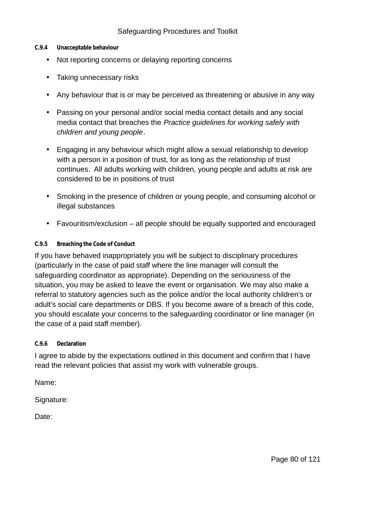#### **C.9.4 Unacceptable behaviour**

- Not reporting concerns or delaying reporting concerns
- Taking unnecessary risks
- Any behaviour that is or may be perceived as threatening or abusive in any way
- Passing on your personal and/or social media contact details and any social media contact that breaches the *Practice guidelines for working safely with children and young people*.
- Engaging in any behaviour which might allow a sexual relationship to develop with a person in a position of trust, for as long as the relationship of trust continues. All adults working with children, young people and adults at risk are considered to be in positions of trust
- Smoking in the presence of children or young people, and consuming alcohol or illegal substances
- Favouritism/exclusion all people should be equally supported and encouraged

#### **C.9.5 Breaching the Code of Conduct**

If you have behaved inappropriately you will be subject to disciplinary procedures (particularly in the case of paid staff where the line manager will consult the safeguarding coordinator as appropriate). Depending on the seriousness of the situation, you may be asked to leave the event or organisation. We may also make a referral to statutory agencies such as the police and/or the local authority children's or adult's social care departments or DBS. If you become aware of a breach of this code, you should escalate your concerns to the safeguarding coordinator or line manager (in the case of a paid staff member).

#### **C.9.6 Declaration**

I agree to abide by the expectations outlined in this document and confirm that I have read the relevant policies that assist my work with vulnerable groups.

Name:

Signature:

Date: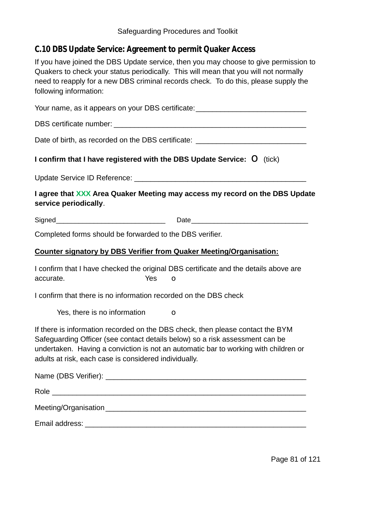# **C.10 DBS Update Service: Agreement to permit Quaker Access**

If you have joined the DBS Update service, then you may choose to give permission to Quakers to check your status periodically. This will mean that you will not normally need to reapply for a new DBS criminal records check. To do this, please supply the following information:

Your name, as it appears on your DBS certificate: \_\_\_\_\_\_\_\_\_\_\_\_\_\_\_\_\_\_\_\_\_\_\_\_\_\_\_\_\_\_ DBS certificate number:  $\Box$ 

Date of birth, as recorded on the DBS certificate:

## **I confirm that I have registered with the DBS Update Service: O (tick)**

Update Service ID Reference: \_\_\_\_\_\_\_\_\_\_\_\_\_\_\_\_\_\_\_\_\_\_\_\_\_\_\_\_\_\_\_\_\_\_\_\_\_\_\_\_\_\_

### **I agree that XXX Area Quaker Meeting may access my record on the DBS Update service periodically**.

Signed **Example 2** Date  $\overline{a}$ 

Completed forms should be forwarded to the DBS verifier.

### **Counter signatory by DBS Verifier from Quaker Meeting/Organisation:**

I confirm that I have checked the original DBS certificate and the details above are accurate. Yes o

I confirm that there is no information recorded on the DBS check

Yes, there is no information  $\bullet$ 

If there is information recorded on the DBS check, then please contact the BYM Safeguarding Officer (see contact details below) so a risk assessment can be undertaken. Having a conviction is not an automatic bar to working with children or adults at risk, each case is considered individually.

| Email address: Universe Press and Press and Press and Press and Press and Press and Press and Press and Press |
|---------------------------------------------------------------------------------------------------------------|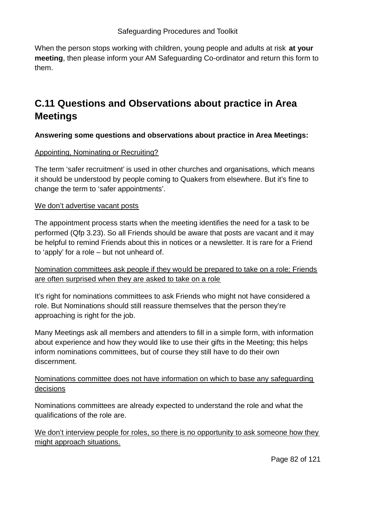When the person stops working with children, young people and adults at risk **at your meeting**, then please inform your AM Safeguarding Co-ordinator and return this form to them.

# **C.11 Questions and Observations about practice in Area Meetings**

### **Answering some questions and observations about practice in Area Meetings:**

### Appointing, Nominating or Recruiting?

The term 'safer recruitment' is used in other churches and organisations, which means it should be understood by people coming to Quakers from elsewhere. But it's fine to change the term to 'safer appointments'.

### We don't advertise vacant posts

The appointment process starts when the meeting identifies the need for a task to be performed (Qfp 3.23). So all Friends should be aware that posts are vacant and it may be helpful to remind Friends about this in notices or a newsletter. It is rare for a Friend to 'apply' for a role – but not unheard of.

Nomination committees ask people if they would be prepared to take on a role; Friends are often surprised when they are asked to take on a role

It's right for nominations committees to ask Friends who might not have considered a role. But Nominations should still reassure themselves that the person they're approaching is right for the job.

Many Meetings ask all members and attenders to fill in a simple form, with information about experience and how they would like to use their gifts in the Meeting; this helps inform nominations committees, but of course they still have to do their own discernment.

## Nominations committee does not have information on which to base any safeguarding decisions

Nominations committees are already expected to understand the role and what the qualifications of the role are.

We don't interview people for roles, so there is no opportunity to ask someone how they might approach situations.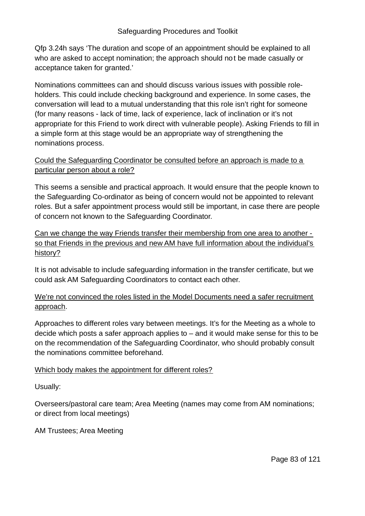Qfp 3.24h says 'The duration and scope of an appointment should be explained to all who are asked to accept nomination; the approach should not be made casually or acceptance taken for granted.'

Nominations committees can and should discuss various issues with possible roleholders. This could include checking background and experience. In some cases, the conversation will lead to a mutual understanding that this role isn't right for someone (for many reasons - lack of time, lack of experience, lack of inclination or it's not appropriate for this Friend to work direct with vulnerable people). Asking Friends to fill in a simple form at this stage would be an appropriate way of strengthening the nominations process.

### Could the Safeguarding Coordinator be consulted before an approach is made to a particular person about a role?

This seems a sensible and practical approach. It would ensure that the people known to the Safeguarding Co-ordinator as being of concern would not be appointed to relevant roles. But a safer appointment process would still be important, in case there are people of concern not known to the Safeguarding Coordinator.

Can we change the way Friends transfer their membership from one area to another so that Friends in the previous and new AM have full information about the individual's history?

It is not advisable to include safeguarding information in the transfer certificate, but we could ask AM Safeguarding Coordinators to contact each other.

## We're not convinced the roles listed in the Model Documents need a safer recruitment approach.

Approaches to different roles vary between meetings. It's for the Meeting as a whole to decide which posts a safer approach applies to – and it would make sense for this to be on the recommendation of the Safeguarding Coordinator, who should probably consult the nominations committee beforehand.

## Which body makes the appointment for different roles?

Usually:

Overseers/pastoral care team; Area Meeting (names may come from AM nominations; or direct from local meetings)

AM Trustees; Area Meeting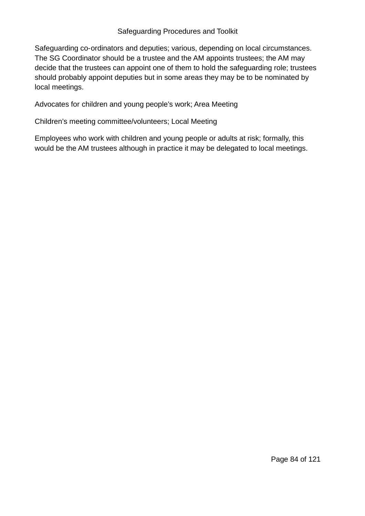Safeguarding co-ordinators and deputies; various, depending on local circumstances. The SG Coordinator should be a trustee and the AM appoints trustees; the AM may decide that the trustees can appoint one of them to hold the safeguarding role; trustees should probably appoint deputies but in some areas they may be to be nominated by local meetings.

Advocates for children and young people's work; Area Meeting

Children's meeting committee/volunteers; Local Meeting

Employees who work with children and young people or adults at risk; formally, this would be the AM trustees although in practice it may be delegated to local meetings.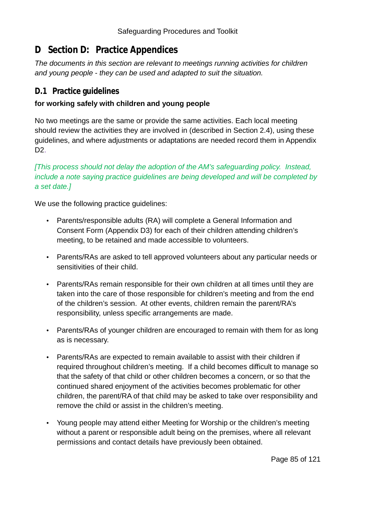# **D Section D: Practice Appendices**

*The documents in this section are relevant to meetings running activities for children and young people - they can be used and adapted to suit the situation.*

# **D.1 Practice guidelines**

### **for working safely with children and young people**

No two meetings are the same or provide the same activities. Each local meeting should review the activities they are involved in (described in Section 2.4), using these guidelines, and where adjustments or adaptations are needed record them in Appendix D<sub>2</sub>

## *[This process should not delay the adoption of the AM's safeguarding policy. Instead, include a note saying practice guidelines are being developed and will be completed by a set date.]*

We use the following practice guidelines:

- Parents/responsible adults (RA) will complete a General Information and  $\mathcal{L}^{\text{max}}$ Consent Form (Appendix D3) for each of their children attending children's meeting, to be retained and made accessible to volunteers.
- Parents/RAs are asked to tell approved volunteers about any particular needs or  $\mathcal{L}^{\text{max}}$ sensitivities of their child.
- Parents/RAs remain responsible for their own children at all times until they are  $\mathcal{L}^{\text{max}}$ taken into the care of those responsible for children's meeting and from the end of the children's session. At other events, children remain the parent/RA's responsibility, unless specific arrangements are made.
- Parents/RAs of younger children are encouraged to remain with them for as long  $\mathbf{r}^{\mathrm{max}}$ as is necessary.
- Parents/RAs are expected to remain available to assist with their children if required throughout children's meeting. If a child becomes difficult to manage so that the safety of that child or other children becomes a concern, or so that the continued shared enjoyment of the activities becomes problematic for other children, the parent/RA of that child may be asked to take over responsibility and remove the child or assist in the children's meeting.
- Young people may attend either Meeting for Worship or the children's meeting  $\mathbb{Z}^2$ without a parent or responsible adult being on the premises, where all relevant permissions and contact details have previously been obtained.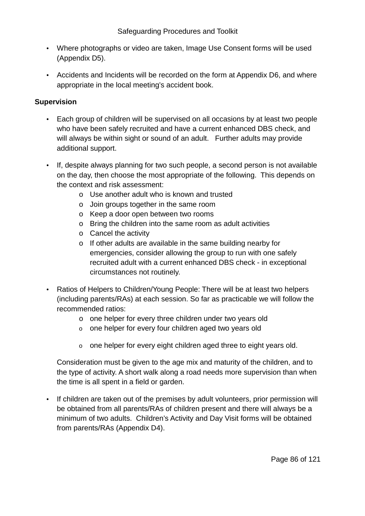- Where photographs or video are taken, Image Use Consent forms will be used (Appendix D5).
- Accidents and Incidents will be recorded on the form at Appendix D6, and where appropriate in the local meeting's accident book.

### **Supervision**

- Each group of children will be supervised on all occasions by at least two people who have been safely recruited and have a current enhanced DBS check, and will always be within sight or sound of an adult. Further adults may provide additional support.
- If, despite always planning for two such people, a second person is not available on the day, then choose the most appropriate of the following. This depends on the context and risk assessment:
	- $\circ$  Use another adult who is known and trusted
	- o Join groups together in the same room
	- o Keep a door open between two rooms
	- o Bring the children into the same room as adult activities
	- o Cancel the activity
	- o If other adults are available in the same building nearby for emergencies, consider allowing the group to run with one safely recruited adult with a current enhanced DBS check - in exceptional circumstances not routinely.
- Ratios of Helpers to Children/Young People: There will be at least two helpers (including parents/RAs) at each session. So far as practicable we will follow the recommended ratios:
	- o one helper for every three children under two years old
	- o one helper for every four children aged two years old
	- o one helper for every eight children aged three to eight years old.

Consideration must be given to the age mix and maturity of the children, and to the type of activity. A short walk along a road needs more supervision than when the time is all spent in a field or garden.

If children are taken out of the premises by adult volunteers, prior permission will be obtained from all parents/RAs of children present and there will always be a minimum of two adults. Children's Activity and Day Visit forms will be obtained from parents/RAs (Appendix D4).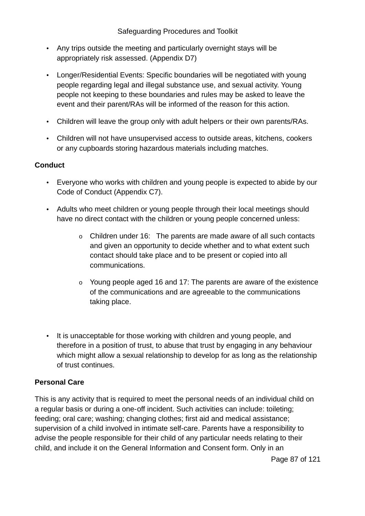- Any trips outside the meeting and particularly overnight stays will be  $\mathbf{r}$ appropriately risk assessed. (Appendix D7)
- $\mathcal{L}^{(1)}$ Longer/Residential Events: Specific boundaries will be negotiated with young people regarding legal and illegal substance use, and sexual activity. Young people not keeping to these boundaries and rules may be asked to leave the event and their parent/RAs will be informed of the reason for this action.
- Children will leave the group only with adult helpers or their own parents/RAs.  $\mathcal{L}^{\text{max}}$
- Children will not have unsupervised access to outside areas, kitchens, cookers  $\mathcal{L}^{\text{max}}$ or any cupboards storing hazardous materials including matches.

#### **Conduct**

- $\mathcal{L}^{\text{max}}$ Everyone who works with children and young people is expected to abide by our Code of Conduct (Appendix C7).
- Adults who meet children or young people through their local meetings should have no direct contact with the children or young people concerned unless:
	- o Children under 16: The parents are made aware of all such contacts and given an opportunity to decide whether and to what extent such contact should take place and to be present or copied into all communications.
	- o Young people aged 16 and 17: The parents are aware of the existence of the communications and are agreeable to the communications taking place.
- $\mathcal{L}^{\text{max}}$ It is unacceptable for those working with children and young people, and therefore in a position of trust, to abuse that trust by engaging in any behaviour which might allow a sexual relationship to develop for as long as the relationship of trust continues.

### **Personal Care**

This is any activity that is required to meet the personal needs of an individual child on a regular basis or during a one-off incident. Such activities can include: toileting; feeding; oral care; washing; changing clothes; first aid and medical assistance; supervision of a child involved in intimate self-care. Parents have a responsibility to advise the people responsible for their child of any particular needs relating to their child, and include it on the General Information and Consent form. Only in an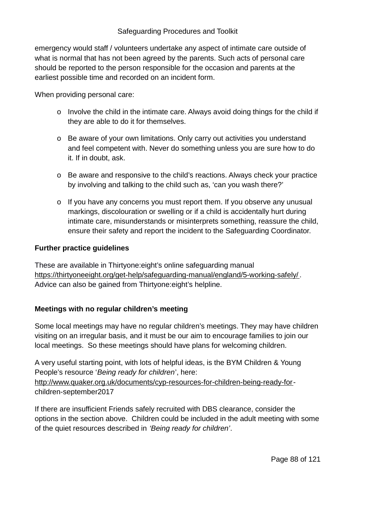emergency would staff / volunteers undertake any aspect of intimate care outside of what is normal that has not been agreed by the parents. Such acts of personal care should be reported to the person responsible for the occasion and parents at the earliest possible time and recorded on an incident form.

When providing personal care:

- o Involve the child in the intimate care. Always avoid doing things for the child if they are able to do it for themselves.
- o Be aware of your own limitations. Only carry out activities you understand and feel competent with. Never do something unless you are sure how to do it. If in doubt, ask.
- o Be aware and responsive to the child's reactions. Always check your practice by involving and talking to the child such as, 'can you wash there?'
- o If you have any concerns you must report them. If you observe any unusual markings, discolouration or swelling or if a child is accidentally hurt during intimate care, misunderstands or misinterprets something, reassure the child, ensure their safety and report the incident to the Safeguarding Coordinator.

#### **Further practice guidelines**

These are available in Thirtyone:eight's online safeguarding manual <https://thirtyoneeight.org/get-help/safeguarding-manual/england/5-working-safely/> . Advice can also be gained from Thirtyone:eight's helpline.

### **Meetings with no regular children's meeting**

Some local meetings may have no regular children's meetings. They may have children visiting on an irregular basis, and it must be our aim to encourage families to join our local meetings. So these meetings should have plans for welcoming children.

A very useful starting point, with lots of helpful ideas, is the BYM Children & Young People's resource '*Being ready for children*', here: <http://www.quaker.org.uk/documents/cyp-resources-for-children-being-ready-for>children-september2017

If there are insufficient Friends safely recruited with DBS clearance, consider the options in the section above. Children could be included in the adult meeting with some of the quiet resources described in *'Being ready for children'*.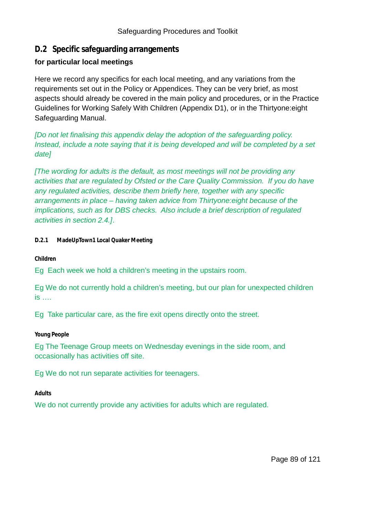# **D.2 Specific safeguarding arrangements**

## **for particular local meetings**

Here we record any specifics for each local meeting, and any variations from the requirements set out in the Policy or Appendices. They can be very brief, as most aspects should already be covered in the main policy and procedures, or in the Practice Guidelines for Working Safely With Children (Appendix D1), or in the Thirtyone:eight Safeguarding Manual.

*[Do not let finalising this appendix delay the adoption of the safeguarding policy. Instead, include a note saying that it is being developed and will be completed by a set date]*

*[The wording for adults is the default, as most meetings will not be providing any activities that are regulated by Ofsted or the Care Quality Commission. If you do have any regulated activities, describe them briefly here, together with any specific arrangements in place – having taken advice from Thirtyone:eight because of the implications, such as for DBS checks. Also include a brief description of regulated activities in section 2.4.]*.

**D.2.1 MadeUpTown1 Local Quaker Meeting** 

**Children** 

Eg Each week we hold a children's meeting in the upstairs room.

Eg We do not currently hold a children's meeting, but our plan for unexpected children is ….

Eg Take particular care, as the fire exit opens directly onto the street.

#### **Young People**

Eg The Teenage Group meets on Wednesday evenings in the side room, and occasionally has activities off site.

Eg We do not run separate activities for teenagers.

#### **Adults**

We do not currently provide any activities for adults which are regulated.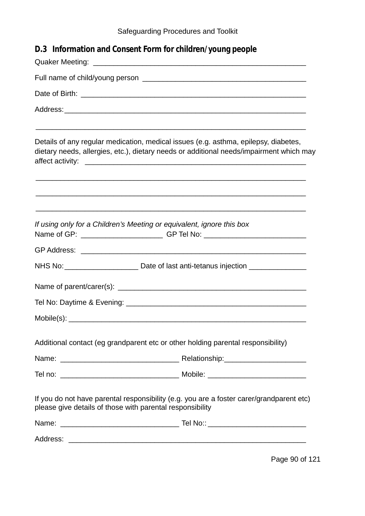| D.3 Information and Consent Form for children/young people                       |                                                                                                                                                                                |
|----------------------------------------------------------------------------------|--------------------------------------------------------------------------------------------------------------------------------------------------------------------------------|
|                                                                                  |                                                                                                                                                                                |
|                                                                                  |                                                                                                                                                                                |
|                                                                                  |                                                                                                                                                                                |
|                                                                                  | Details of any regular medication, medical issues (e.g. asthma, epilepsy, diabetes,<br>dietary needs, allergies, etc.), dietary needs or additional needs/impairment which may |
| If using only for a Children's Meeting or equivalent, ignore this box            | Name of GP: ____________________________GP Tel No: _____________________________                                                                                               |
|                                                                                  |                                                                                                                                                                                |
|                                                                                  | NHS No: ____________________________Date of last anti-tetanus injection ________________                                                                                       |
|                                                                                  |                                                                                                                                                                                |
|                                                                                  |                                                                                                                                                                                |
| Mobile(s):                                                                       |                                                                                                                                                                                |
| Additional contact (eg grandparent etc or other holding parental responsibility) |                                                                                                                                                                                |
|                                                                                  |                                                                                                                                                                                |
|                                                                                  |                                                                                                                                                                                |
| please give details of those with parental responsibility                        | If you do not have parental responsibility (e.g. you are a foster carer/grandparent etc)                                                                                       |
|                                                                                  |                                                                                                                                                                                |
|                                                                                  |                                                                                                                                                                                |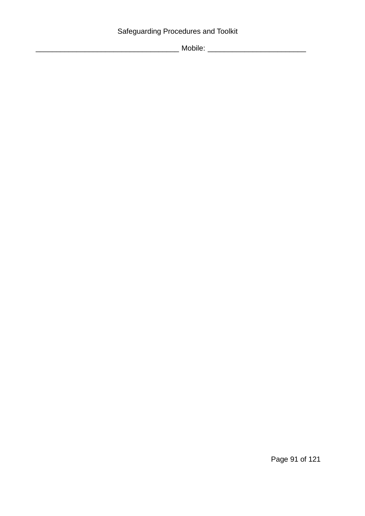\_\_\_\_\_\_\_\_\_\_\_\_\_\_\_\_\_\_\_\_\_\_\_\_\_\_\_\_\_\_\_\_\_\_\_ Mobile: \_\_\_\_\_\_\_\_\_\_\_\_\_\_\_\_\_\_\_\_\_\_\_\_

Page 91 of 121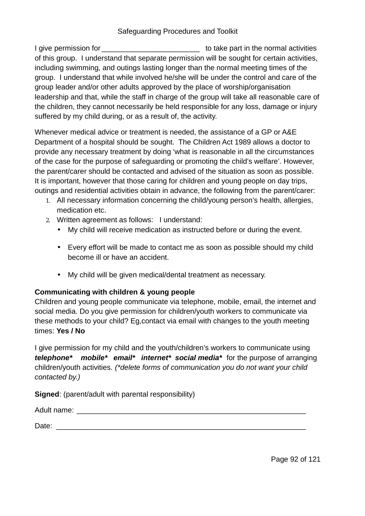I give permission for \_\_\_\_\_\_\_\_\_\_\_\_\_\_\_\_\_\_\_\_\_\_\_\_\_\_\_\_\_\_\_\_\_\_ to take part in the normal activities of this group. I understand that separate permission will be sought for certain activities, including swimming, and outings lasting longer than the normal meeting times of the group. I understand that while involved he/she will be under the control and care of the group leader and/or other adults approved by the place of worship/organisation leadership and that, while the staff in charge of the group will take all reasonable care of the children, they cannot necessarily be held responsible for any loss, damage or injury suffered by my child during, or as a result of, the activity.

Whenever medical advice or treatment is needed, the assistance of a GP or A&E Department of a hospital should be sought. The Children Act 1989 allows a doctor to provide any necessary treatment by doing 'what is reasonable in all the circumstances of the case for the purpose of safeguarding or promoting the child's welfare'. However, the parent/carer should be contacted and advised of the situation as soon as possible. It is important, however that those caring for children and young people on day trips, outings and residential activities obtain in advance, the following from the parent/carer:

- 1. All necessary information concerning the child/young person's health, allergies, medication etc.
- 2. Written agreement as follows: I understand:
	- My child will receive medication as instructed before or during the event.
	- Every effort will be made to contact me as soon as possible should my child become ill or have an accident.
	- My child will be given medical/dental treatment as necessary.

### **Communicating with children & young people**

Children and young people communicate via telephone, mobile, email, the internet and social media. Do you give permission for children/youth workers to communicate via these methods to your child? Eg,contact via email with changes to the youth meeting times: **Yes / No**

I give permission for my child and the youth/children's workers to communicate using *telephone\* mobile\* email\* internet\* social media\** for the purpose of arranging children/youth activities. *(\*delete forms of communication you do not want your child contacted by.)*

**Signed**: (parent/adult with parental responsibility)

| Adult name: |  |  |  |
|-------------|--|--|--|
|             |  |  |  |

Date:  $\Box$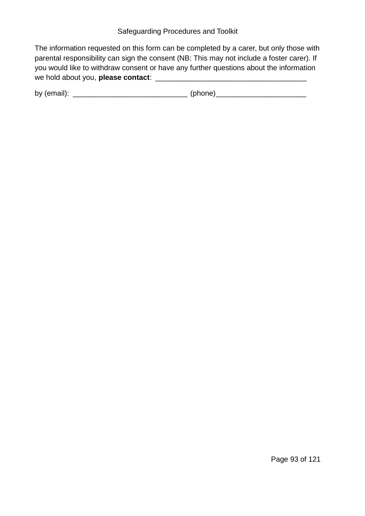The information requested on this form can be completed by a carer, but only those with parental responsibility can sign the consent (NB: This may not include a foster carer). If you would like to withdraw consent or have any further questions about the information we hold about you, **please contact**: \_\_\_\_\_\_\_\_\_\_\_\_\_\_\_\_\_\_\_\_\_\_\_\_\_\_\_\_\_\_\_\_\_\_\_\_\_

|  | by (email): |  | (nhone) |
|--|-------------|--|---------|
|--|-------------|--|---------|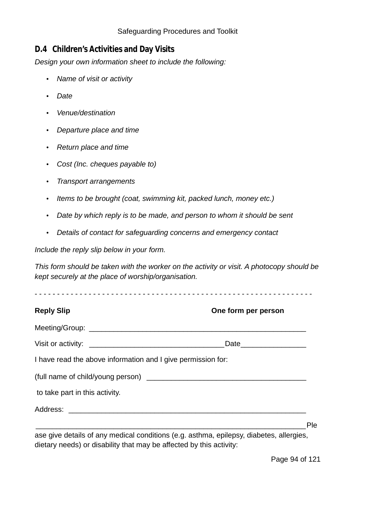# **D.4 Children's Activities and Day Visits**

*Design your own information sheet to include the following:*

- *Name of visit or activity* t.
- *Date*
- *Venue/destination*  $\mathbf{r}$
- $\mathcal{L}^{(1)}$ *Departure place and time*
- *Return place and time*  $\mathbb{R}^2$
- *Cost (Inc. cheques payable to)* ä,
- *Transport arrangements*  $\mathbb{R}^2$
- *Items to be brought (coat, swimming kit, packed lunch, money etc.)* t,
- *Date by which reply is to be made, and person to whom it should be sent*  $\hat{\mathbf{r}}$
- *Details of contact for safeguarding concerns and emergency contact* t,

*Include the reply slip below in your form.*

*This form should be taken with the worker on the activity or visit. A photocopy should be kept securely at the place of worship/organisation.*

| <b>Reply Slip</b>                                            | One form per person                                                                     |
|--------------------------------------------------------------|-----------------------------------------------------------------------------------------|
|                                                              |                                                                                         |
|                                                              | Date____________________                                                                |
| I have read the above information and I give permission for: |                                                                                         |
|                                                              |                                                                                         |
| to take part in this activity.                               |                                                                                         |
|                                                              |                                                                                         |
|                                                              | Ple                                                                                     |
|                                                              | ase give details of any medical conditions (e.g. asthma, epilepsy, diabetes, allergies, |

dietary needs) or disability that may be affected by this activity:

Page 94 of 121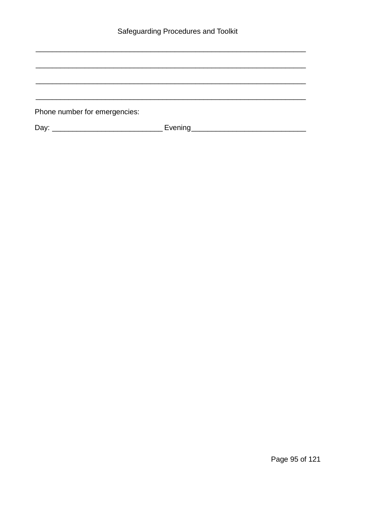|                               | Safeguarding Procedures and Toolkit |  |
|-------------------------------|-------------------------------------|--|
|                               |                                     |  |
|                               |                                     |  |
|                               |                                     |  |
|                               |                                     |  |
| Phone number for emergencies: |                                     |  |
| Day:                          | Evening                             |  |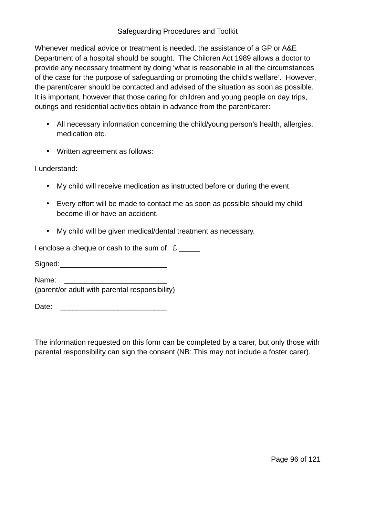Whenever medical advice or treatment is needed, the assistance of a GP or A&E Department of a hospital should be sought. The Children Act 1989 allows a doctor to provide any necessary treatment by doing 'what is reasonable in all the circumstances of the case for the purpose of safeguarding or promoting the child's welfare'. However, the parent/carer should be contacted and advised of the situation as soon as possible. It is important, however that those caring for children and young people on day trips, outings and residential activities obtain in advance from the parent/carer:

- All necessary information concerning the child/young person's health, allergies, medication etc.
- Written agreement as follows:

I understand:

- My child will receive medication as instructed before or during the event.
- Every effort will be made to contact me as soon as possible should my child become ill or have an accident.
- My child will be given medical/dental treatment as necessary.

I enclose a cheque or cash to the sum of  $\epsilon$  \_\_\_\_\_

Signed: \_\_\_\_\_\_\_\_\_\_\_\_\_\_\_\_\_\_\_\_\_\_\_\_\_\_

Name:

(parent/or adult with parental responsibility)

Date: \_\_\_\_\_\_\_\_\_\_\_\_\_\_\_\_\_\_\_\_\_\_\_\_\_\_

The information requested on this form can be completed by a carer, but only those with parental responsibility can sign the consent (NB: This may not include a foster carer).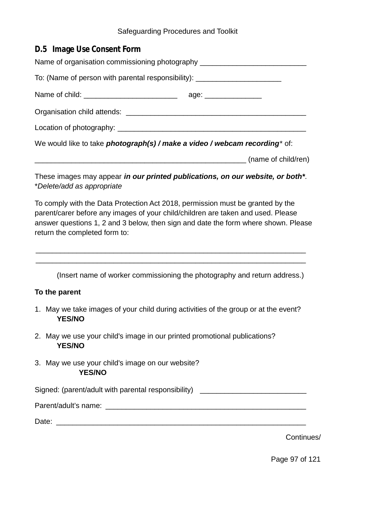|  | D.5 Image Use Consent Form<br>Name of organisation commissioning photography _________________________________                                                                                                                                                                                                                                           |  |  |  |  |  |
|--|----------------------------------------------------------------------------------------------------------------------------------------------------------------------------------------------------------------------------------------------------------------------------------------------------------------------------------------------------------|--|--|--|--|--|
|  | To: (Name of person with parental responsibility): _____________________________                                                                                                                                                                                                                                                                         |  |  |  |  |  |
|  |                                                                                                                                                                                                                                                                                                                                                          |  |  |  |  |  |
|  |                                                                                                                                                                                                                                                                                                                                                          |  |  |  |  |  |
|  |                                                                                                                                                                                                                                                                                                                                                          |  |  |  |  |  |
|  | We would like to take <i>photograph(s) / make a video / webcam recording</i> * of:                                                                                                                                                                                                                                                                       |  |  |  |  |  |
|  |                                                                                                                                                                                                                                                                                                                                                          |  |  |  |  |  |
|  | These images may appear in our printed publications, on our website, or both*.<br>*Delete/add as appropriate                                                                                                                                                                                                                                             |  |  |  |  |  |
|  | To comply with the Data Protection Act 2018, permission must be granted by the<br>parent/carer before any images of your child/children are taken and used. Please<br>answer questions 1, 2 and 3 below, then sign and date the form where shown. Please<br>return the completed form to:<br><u> 1989 - Johann Stoff, amerikansk politiker (d. 1989)</u> |  |  |  |  |  |
|  | (Insert name of worker commissioning the photography and return address.)                                                                                                                                                                                                                                                                                |  |  |  |  |  |
|  | To the parent                                                                                                                                                                                                                                                                                                                                            |  |  |  |  |  |
|  | 1. May we take images of your child during activities of the group or at the event?<br><b>YES/NO</b>                                                                                                                                                                                                                                                     |  |  |  |  |  |
|  | 2. May we use your child's image in our printed promotional publications?<br><b>YES/NO</b>                                                                                                                                                                                                                                                               |  |  |  |  |  |
|  | 3. May we use your child's image on our website?<br><b>YES/NO</b>                                                                                                                                                                                                                                                                                        |  |  |  |  |  |
|  | Signed: (parent/adult with parental responsibility) ____________________________                                                                                                                                                                                                                                                                         |  |  |  |  |  |
|  |                                                                                                                                                                                                                                                                                                                                                          |  |  |  |  |  |
|  |                                                                                                                                                                                                                                                                                                                                                          |  |  |  |  |  |
|  | Continues/                                                                                                                                                                                                                                                                                                                                               |  |  |  |  |  |

Page 97 of 121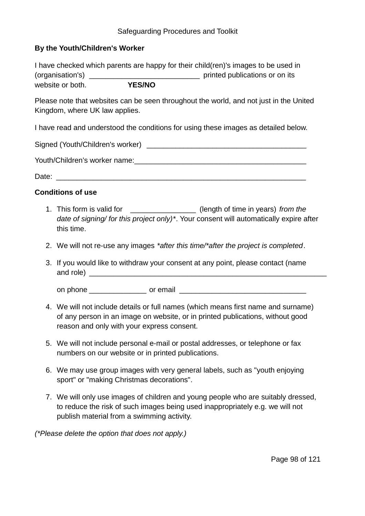#### **By the Youth/Children's Worker**

|                  |               | I have checked which parents are happy for their child(ren)'s images to be used in |
|------------------|---------------|------------------------------------------------------------------------------------|
| (organisation's) |               | printed publications or on its                                                     |
| website or both. | <b>YES/NO</b> |                                                                                    |

Please note that websites can be seen throughout the world, and not just in the United Kingdom, where UK law applies.

I have read and understood the conditions for using these images as detailed below.

Signed (Youth/Children's worker) **Example 2018** 

Youth/Children's worker name: \_\_\_\_\_\_\_\_\_\_\_\_\_\_\_\_\_\_\_\_\_\_\_\_\_\_\_\_\_\_\_\_\_\_\_\_\_\_\_\_\_\_

Date:

#### **Conditions of use**

- 1. This form is valid for \_\_\_\_\_\_\_\_\_\_\_\_\_\_\_\_ (length of time in years) *from the date of signing/ for this project only)*\*. Your consent will automatically expire after this time.
- 2. We will not re-use any images *\*after this time/\*after the project is completed*.
- 3. If you would like to withdraw your consent at any point, please contact (name and role) \_\_\_\_\_\_\_\_\_\_\_\_\_\_\_\_\_\_\_\_\_\_\_\_\_\_\_\_\_\_\_\_\_\_\_\_\_\_\_\_\_\_\_\_\_\_\_\_\_\_\_\_\_\_\_\_\_\_

on phone \_\_\_\_\_\_\_\_\_\_\_\_\_\_ or email \_\_\_\_\_\_\_\_\_\_\_\_\_\_\_\_\_\_\_\_\_\_\_\_\_\_\_\_\_\_\_

- 4. We will not include details or full names (which means first name and surname) of any person in an image on website, or in printed publications, without good reason and only with your express consent.
- 5. We will not include personal e-mail or postal addresses, or telephone or fax numbers on our website or in printed publications.
- 6. We may use group images with very general labels, such as "youth enjoying sport" or "making Christmas decorations".
- 7. We will only use images of children and young people who are suitably dressed, to reduce the risk of such images being used inappropriately e.g. we will not publish material from a swimming activity.

*(\*Please delete the option that does not apply.)*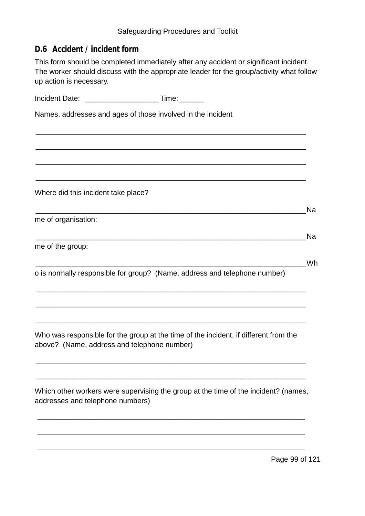# **D.6 Accident / incident form**

This form should be completed immediately after any accident or significant incident. The worker should discuss with the appropriate leader for the group/activity what follow up action is necessary.

Incident Date: \_\_\_\_\_\_\_\_\_\_\_\_\_\_\_\_\_\_ Time: \_\_\_\_\_\_ Names, addresses and ages of those involved in the incident  $\overline{\phantom{a}}$  , and the contribution of the contribution of the contribution of the contribution of the contribution of the contribution of the contribution of the contribution of the contribution of the contribution of the  $\overline{\phantom{a}}$  , and the contribution of the contribution of the contribution of the contribution of the contribution of the contribution of the contribution of the contribution of the contribution of the contribution of the  $\overline{\phantom{a}}$  , and the contribution of the contribution of the contribution of the contribution of the contribution of the contribution of the contribution of the contribution of the contribution of the contribution of the \_\_\_\_\_\_\_\_\_\_\_\_\_\_\_\_\_\_\_\_\_\_\_\_\_\_\_\_\_\_\_\_\_\_\_\_\_\_\_\_\_\_\_\_\_\_\_\_\_\_\_\_\_\_\_\_\_\_\_\_\_\_\_\_\_\_ Where did this incident take place?  $\Box$   $\Box$  Na me of organisation: \_\_\_\_\_\_\_\_\_\_\_\_\_\_\_\_\_\_\_\_\_\_\_\_\_\_\_\_\_\_\_\_\_\_\_\_\_\_\_\_\_\_\_\_\_\_\_\_\_\_\_\_\_\_\_\_\_\_\_\_\_\_\_\_\_\_ Na me of the group:  $\sqrt{2}$ o is normally responsible for group? (Name, address and telephone number)  $\overline{\phantom{a}}$  , and the contribution of the contribution of the contribution of the contribution of the contribution of the contribution of the contribution of the contribution of the contribution of the contribution of the  $\overline{\phantom{a}}$  , and the contribution of the contribution of the contribution of the contribution of the contribution of the contribution of the contribution of the contribution of the contribution of the contribution of the  $\overline{\phantom{a}}$  , and the contribution of the contribution of the contribution of the contribution of the contribution of the contribution of the contribution of the contribution of the contribution of the contribution of the Who was responsible for the group at the time of the incident, if different from the above? (Name, address and telephone number) \_\_\_\_\_\_\_\_\_\_\_\_\_\_\_\_\_\_\_\_\_\_\_\_\_\_\_\_\_\_\_\_\_\_\_\_\_\_\_\_\_\_\_\_\_\_\_\_\_\_\_\_\_\_\_\_\_\_\_\_\_\_\_\_\_\_ \_\_\_\_\_\_\_\_\_\_\_\_\_\_\_\_\_\_\_\_\_\_\_\_\_\_\_\_\_\_\_\_\_\_\_\_\_\_\_\_\_\_\_\_\_\_\_\_\_\_\_\_\_\_\_\_\_\_\_\_\_\_\_\_\_\_ Which other workers were supervising the group at the time of the incident? (names, addresses and telephone numbers) \_\_\_\_\_\_\_\_\_\_\_\_\_\_\_\_\_\_\_\_\_\_\_\_\_\_\_\_\_\_\_\_\_\_\_\_\_\_\_\_\_\_\_\_\_\_\_\_\_\_\_\_\_\_\_\_\_\_\_\_\_\_\_\_\_\_\_\_\_\_\_\_\_\_\_\_\_\_\_\_\_\_\_\_\_\_\_\_\_\_\_\_ \_\_\_\_\_\_\_\_\_\_\_\_\_\_\_\_\_\_\_\_\_\_\_\_\_\_\_\_\_\_\_\_\_\_\_\_\_\_\_\_\_\_\_\_\_\_\_\_\_\_\_\_\_\_\_\_\_\_\_\_\_\_\_\_\_\_\_\_\_\_\_\_\_\_\_\_\_\_\_\_\_\_\_\_\_\_\_\_\_\_\_\_

\_\_\_\_\_\_\_\_\_\_\_\_\_\_\_\_\_\_\_\_\_\_\_\_\_\_\_\_\_\_\_\_\_\_\_\_\_\_\_\_\_\_\_\_\_\_\_\_\_\_\_\_\_\_\_\_\_\_\_\_\_\_\_\_\_\_\_\_\_\_\_\_\_\_\_\_\_\_\_\_\_\_\_\_\_\_\_\_\_\_\_\_

Page 99 of 121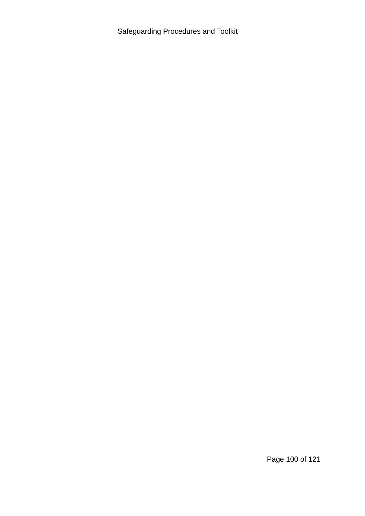Page 100 of 121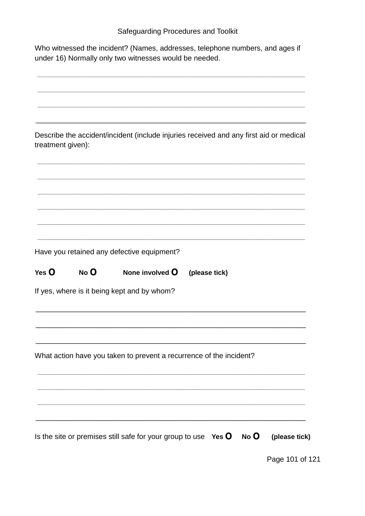Who witnessed the incident? (Names, addresses, telephone numbers, and ages if under 16) Normally only two witnesses would be needed.

| Describe the accident/incident (include injuries received and any first aid or medical<br>treatment given): |
|-------------------------------------------------------------------------------------------------------------|
|                                                                                                             |
|                                                                                                             |
| Have you retained any defective equipment?                                                                  |
| No O<br>Yes O<br>None involved $\bullet$ (please tick)<br>If yes, where is it being kept and by whom?       |
|                                                                                                             |
| What action have you taken to prevent a recurrence of the incident?                                         |
|                                                                                                             |
| Is the site or premises still safe for your group to use Yes $\bullet$ No $\bullet$ (please tick)           |

Page 101 of 121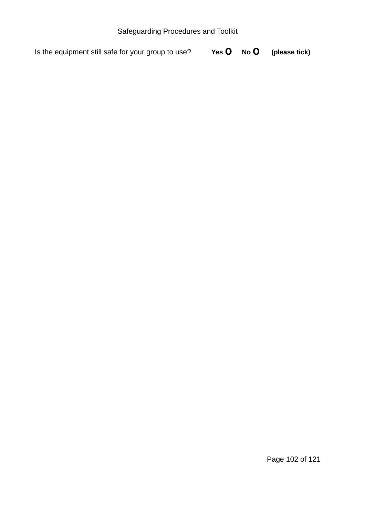

Is the equipment still safe for your group to use? Yes  $\bullet$  **No**  $\bullet$  (please tick)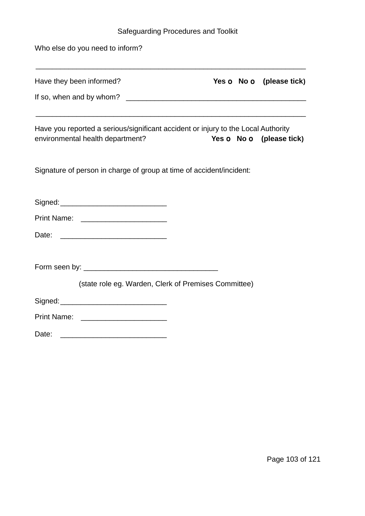| Who else do you need to inform?                                                                                       |                          |                          |
|-----------------------------------------------------------------------------------------------------------------------|--------------------------|--------------------------|
| Have they been informed?                                                                                              |                          | Yes o No o (please tick) |
|                                                                                                                       |                          |                          |
| Have you reported a serious/significant accident or injury to the Local Authority<br>environmental health department? | Yes o No o (please tick) |                          |
| Signature of person in charge of group at time of accident/incident:                                                  |                          |                          |
|                                                                                                                       |                          |                          |
|                                                                                                                       |                          |                          |
| Date:                                                                                                                 |                          |                          |
|                                                                                                                       |                          |                          |
| (state role eg. Warden, Clerk of Premises Committee)                                                                  |                          |                          |
|                                                                                                                       |                          |                          |
|                                                                                                                       |                          |                          |
| <u> 1990 - Johann Barn, mars ann an t-Amhain an t-A</u><br>Date:                                                      |                          |                          |
|                                                                                                                       |                          |                          |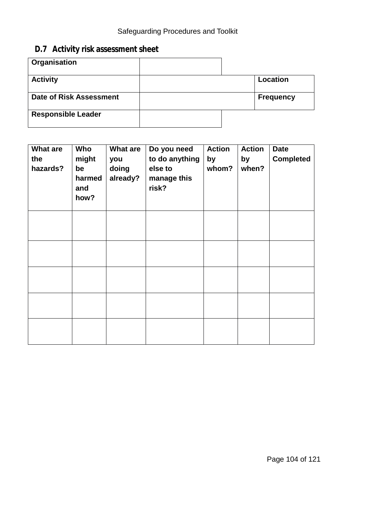# **D.7 Activity risk assessment sheet**

| Organisation              |  |                  |
|---------------------------|--|------------------|
| <b>Activity</b>           |  | Location         |
| Date of Risk Assessment   |  | <b>Frequency</b> |
| <b>Responsible Leader</b> |  |                  |

| What are<br>the<br>hazards? | Who<br>might<br>be<br>harmed<br>and<br>how? | What are<br>you<br>doing<br>already? | Do you need<br>to do anything<br>else to<br>manage this<br>risk? | <b>Action</b><br>by<br>whom? | <b>Action</b><br>by<br>when? | <b>Date</b><br><b>Completed</b> |
|-----------------------------|---------------------------------------------|--------------------------------------|------------------------------------------------------------------|------------------------------|------------------------------|---------------------------------|
|                             |                                             |                                      |                                                                  |                              |                              |                                 |
|                             |                                             |                                      |                                                                  |                              |                              |                                 |
|                             |                                             |                                      |                                                                  |                              |                              |                                 |
|                             |                                             |                                      |                                                                  |                              |                              |                                 |
|                             |                                             |                                      |                                                                  |                              |                              |                                 |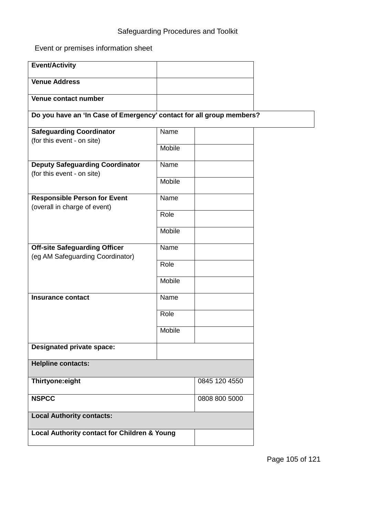Event or premises information sheet

| <b>Event/Activity</b>                                                |               |               |  |  |
|----------------------------------------------------------------------|---------------|---------------|--|--|
| <b>Venue Address</b>                                                 |               |               |  |  |
| Venue contact number                                                 |               |               |  |  |
| Do you have an 'In Case of Emergency' contact for all group members? |               |               |  |  |
| <b>Safeguarding Coordinator</b><br>(for this event - on site)        | Name          |               |  |  |
|                                                                      | <b>Mobile</b> |               |  |  |
| <b>Deputy Safeguarding Coordinator</b><br>(for this event - on site) | Name          |               |  |  |
|                                                                      | Mobile        |               |  |  |
| <b>Responsible Person for Event</b>                                  | Name          |               |  |  |
| (overall in charge of event)                                         | Role          |               |  |  |
|                                                                      | Mobile        |               |  |  |
| <b>Off-site Safeguarding Officer</b>                                 | Name          |               |  |  |
| (eg AM Safeguarding Coordinator)                                     | Role          |               |  |  |
|                                                                      | Mobile        |               |  |  |
| <b>Insurance contact</b>                                             | Name          |               |  |  |
|                                                                      | Role          |               |  |  |
|                                                                      | Mobile        |               |  |  |
| <b>Designated private space:</b>                                     |               |               |  |  |
| <b>Helpline contacts:</b>                                            |               |               |  |  |
| Thirtyone:eight                                                      |               | 0845 120 4550 |  |  |
| <b>NSPCC</b>                                                         |               | 0808 800 5000 |  |  |
| <b>Local Authority contacts:</b>                                     |               |               |  |  |
| <b>Local Authority contact for Children &amp; Young</b>              |               |               |  |  |
|                                                                      |               |               |  |  |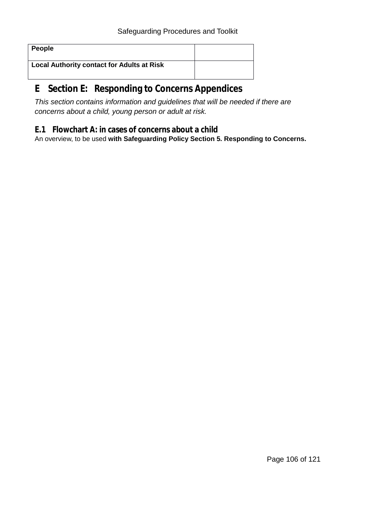| <b>People</b>                                     |  |
|---------------------------------------------------|--|
| <b>Local Authority contact for Adults at Risk</b> |  |

# **E Section E: Responding to Concerns Appendices**

*This section contains information and guidelines that will be needed if there are concerns about a child, young person or adult at risk.*

**E.1 Flowchart A: in cases of concerns about a child** 

An overview, to be used **with Safeguarding Policy Section 5. Responding to Concerns.**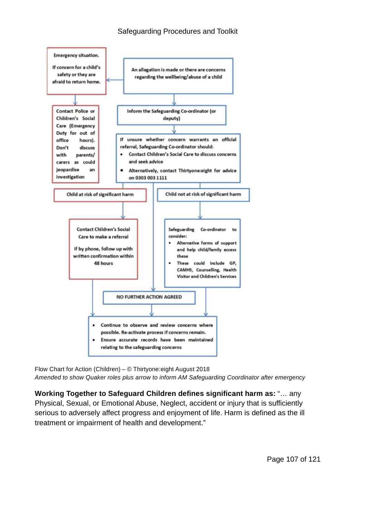

Flow Chart for Action (Children) – © Thirtyone:eight August 2018 *Amended to show Quaker roles plus arrow to inform AM Safeguarding Coordinator after emergency*

**Working Together to Safeguard Children defines significant harm as:** "… any Physical, Sexual, or Emotional Abuse, Neglect, accident or injury that is sufficiently serious to adversely affect progress and enjoyment of life. Harm is defined as the ill treatment or impairment of health and development."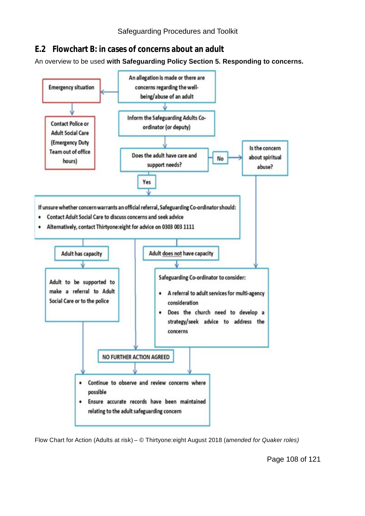# **E.2 Flowchart B: in cases of concerns about an adult**

An overview to be used **with Safeguarding Policy Section 5. Responding to concerns.**



Flow Chart for Action (Adults at risk) – © Thirtyone:eight August 2018 (a*mended for Quaker roles)*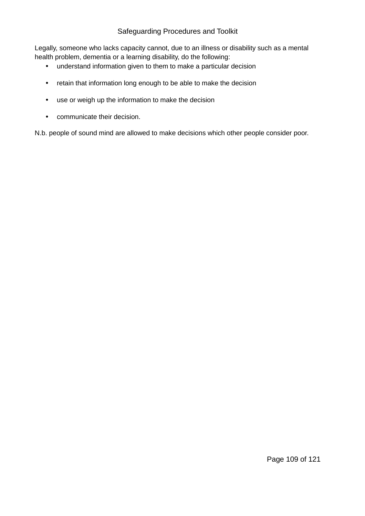Legally, someone who lacks capacity cannot, due to an illness or disability such as a mental health problem, dementia or a learning disability, do the following:

- understand information given to them to make a particular decision
- retain that information long enough to be able to make the decision
- use or weigh up the information to make the decision
- communicate their decision.

N.b. people of sound mind are allowed to make decisions which other people consider poor.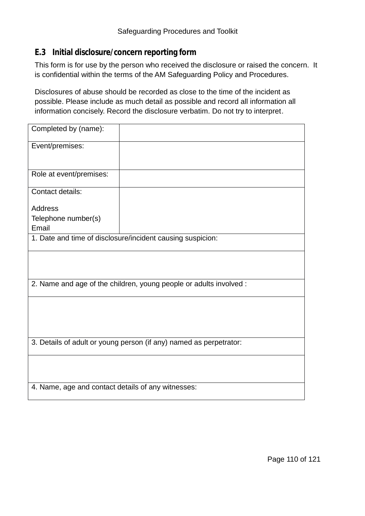## **E.3 Initial disclosure/concern reporting form**

This form is for use by the person who received the disclosure or raised the concern. It is confidential within the terms of the AM Safeguarding Policy and Procedures.

Disclosures of abuse should be recorded as close to the time of the incident as possible. Please include as much detail as possible and record all information all information concisely. Record the disclosure verbatim. Do not try to interpret*.*

| Completed by (name):                                               |  |  |  |  |  |
|--------------------------------------------------------------------|--|--|--|--|--|
| Event/premises:                                                    |  |  |  |  |  |
| Role at event/premises:                                            |  |  |  |  |  |
| Contact details:                                                   |  |  |  |  |  |
| <b>Address</b>                                                     |  |  |  |  |  |
| Telephone number(s)                                                |  |  |  |  |  |
| Email                                                              |  |  |  |  |  |
| 1. Date and time of disclosure/incident causing suspicion:         |  |  |  |  |  |
|                                                                    |  |  |  |  |  |
| 2. Name and age of the children, young people or adults involved : |  |  |  |  |  |
|                                                                    |  |  |  |  |  |
| 3. Details of adult or young person (if any) named as perpetrator: |  |  |  |  |  |
|                                                                    |  |  |  |  |  |
| 4. Name, age and contact details of any witnesses:                 |  |  |  |  |  |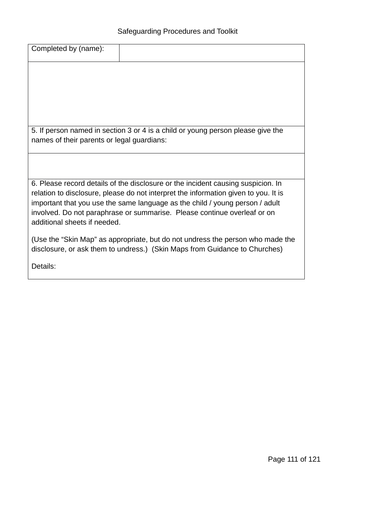| Completed by (name):                                                                                                          |                                                                                                                                                                         |  |
|-------------------------------------------------------------------------------------------------------------------------------|-------------------------------------------------------------------------------------------------------------------------------------------------------------------------|--|
|                                                                                                                               |                                                                                                                                                                         |  |
|                                                                                                                               |                                                                                                                                                                         |  |
|                                                                                                                               |                                                                                                                                                                         |  |
|                                                                                                                               |                                                                                                                                                                         |  |
| 5. If person named in section 3 or 4 is a child or young person please give the<br>names of their parents or legal guardians: |                                                                                                                                                                         |  |
|                                                                                                                               |                                                                                                                                                                         |  |
|                                                                                                                               | 6. Please record details of the disclosure or the incident causing suspicion. In<br>relation to disclosure, please do not interpret the information given to you. It is |  |
|                                                                                                                               | important that you use the same language as the child / young person / adult                                                                                            |  |
| additional sheets if needed.                                                                                                  | involved. Do not paraphrase or summarise. Please continue overleaf or on                                                                                                |  |
|                                                                                                                               | (Use the "Skin Map" as appropriate, but do not undress the person who made the<br>disclosure, or ask them to undress.) (Skin Maps from Guidance to Churches)            |  |
| Details:                                                                                                                      |                                                                                                                                                                         |  |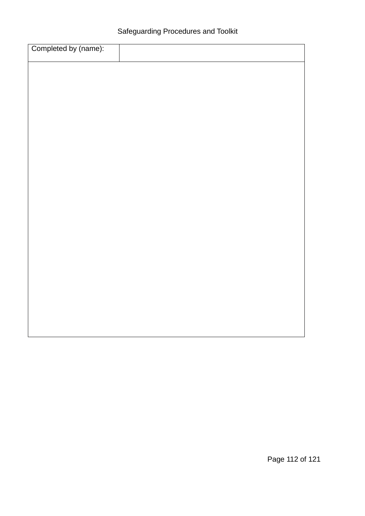| Completed by (name): |  |
|----------------------|--|
|                      |  |
|                      |  |
|                      |  |
|                      |  |
|                      |  |
|                      |  |
|                      |  |
|                      |  |
|                      |  |
|                      |  |
|                      |  |
|                      |  |
|                      |  |
|                      |  |
|                      |  |
|                      |  |
|                      |  |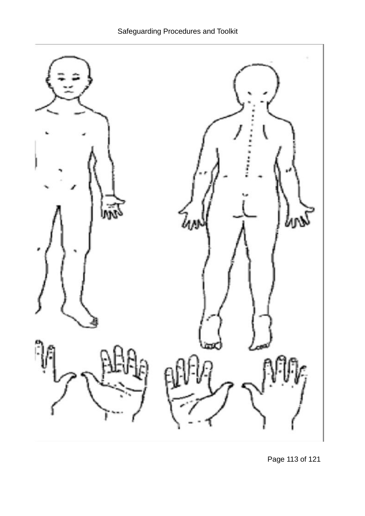

Page 113 of 121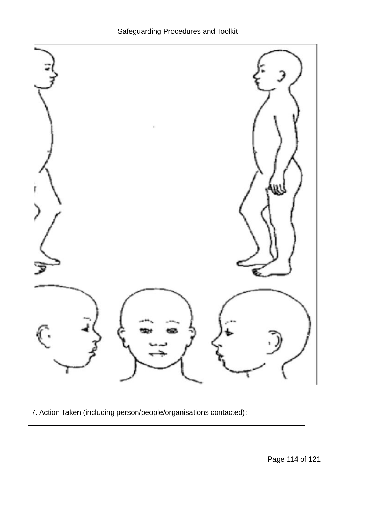

7. Action Taken (including person/people/organisations contacted):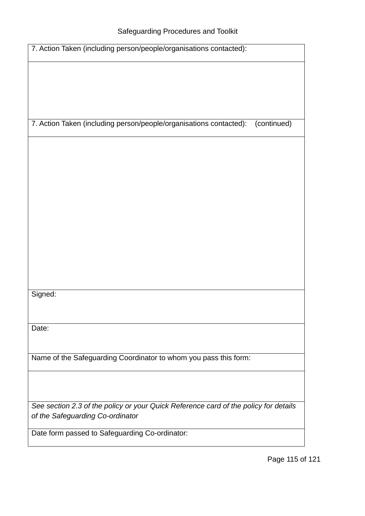| 7. Action Taken (including person/people/organisations contacted):                                                       |  |  |  |
|--------------------------------------------------------------------------------------------------------------------------|--|--|--|
|                                                                                                                          |  |  |  |
|                                                                                                                          |  |  |  |
|                                                                                                                          |  |  |  |
|                                                                                                                          |  |  |  |
| 7. Action Taken (including person/people/organisations contacted):<br>(continued)                                        |  |  |  |
|                                                                                                                          |  |  |  |
|                                                                                                                          |  |  |  |
|                                                                                                                          |  |  |  |
|                                                                                                                          |  |  |  |
|                                                                                                                          |  |  |  |
|                                                                                                                          |  |  |  |
|                                                                                                                          |  |  |  |
|                                                                                                                          |  |  |  |
|                                                                                                                          |  |  |  |
|                                                                                                                          |  |  |  |
| Signed:                                                                                                                  |  |  |  |
|                                                                                                                          |  |  |  |
| Date:                                                                                                                    |  |  |  |
|                                                                                                                          |  |  |  |
| Name of the Safeguarding Coordinator to whom you pass this form:                                                         |  |  |  |
|                                                                                                                          |  |  |  |
|                                                                                                                          |  |  |  |
|                                                                                                                          |  |  |  |
| See section 2.3 of the policy or your Quick Reference card of the policy for details<br>of the Safeguarding Co-ordinator |  |  |  |
| Date form passed to Safeguarding Co-ordinator:                                                                           |  |  |  |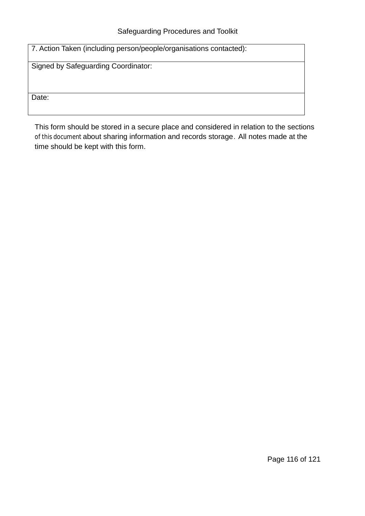7. Action Taken (including person/people/organisations contacted):

Signed by Safeguarding Coordinator:

Date:

This form should be stored in a secure place and considered in relation to the sections of this document about sharing information and records storage. All notes made at the time should be kept with this form.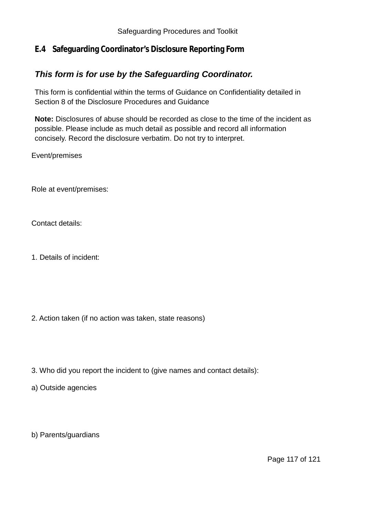#### **E.4 Safeguarding Coordinator's Disclosure Reporting Form**

#### *This form is for use by the Safeguarding Coordinator.*

This form is confidential within the terms of Guidance on Confidentiality detailed in Section 8 of the Disclosure Procedures and Guidance

**Note:** Disclosures of abuse should be recorded as close to the time of the incident as possible. Please include as much detail as possible and record all information concisely. Record the disclosure verbatim. Do not try to interpret.

Event/premises

Role at event/premises:

Contact details:

1. Details of incident:

- 2. Action taken (if no action was taken, state reasons)
- 3. Who did you report the incident to (give names and contact details):
- a) Outside agencies

b) Parents/guardians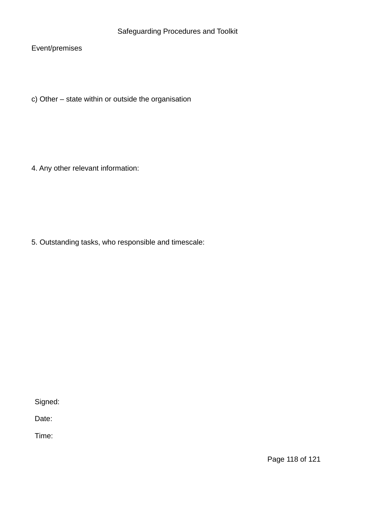Event/premises

c) Other – state within or outside the organisation

4. Any other relevant information:

5. Outstanding tasks, who responsible and timescale:

Signed:

Date:

Time: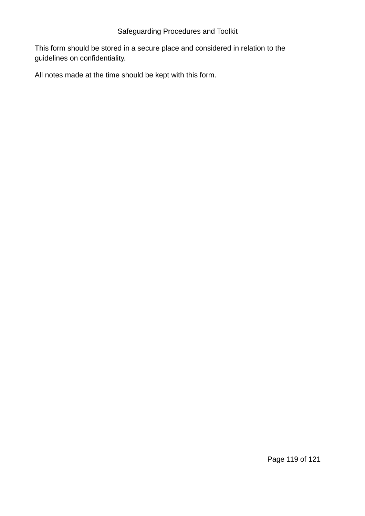This form should be stored in a secure place and considered in relation to the guidelines on confidentiality.

All notes made at the time should be kept with this form.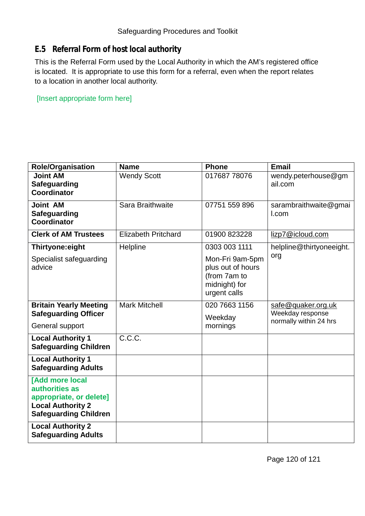### **E.5 Referral Form of host local authority**

This is the Referral Form used by the Local Authority in which the AM's registered office is located. It is appropriate to use this form for a referral, even when the report relates to a location in another local authority.

[Insert appropriate form here]

| <b>Role/Organisation</b>                                                                                                        | <b>Name</b>                | <b>Phone</b>                                                                          | <b>Email</b>                               |
|---------------------------------------------------------------------------------------------------------------------------------|----------------------------|---------------------------------------------------------------------------------------|--------------------------------------------|
| <b>Joint AM</b><br><b>Safeguarding</b><br>Coordinator                                                                           | <b>Wendy Scott</b>         | 017687 78076                                                                          | wendy.peterhouse@gm<br>ail.com             |
| <b>Joint AM</b><br>Safeguarding<br><b>Coordinator</b>                                                                           | Sara Braithwaite           | 07751 559 896                                                                         | sarambraithwaite@gmai<br>I.com             |
| <b>Clerk of AM Trustees</b>                                                                                                     | <b>Elizabeth Pritchard</b> | 01900 823228                                                                          | lizp7@icloud.com                           |
| Thirtyone:eight                                                                                                                 | Helpline                   | 0303 003 1111                                                                         | helpline@thirtyoneeight.                   |
| Specialist safeguarding<br>advice                                                                                               |                            | Mon-Fri 9am-5pm<br>plus out of hours<br>(from 7am to<br>midnight) for<br>urgent calls | org                                        |
| <b>Britain Yearly Meeting</b>                                                                                                   | <b>Mark Mitchell</b>       | 020 7663 1156                                                                         | safe@quaker.org.uk                         |
| <b>Safeguarding Officer</b><br>General support                                                                                  |                            | Weekday<br>mornings                                                                   | Weekday response<br>normally within 24 hrs |
| <b>Local Authority 1</b><br><b>Safeguarding Children</b>                                                                        | C.C.C.                     |                                                                                       |                                            |
| <b>Local Authority 1</b><br><b>Safeguarding Adults</b>                                                                          |                            |                                                                                       |                                            |
| <b>[Add more local</b><br>authorities as<br>appropriate, or delete]<br><b>Local Authority 2</b><br><b>Safeguarding Children</b> |                            |                                                                                       |                                            |
| <b>Local Authority 2</b><br><b>Safeguarding Adults</b>                                                                          |                            |                                                                                       |                                            |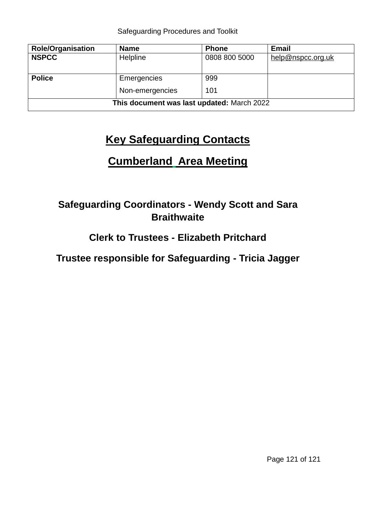| <b>Role/Organisation</b>                   | <b>Name</b>     | <b>Phone</b>  | <b>Email</b>      |  |
|--------------------------------------------|-----------------|---------------|-------------------|--|
| <b>NSPCC</b>                               | <b>Helpline</b> | 0808 800 5000 | help@nspcc.org.uk |  |
|                                            |                 |               |                   |  |
| <b>Police</b>                              | Emergencies     | 999           |                   |  |
|                                            | Non-emergencies | 101           |                   |  |
| This document was last updated: March 2022 |                 |               |                   |  |

# **Key Safeguarding Contacts**

## **Cumberland Area Meeting**

## **Safeguarding Coordinators - Wendy Scott and Sara Braithwaite**

## **Clerk to Trustees - Elizabeth Pritchard**

## **Trustee responsible for Safeguarding - Tricia Jagger**